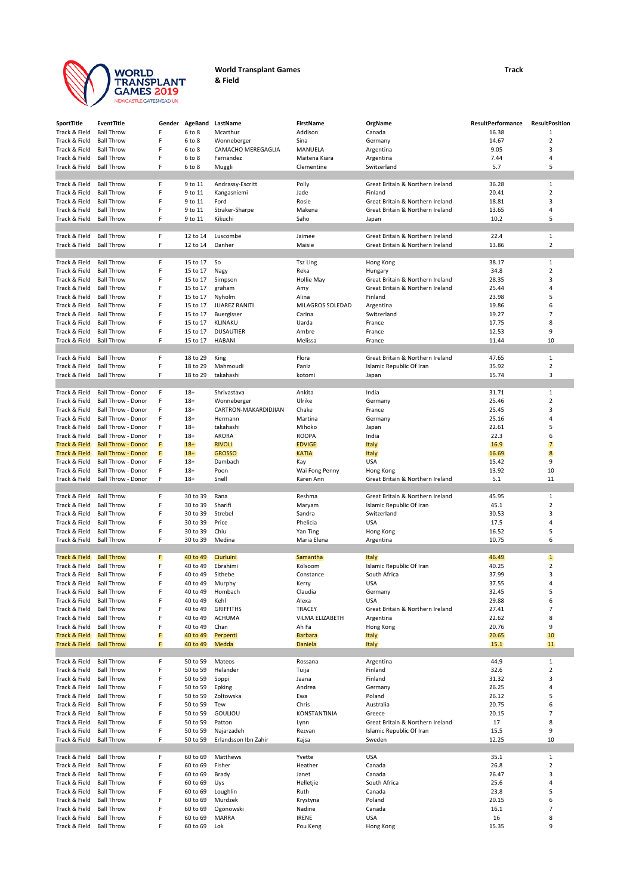

## **World Transplant Games Track & Field**

| SportTitle                     | <b>EventTitle</b>                                      | Gender | AgeBand              | LastName                            | <b>FirstName</b>                 | OrgName                                       | <b>ResultPerformance</b> | <b>ResultPosition</b> |
|--------------------------------|--------------------------------------------------------|--------|----------------------|-------------------------------------|----------------------------------|-----------------------------------------------|--------------------------|-----------------------|
| Track & Field                  | <b>Ball Throw</b>                                      | F      | 6 to 8               | Mcarthur                            | Addison                          | Canada                                        | 16.38                    | $\mathbf{1}$          |
| Track & Field                  | <b>Ball Throw</b>                                      | F      | 6 to 8               | Wonneberger                         | Sina                             | Germany                                       | 14.67                    | $\overline{2}$        |
| Track & Field                  | <b>Ball Throw</b>                                      | F      | 6 to 8               | CAMACHO MEREGAGLIA                  | MANUELA                          | Argentina                                     | 9.05                     | 3                     |
| Track & Field                  | <b>Ball Throw</b>                                      | F      | 6 to 8               | Fernandez                           | Maitena Kiara                    | Argentina                                     | 7.44                     | 4                     |
| Track & Field                  | <b>Ball Throw</b>                                      | F      | 6 to 8               | Muggli                              | Clementine                       | Switzerland                                   | 5.7                      | 5                     |
| Track & Field                  | <b>Ball Throw</b>                                      | F      | 9 to 11              | Andrassy-Escritt                    | Polly                            | Great Britain & Northern Ireland              | 36.28                    | 1                     |
| Track & Field                  | <b>Ball Throw</b>                                      | F      | 9 to 11              | Kangasniemi                         | Jade                             | Finland                                       | 20.41                    | $\overline{2}$        |
| Track & Field                  | <b>Ball Throw</b>                                      | F      | 9 to 11              | Ford                                | Rosie                            | Great Britain & Northern Ireland              | 18.81                    | 3                     |
| Track & Field                  | <b>Ball Throw</b>                                      | F      | 9 to 11              | Straker-Sharpe                      | Makena                           | Great Britain & Northern Ireland              | 13.65                    | 4                     |
| Track & Field                  | <b>Ball Throw</b>                                      | F      | 9 to 11              | Kikuchi                             | Saho                             | Japan                                         | 10.2                     | 5                     |
|                                |                                                        |        |                      |                                     |                                  |                                               |                          |                       |
| Track & Field                  | <b>Ball Throw</b>                                      | F      | 12 to 14             | Luscombe                            | Jaimee                           | Great Britain & Northern Ireland              | 22.4                     | 1                     |
| Track & Field                  | <b>Ball Throw</b>                                      | F      | 12 to 14             | Danher                              | Maisie                           | Great Britain & Northern Ireland              | 13.86                    | $\overline{2}$        |
|                                |                                                        |        |                      |                                     |                                  |                                               |                          |                       |
| Track & Field                  | <b>Ball Throw</b>                                      | F<br>F | 15 to 17             | So                                  | <b>Tsz Ling</b>                  | Hong Kong                                     | 38.17                    | 1                     |
| Track & Field<br>Track & Field | <b>Ball Throw</b><br><b>Ball Throw</b>                 | F      | 15 to 17<br>15 to 17 | Nagy<br>Simpson                     | Reka<br><b>Hollie May</b>        | Hungary<br>Great Britain & Northern Ireland   | 34.8<br>28.35            | $\overline{2}$<br>3   |
| Track & Field                  | <b>Ball Throw</b>                                      | F      | 15 to 17             | graham                              | Amy                              | Great Britain & Northern Ireland              | 25.44                    | 4                     |
| Track & Field                  | <b>Ball Throw</b>                                      | F      | 15 to 17             | Nyholm                              | Alina                            | Finland                                       | 23.98                    | 5                     |
| Track & Field                  | <b>Ball Throw</b>                                      | F      | 15 to 17             | <b>JUAREZ RANITI</b>                | MILAGROS SOLEDAD                 | Argentina                                     | 19.86                    | 6                     |
| Track & Field                  | <b>Ball Throw</b>                                      | F      | 15 to 17             | Buergisser                          | Carina                           | Switzerland                                   | 19.27                    | $\overline{7}$        |
| Track & Field                  | <b>Ball Throw</b>                                      | F      | 15 to 17             | KLINAKU                             | Uarda                            | France                                        | 17.75                    | 8                     |
| Track & Field                  | <b>Ball Throw</b>                                      | F      | 15 to 17             | <b>DUSAUTIER</b>                    | Ambre                            | France                                        | 12.53                    | 9                     |
| Track & Field                  | <b>Ball Throw</b>                                      | F      | 15 to 17             | <b>HABANI</b>                       | Melissa                          | France                                        | 11.44                    | 10                    |
|                                |                                                        |        |                      |                                     |                                  |                                               |                          |                       |
| Track & Field                  | <b>Ball Throw</b>                                      | F      | 18 to 29             | King                                | Flora                            | Great Britain & Northern Ireland              | 47.65                    | 1                     |
| Track & Field                  | <b>Ball Throw</b>                                      | F      | 18 to 29             | Mahmoudi                            | Paniz                            | Islamic Republic Of Iran                      | 35.92                    | $\overline{2}$        |
| Track & Field                  | <b>Ball Throw</b>                                      | F      | 18 to 29             | takahashi                           | kotomi                           | Japan                                         | 15.74                    | 3                     |
|                                |                                                        |        |                      |                                     |                                  |                                               |                          |                       |
| Track & Field<br>Track & Field | <b>Ball Throw - Donor</b><br><b>Ball Throw - Donor</b> | F<br>F | $18+$<br>$18+$       | Shrivastava                         | Ankita<br>Ulrike                 | India                                         | 31.71<br>25.46           | 1<br>$\overline{2}$   |
| Track & Field                  | Ball Throw - Donor                                     | F      | $18+$                | Wonneberger<br>CARTRON-MAKARDIDJIAN | Chake                            | Germany<br>France                             | 25.45                    | 3                     |
| Track & Field                  | Ball Throw - Donor                                     | F      | $18+$                | Hermann                             | Martina                          | Germany                                       | 25.16                    | 4                     |
| Track & Field                  | Ball Throw - Donor                                     | F      | $18+$                | takahashi                           | Mihoko                           | Japan                                         | 22.61                    | 5                     |
| Track & Field                  | Ball Throw - Donor                                     | F      | $18+$                | ARORA                               | <b>ROOPA</b>                     | India                                         | 22.3                     | 6                     |
| <b>Track &amp; Field</b>       | <b>Ball Throw - Donor</b>                              | F      | $18+$                | <b>RIVOLI</b>                       | <b>EDVIGE</b>                    | <b>Italy</b>                                  | 16.9                     | 7                     |
| <b>Track &amp; Field</b>       | <b>Ball Throw - Donor</b>                              | F      | $18+$                | <b>GROSSO</b>                       | <b>KATIA</b>                     | <b>Italy</b>                                  | 16.69                    | $\boldsymbol{8}$      |
| Track & Field                  | Ball Throw - Donor                                     | F      | $18+$                | Dambach                             | Kay                              | <b>USA</b>                                    | 15.42                    | 9                     |
| Track & Field                  | Ball Throw - Donor                                     | F      | $18+$                | Poon                                | Wai Fong Penny                   | Hong Kong                                     | 13.92                    | 10                    |
| Track & Field                  | Ball Throw - Donor                                     | F      | $18+$                | Snell                               | Karen Ann                        | Great Britain & Northern Ireland              | 5.1                      | 11                    |
|                                |                                                        |        |                      |                                     |                                  |                                               |                          |                       |
| Track & Field                  | <b>Ball Throw</b>                                      | F      | 30 to 39             | Rana                                | Reshma                           | Great Britain & Northern Ireland              | 45.95                    | 1                     |
| Track & Field<br>Track & Field | <b>Ball Throw</b><br><b>Ball Throw</b>                 | F<br>F | 30 to 39<br>30 to 39 | Sharifi<br>Strebel                  | Maryam<br>Sandra                 | Islamic Republic Of Iran<br>Switzerland       | 45.1<br>30.53            | $\overline{2}$<br>3   |
| Track & Field                  | <b>Ball Throw</b>                                      | F      | 30 to 39             | Price                               | Phelicia                         | <b>USA</b>                                    | 17.5                     | 4                     |
| Track & Field                  | <b>Ball Throw</b>                                      | F      | 30 to 39             | Chiu                                | Yan Ting                         | Hong Kong                                     | 16.52                    | 5                     |
| Track & Field                  | <b>Ball Throw</b>                                      | F      | 30 to 39             | Medina                              | Maria Elena                      | Argentina                                     | 10.75                    | 6                     |
|                                |                                                        |        |                      |                                     |                                  |                                               |                          |                       |
| <b>Track &amp; Field</b>       | <b>Ball Throw</b>                                      | F      | 40 to 49             | Ciurluini                           | Samantha                         | <b>Italy</b>                                  | 46.49                    | $\mathbf{1}$          |
| Track & Field                  | <b>Ball Throw</b>                                      | F      | 40 to 49             | Ebrahimi                            | Kolsoom                          | Islamic Republic Of Iran                      | 40.25                    | $\overline{2}$        |
| Track & Field                  | <b>Ball Throw</b>                                      | F      | 40 to 49             | Sithebe                             | Constance                        | South Africa                                  | 37.99                    | 3                     |
| Track & Field                  | <b>Ball Throw</b>                                      | F      | 40 to 49             | Murphy                              | Kerry                            | <b>USA</b>                                    | 37.55                    | 4                     |
| Track & Field                  | <b>Ball Throw</b>                                      | F      | 40 to 49             | Hombach                             | Claudia                          | Germany                                       | 32.45                    | 5                     |
| Track & Field                  | <b>Ball Throw</b>                                      | F      | 40 to 49             | Kehl                                | Alexa                            | <b>USA</b>                                    | 29.88                    | 6                     |
| Track & Field<br>Track & Field | <b>Ball Throw</b><br><b>Ball Throw</b>                 | F<br>F | 40 to 49<br>40 to 49 | <b>GRIFFITHS</b><br><b>ACHUMA</b>   | <b>TRACEY</b><br>VILMA ELIZABETH | Great Britain & Northern Ireland<br>Argentina | 27.41<br>22.62           | $\overline{7}$<br>8   |
| Track & Field                  | <b>Ball Throw</b>                                      | F      | 40 to 49             | Chan                                | Ah Fa                            | Hong Kong                                     | 20.76                    | 9                     |
| <b>Track &amp; Field</b>       | <b>Ball Throw</b>                                      | F      | 40 to 49             | Perpenti                            | <b>Barbara</b>                   | <b>Italy</b>                                  | 20.65                    | 10                    |
| <b>Track &amp; Field</b>       | <b>Ball Throw</b>                                      | F      | 40 to 49             | Medda                               | Daniela                          | Italy                                         | 15.1                     | 11                    |
|                                |                                                        |        |                      |                                     |                                  |                                               |                          |                       |
| Track & Field                  | <b>Ball Throw</b>                                      | F      | 50 to 59             | Mateos                              | Rossana                          | Argentina                                     | 44.9                     | $\mathbf 1$           |
| Track & Field                  | <b>Ball Throw</b>                                      | F      | 50 to 59             | Helander                            | Tuija                            | Finland                                       | 32.6                     | $\mathbf 2$           |
| Track & Field                  | <b>Ball Throw</b>                                      | F      | 50 to 59             | Soppi                               | Jaana                            | Finland                                       | 31.32                    | 3                     |
| Track & Field                  | <b>Ball Throw</b>                                      | F      | 50 to 59             | Epking                              | Andrea                           | Germany                                       | 26.25                    | 4                     |
| Track & Field                  | <b>Ball Throw</b>                                      | F      | 50 to 59             | Zoltowska                           | Ewa                              | Poland                                        | 26.12                    | 5                     |
| Track & Field                  | <b>Ball Throw</b>                                      | F      | 50 to 59             | Tew                                 | Chris                            | Australia                                     | 20.75                    | 6                     |
| Track & Field                  | <b>Ball Throw</b>                                      | F      | 50 to 59             | GOULIOU                             | KONSTANTINIA                     | Greece                                        | 20.15                    | $\overline{7}$        |
| Track & Field                  | <b>Ball Throw</b>                                      | F<br>F | 50 to 59             | Patton                              | Lynn                             | Great Britain & Northern Ireland              | 17                       | 8<br>9                |
| Track & Field<br>Track & Field | <b>Ball Throw</b><br><b>Ball Throw</b>                 | F      | 50 to 59<br>50 to 59 | Najarzadeh<br>Erlandsson Ibn Zahir  | Rezvan                           | Islamic Republic Of Iran<br>Sweden            | 15.5<br>12.25            | 10                    |
|                                |                                                        |        |                      |                                     | Kajsa                            |                                               |                          |                       |
| Track & Field                  | <b>Ball Throw</b>                                      | F      | 60 to 69             | Matthews                            | Yvette                           | <b>USA</b>                                    | 35.1                     | $\mathbf{1}$          |
| Track & Field                  | <b>Ball Throw</b>                                      | F      | 60 to 69             | Fisher                              | Heather                          | Canada                                        | 26.8                     | $\mathbf 2$           |
| Track & Field                  | <b>Ball Throw</b>                                      | F      | 60 to 69             | Brady                               | Janet                            | Canada                                        | 26.47                    | 3                     |
| Track & Field                  | <b>Ball Throw</b>                                      | F      | 60 to 69             | Uys                                 | Helletjie                        | South Africa                                  | 25.6                     | 4                     |
| Track & Field                  | <b>Ball Throw</b>                                      | F      | 60 to 69             | Loughlin                            | Ruth                             | Canada                                        | 23.8                     | 5                     |
| Track & Field                  | <b>Ball Throw</b>                                      | F      | 60 to 69             | Murdzek                             | Krystyna                         | Poland                                        | 20.15                    | 6                     |
| Track & Field                  | <b>Ball Throw</b>                                      | F      | 60 to 69             | Ogonowski                           | Nadine                           | Canada                                        | 16.1                     | $\overline{7}$        |
| Track & Field                  | <b>Ball Throw</b>                                      | F      | 60 to 69             | MARRA                               | <b>IRENE</b>                     | <b>USA</b>                                    | 16                       | 8                     |
| Track & Field                  | <b>Ball Throw</b>                                      | F      | 60 to 69             | Lok                                 | Pou Keng                         | Hong Kong                                     | 15.35                    | 9                     |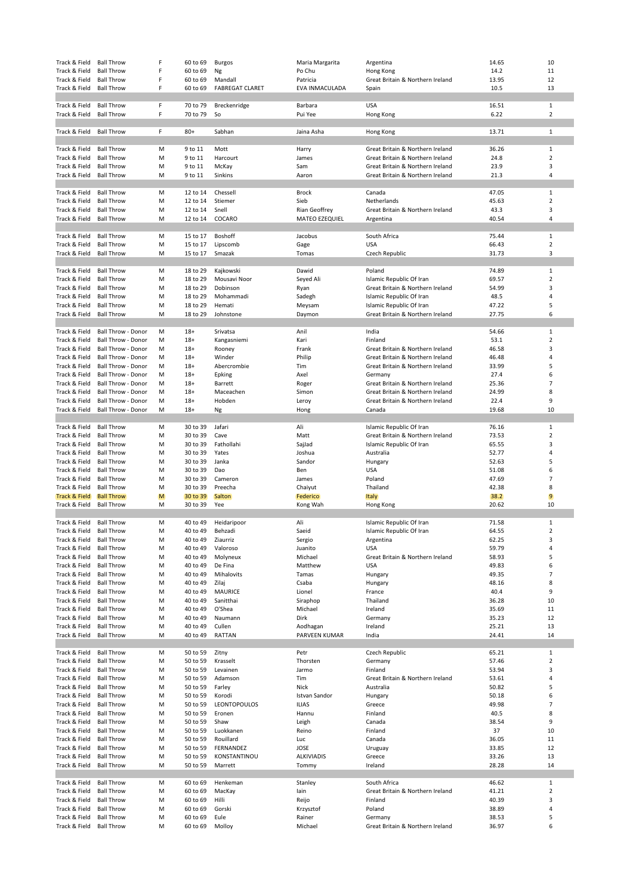| Track & Field                  | <b>Ball Throw</b>                      | F      | 60 to 69             | Burgos                      | Maria Margarita       | Argentina                        | 14.65          | 10                  |
|--------------------------------|----------------------------------------|--------|----------------------|-----------------------------|-----------------------|----------------------------------|----------------|---------------------|
| Track & Field                  | <b>Ball Throw</b>                      | F      | 60 to 69             | Ng                          | Po Chu                | Hong Kong                        | 14.2           | 11                  |
| Track & Field                  | <b>Ball Throw</b>                      | F      | 60 to 69             | Mandall                     | Patricia              | Great Britain & Northern Ireland | 13.95          | 12                  |
| Track & Field                  | <b>Ball Throw</b>                      | F      | 60 to 69             | <b>FABREGAT CLARET</b>      | EVA INMACULADA        | Spain                            | 10.5           | 13                  |
|                                |                                        |        |                      |                             |                       |                                  |                |                     |
| Track & Field                  | <b>Ball Throw</b>                      | F      | 70 to 79             | Breckenridge                | Barbara               | <b>USA</b>                       | 16.51          | 1                   |
| Track & Field                  | <b>Ball Throw</b>                      | F      | 70 to 79             | So                          | Pui Yee               | Hong Kong                        | 6.22           | $\overline{2}$      |
|                                |                                        |        |                      |                             |                       |                                  |                |                     |
| Track & Field                  | <b>Ball Throw</b>                      | F      | $80+$                | Sabhan                      | Jaina Asha            | Hong Kong                        | 13.71          | $\mathbf{1}$        |
|                                |                                        |        |                      |                             |                       |                                  |                |                     |
| Track & Field                  | <b>Ball Throw</b>                      | M      | 9 to 11              | Mott                        | Harry                 | Great Britain & Northern Ireland | 36.26          | $\mathbf{1}$        |
| Track & Field                  | <b>Ball Throw</b>                      | M      | 9 to 11              | Harcourt                    | James                 | Great Britain & Northern Ireland | 24.8           | $\overline{2}$      |
| Track & Field                  | <b>Ball Throw</b>                      | M      | 9 to 11              | McKay                       | Sam                   | Great Britain & Northern Ireland | 23.9           | 3                   |
| Track & Field                  | <b>Ball Throw</b>                      | M      | 9 to 11              | Sinkins                     | Aaron                 | Great Britain & Northern Ireland | 21.3           | 4                   |
|                                |                                        |        |                      |                             |                       |                                  |                |                     |
| Track & Field                  | <b>Ball Throw</b>                      | M      | 12 to 14             | Chessell                    | <b>Brock</b>          | Canada                           | 47.05          | $\mathbf{1}$        |
| Track & Field                  | <b>Ball Throw</b>                      | M      | 12 to 14             | Stiemer                     | Sieb                  | Netherlands                      | 45.63          | $\overline{2}$      |
| Track & Field                  | <b>Ball Throw</b>                      | M      | 12 to 14             | Snell                       | Rian Geoffrey         | Great Britain & Northern Ireland | 43.3           | 3                   |
| Track & Field                  | <b>Ball Throw</b>                      | M      | 12 to 14             | COCARO                      | <b>MATEO EZEQUIEL</b> | Argentina                        | 40.54          | 4                   |
|                                |                                        |        |                      |                             |                       |                                  |                |                     |
| Track & Field                  | <b>Ball Throw</b>                      | M      | 15 to 17             | <b>Boshoff</b>              | Jacobus               | South Africa                     | 75.44          | $\mathbf{1}$        |
| Track & Field                  | <b>Ball Throw</b>                      | M      | 15 to 17             | Lipscomb                    | Gage                  | <b>USA</b>                       | 66.43          | $\overline{2}$      |
| Track & Field                  | <b>Ball Throw</b>                      | M      | 15 to 17             | Smazak                      | Tomas                 | Czech Republic                   | 31.73          | 3                   |
|                                |                                        |        |                      |                             |                       |                                  |                |                     |
| Track & Field                  | <b>Ball Throw</b>                      | M      | 18 to 29             | Kajkowski                   | Dawid                 | Poland                           | 74.89          | $\mathbf{1}$        |
| Track & Field                  | <b>Ball Throw</b>                      | M      | 18 to 29             | Mousavi Noor                | Seyed Ali             | Islamic Republic Of Iran         | 69.57          | $\overline{2}$      |
| Track & Field                  | <b>Ball Throw</b>                      | M      | 18 to 29             | Dobinson                    | Ryan                  | Great Britain & Northern Ireland | 54.99          | 3                   |
| Track & Field                  | <b>Ball Throw</b>                      | M      | 18 to 29             | Mohammadi                   | Sadegh                | Islamic Republic Of Iran         | 48.5           | 4                   |
| Track & Field                  | <b>Ball Throw</b>                      | M      | 18 to 29             | Hemati                      | Meysam                | Islamic Republic Of Iran         | 47.22          | 5                   |
| Track & Field                  | <b>Ball Throw</b>                      | M      | 18 to 29             | Johnstone                   | Daymon                | Great Britain & Northern Ireland | 27.75          | 6                   |
|                                |                                        |        |                      |                             |                       |                                  |                |                     |
| Track & Field                  | Ball Throw - Donor                     | M      | $18+$                | Srivatsa                    | Anil                  | India                            | 54.66          | $\mathbf{1}$        |
| Track & Field                  | Ball Throw - Donor                     | M      | $18+$                | Kangasniemi                 | Kari                  | Finland                          | 53.1           | $\overline{2}$      |
| Track & Field                  | Ball Throw - Donor                     | M      | $18+$                | Rooney                      | Frank                 | Great Britain & Northern Ireland | 46.58          | 3                   |
| Track & Field                  | <b>Ball Throw - Donor</b>              | M      | $18+$                | Winder                      | Philip                | Great Britain & Northern Ireland | 46.48          | 4                   |
| Track & Field                  | Ball Throw - Donor                     | M      | $18+$                | Abercrombie                 | Tim                   | Great Britain & Northern Ireland | 33.99          | 5                   |
| Track & Field                  | Ball Throw - Donor                     | M      | $18+$                | Epking                      | Axel                  | Germany                          | 27.4           | 6                   |
| Track & Field                  | Ball Throw - Donor                     | M      | $18+$                | Barrett                     | Roger                 | Great Britain & Northern Ireland | 25.36          | $\overline{7}$      |
| Track & Field                  | Ball Throw - Donor                     | M      | $18+$                | Maceachen                   | Simon                 | Great Britain & Northern Ireland | 24.99          | 8                   |
| Track & Field                  | Ball Throw - Donor                     | M      | $18+$                | Hobden                      | Leroy                 | Great Britain & Northern Ireland | 22.4           | 9                   |
| Track & Field                  | Ball Throw - Donor                     | M      | $18+$                | Ng                          | Hong                  | Canada                           | 19.68          | 10                  |
|                                |                                        |        |                      |                             |                       |                                  |                |                     |
| Track & Field                  | <b>Ball Throw</b>                      | M      | 30 to 39             | Jafari                      | Ali                   | Islamic Republic Of Iran         | 76.16          | $\mathbf{1}$        |
| Track & Field                  | <b>Ball Throw</b>                      | M      | 30 to 39             | Cave                        | Matt                  | Great Britain & Northern Ireland | 73.53          | $\overline{2}$      |
| Track & Field                  | <b>Ball Throw</b>                      | M      | 30 to 39             | Fathollahi                  | SajJad                | Islamic Republic Of Iran         | 65.55          | 3                   |
| Track & Field                  | <b>Ball Throw</b>                      | M      | 30 to 39             | Yates                       | Joshua                | Australia                        | 52.77          | 4                   |
| Track & Field                  | <b>Ball Throw</b>                      | M      | 30 to 39             | Janka                       | Sandor                | Hungary                          | 52.63          | 5                   |
| Track & Field                  | <b>Ball Throw</b>                      | M      | 30 to 39             | Dao                         | Ben                   | <b>USA</b>                       | 51.08          | 6                   |
| Track & Field                  | <b>Ball Throw</b>                      | M      | 30 to 39             | Cameron                     | James                 | Poland                           | 47.69          | $\overline{7}$      |
| Track & Field                  | <b>Ball Throw</b>                      | M      | 30 to 39             | Preecha                     | Chaiyut               | Thailand                         | 42.38          | 8                   |
| <b>Track &amp; Field</b>       | <b>Ball Throw</b>                      | M      | 30 to 39             | <b>Salton</b>               | Federico              | Italy                            | 38.2           | 9                   |
| Track & Field                  | <b>Ball Throw</b>                      | M      | 30 to 39             | Yee                         | Kong Wah              | Hong Kong                        | 20.62          | 10                  |
|                                |                                        |        |                      |                             |                       |                                  |                |                     |
| Track & Field                  | <b>Ball Throw</b>                      | M      | 40 to 49             | Heidaripoor                 | Ali                   | Islamic Republic Of Iran         | 71.58          | $\mathbf{1}$        |
| Track & Field                  | <b>Ball Throw</b>                      | M      | 40 to 49             | Behzadi                     | Saeid                 | Islamic Republic Of Iran         | 64.55          | $\overline{2}$      |
| Track & Field                  | <b>Ball Throw</b>                      | M      | 40 to 49             | Ziaurriz                    | Sergio                | Argentina                        | 62.25          | 3                   |
| Track & Field                  | <b>Ball Throw</b>                      | M      | 40 to 49             | Valoroso                    | Juanito               | <b>USA</b>                       | 59.79          | 4                   |
| Track & Field                  | <b>Ball Throw</b>                      | M      | 40 to 49             | Molyneux                    | Michael               | Great Britain & Northern Ireland | 58.93          | 5                   |
| Track & Field                  | <b>Ball Throw</b>                      | M      | 40 to 49<br>40 to 49 | De Fina<br>Mihalovits       | Matthew               | <b>USA</b>                       | 49.83          | 6<br>$\overline{7}$ |
| Track & Field<br>Track & Field | <b>Ball Throw</b><br><b>Ball Throw</b> | M      |                      |                             | Tamas<br>Csaba        | Hungary                          | 49.35<br>48.16 | 8                   |
| Track & Field                  | <b>Ball Throw</b>                      | M<br>M | 40 to 49<br>40 to 49 | Zilaj                       | Lionel                | Hungary                          | 40.4           | 9                   |
| Track & Field                  | <b>Ball Throw</b>                      | M      | 40 to 49             | <b>MAURICE</b><br>Sanitthai | Siraphop              | France<br>Thailand               | 36.28          | 10                  |
| Track & Field                  | <b>Ball Throw</b>                      | M      | 40 to 49             | O'Shea                      | Michael               | Ireland                          | 35.69          | 11                  |
| Track & Field                  | <b>Ball Throw</b>                      | M      | 40 to 49             | Naumann                     | Dirk                  | Germany                          | 35.23          | 12                  |
| Track & Field                  | <b>Ball Throw</b>                      | M      | 40 to 49             | Cullen                      | Aodhagan              | Ireland                          | 25.21          | 13                  |
| Track & Field                  | <b>Ball Throw</b>                      | M      | 40 to 49             | <b>RATTAN</b>               | PARVEEN KUMAR         | India                            | 24.41          | 14                  |
|                                |                                        |        |                      |                             |                       |                                  |                |                     |
| Track & Field                  | <b>Ball Throw</b>                      | M      | 50 to 59             | Zitny                       | Petr                  | Czech Republic                   | 65.21          | $\mathbf{1}$        |
| Track & Field                  | <b>Ball Throw</b>                      | M      | 50 to 59             | Krasselt                    | Thorsten              | Germany                          | 57.46          | $\overline{2}$      |
| Track & Field                  | <b>Ball Throw</b>                      | M      | 50 to 59             | Levainen                    | Jarmo                 | Finland                          | 53.94          | 3                   |
| Track & Field                  | <b>Ball Throw</b>                      | M      | 50 to 59             | Adamson                     | Tim                   | Great Britain & Northern Ireland | 53.61          | 4                   |
| Track & Field                  | <b>Ball Throw</b>                      | M      | 50 to 59             | Farley                      | Nick                  | Australia                        | 50.82          | 5                   |
| Track & Field                  | <b>Ball Throw</b>                      | M      | 50 to 59             | Korodi                      | <b>Istvan Sandor</b>  | Hungary                          | 50.18          | 6                   |
| Track & Field                  | <b>Ball Throw</b>                      | M      | 50 to 59             | LEONTOPOULOS                | <b>ILIAS</b>          | Greece                           | 49.98          | $\overline{7}$      |
| Track & Field                  | <b>Ball Throw</b>                      | M      | 50 to 59             | Eronen                      | Hannu                 | Finland                          | 40.5           | 8                   |
| Track & Field                  | <b>Ball Throw</b>                      | M      | 50 to 59             | Shaw                        | Leigh                 | Canada                           | 38.54          | 9                   |
| Track & Field                  | <b>Ball Throw</b>                      | M      | 50 to 59             | Luokkanen                   | Reino                 | Finland                          | 37             | 10                  |
| Track & Field                  | <b>Ball Throw</b>                      | M      | 50 to 59             | Rouillard                   | Luc                   | Canada                           | 36.05          | 11                  |
| Track & Field                  | <b>Ball Throw</b>                      | M      | 50 to 59             | FERNANDEZ                   | JOSE                  | Uruguay                          | 33.85          | 12                  |
| Track & Field                  | <b>Ball Throw</b>                      | M      | 50 to 59             | KONSTANTINOU                | <b>ALKIVIADIS</b>     | Greece                           | 33.26          | 13                  |
| Track & Field                  | <b>Ball Throw</b>                      | M      | 50 to 59             | Marrett                     | Tommy                 | Ireland                          | 28.28          | 14                  |
|                                |                                        |        |                      |                             |                       |                                  |                |                     |
| Track & Field                  | <b>Ball Throw</b>                      | M      | 60 to 69             | Henkeman                    | Stanley               | South Africa                     | 46.62          | $\mathbf{1}$        |
| Track & Field                  | <b>Ball Throw</b>                      | M      | 60 to 69             | MacKay                      | lain                  | Great Britain & Northern Ireland | 41.21          | $\overline{2}$      |
| Track & Field                  | <b>Ball Throw</b>                      | M      | 60 to 69             | Hilli                       | Reijo                 | Finland                          | 40.39          | 3                   |
| Track & Field                  | <b>Ball Throw</b>                      | M      | 60 to 69             | Gorski                      | Krzysztof             | Poland                           | 38.89          | 4                   |
| Track & Field                  | <b>Ball Throw</b>                      | M      | 60 to 69             | Eule                        | Rainer                | Germany                          | 38.53          | 5                   |
| Track & Field                  | <b>Ball Throw</b>                      | M      | 60 to 69             | Molloy                      | Michael               | Great Britain & Northern Ireland | 36.97          | 6                   |
|                                |                                        |        |                      |                             |                       |                                  |                |                     |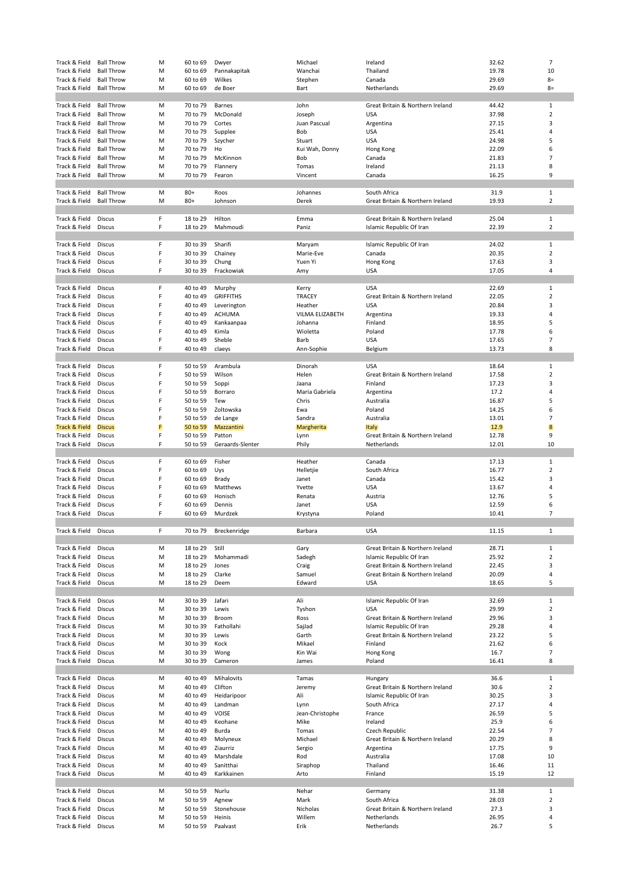| Track & Field                  | <b>Ball Throw</b> | M      | 60 to 69             | Dwyer              | Michael         | Ireland                          | 32.62         | $\overline{7}$ |
|--------------------------------|-------------------|--------|----------------------|--------------------|-----------------|----------------------------------|---------------|----------------|
| Track & Field                  | <b>Ball Throw</b> | М      | 60 to 69             | Pannakapitak       | Wanchai         | Thailand                         | 19.78         | 10             |
| Track & Field                  | <b>Ball Throw</b> | M      | 60 to 69             | Wilkes             | Stephen         | Canada                           | 29.69         | $8=$           |
| Track & Field                  | <b>Ball Throw</b> | М      | 60 to 69             | de Boer            | Bart            | Netherlands                      | 29.69         | $8=$           |
|                                |                   |        |                      |                    |                 |                                  |               |                |
| Track & Field                  | <b>Ball Throw</b> | М      | 70 to 79             | Barnes             | John            | Great Britain & Northern Ireland | 44.42         | $\mathbf 1$    |
| Track & Field                  | <b>Ball Throw</b> | М      | 70 to 79             | McDonald           | Joseph          | <b>USA</b>                       | 37.98         | $\overline{2}$ |
|                                |                   | М      | 70 to 79             | Cortes             | Juan Pascual    |                                  | 27.15         | 3              |
| Track & Field                  | <b>Ball Throw</b> |        |                      |                    |                 | Argentina                        |               |                |
| Track & Field                  | <b>Ball Throw</b> | M      | 70 to 79             | Supplee            | Bob             | <b>USA</b>                       | 25.41         | 4              |
| Track & Field                  | <b>Ball Throw</b> | М      | 70 to 79             | Szycher            | Stuart          | <b>USA</b>                       | 24.98         | 5              |
| Track & Field                  | <b>Ball Throw</b> | M      | 70 to 79             | Ho                 | Kui Wah, Donny  | Hong Kong                        | 22.09         | 6              |
| Track & Field                  | <b>Ball Throw</b> | М      | 70 to 79             | McKinnon           | Bob             | Canada                           | 21.83         | $\overline{7}$ |
| Track & Field                  | <b>Ball Throw</b> | М      | 70 to 79             | Flannery           | Tomas           | Ireland                          | 21.13         | 8              |
| Track & Field                  | <b>Ball Throw</b> | M      | 70 to 79             | Fearon             | Vincent         | Canada                           | 16.25         | 9              |
|                                |                   |        |                      |                    |                 |                                  |               |                |
| Track & Field                  | <b>Ball Throw</b> | М      | $80+$                | Roos               | Johannes        | South Africa                     | 31.9          | $\mathbf{1}$   |
| Track & Field                  | <b>Ball Throw</b> | М      | $80+$                | Johnson            | Derek           | Great Britain & Northern Ireland | 19.93         | $\overline{2}$ |
|                                |                   |        |                      |                    |                 |                                  |               |                |
| Track & Field                  | Discus            | F      | 18 to 29             | Hilton             | Emma            | Great Britain & Northern Ireland | 25.04         | $\mathbf 1$    |
| Track & Field                  | Discus            | F      | 18 to 29             | Mahmoudi           | Paniz           | Islamic Republic Of Iran         | 22.39         | $\overline{2}$ |
|                                |                   |        |                      |                    |                 |                                  |               |                |
| Track & Field                  | Discus            | F      | 30 to 39             | Sharifi            | Maryam          | Islamic Republic Of Iran         | 24.02         | $\mathbf 1$    |
|                                | Discus            | F      | 30 to 39             |                    | Marie-Eve       |                                  | 20.35         | $\overline{2}$ |
| Track & Field                  |                   |        |                      | Chainey            |                 | Canada                           |               |                |
| Track & Field                  | Discus            | F      | 30 to 39             | Chung              | Yuen Yi         | Hong Kong                        | 17.63         | 3              |
| Track & Field                  | Discus            | F      | 30 to 39             | Frackowiak         | Amy             | <b>USA</b>                       | 17.05         | 4              |
|                                |                   |        |                      |                    |                 |                                  |               |                |
| Track & Field                  | Discus            | F      | 40 to 49             | Murphy             | Kerry           | <b>USA</b>                       | 22.69         | $\mathbf 1$    |
| Track & Field                  | Discus            | F      | 40 to 49             | <b>GRIFFITHS</b>   | <b>TRACEY</b>   | Great Britain & Northern Ireland | 22.05         | $\overline{2}$ |
| Track & Field                  | Discus            | F      | 40 to 49             | Leverington        | Heather         | <b>USA</b>                       | 20.84         | 3              |
| Track & Field                  | Discus            | F      | 40 to 49             | ACHUMA             | VILMA ELIZABETH | Argentina                        | 19.33         | 4              |
| Track & Field                  | Discus            | F      | 40 to 49             | Kankaanpaa         | Johanna         | Finland                          | 18.95         | 5              |
| Track & Field                  | Discus            | F      | 40 to 49             | Kimla              | Wioletta        | Poland                           | 17.78         | 6              |
| Track & Field                  | Discus            | F      | 40 to 49             | Sheble             | Barb            | <b>USA</b>                       | 17.65         | $\overline{7}$ |
| Track & Field                  | Discus            | F      | 40 to 49             | claeys             | Ann-Sophie      | Belgium                          | 13.73         | 8              |
|                                |                   |        |                      |                    |                 |                                  |               |                |
| Track & Field                  | Discus            | F      | 50 to 59             | Arambula           | Dinorah         | <b>USA</b>                       | 18.64         | $\mathbf{1}$   |
| Track & Field                  | Discus            | F      | 50 to 59             | Wilson             | Helen           | Great Britain & Northern Ireland | 17.58         | $\overline{2}$ |
|                                |                   |        |                      |                    |                 |                                  |               |                |
| Track & Field                  | Discus            | F      | 50 to 59             | Soppi              | Jaana           | Finland                          | 17.23         | 3              |
| Track & Field                  | Discus            | F      | 50 to 59             | Borraro            | Maria Gabriela  | Argentina                        | 17.2          | 4              |
| Track & Field                  | Discus            | F      | 50 to 59             | Tew                | Chris           | Australia                        | 16.87         | 5              |
| Track & Field                  | Discus            | F      | 50 to 59             | Zoltowska          | Ewa             | Poland                           | 14.25         | 6              |
| Track & Field                  | Discus            | F      | 50 to 59             | de Lange           | Sandra          | Australia                        | 13.01         | $\overline{7}$ |
| Track & Field                  | <b>Discus</b>     | F      | 50 to 59             | Mazzantini         | Margherita      | Italy                            | 12.9          | 8              |
| Track & Field                  | Discus            | F      | 50 to 59             | Patton             | Lynn            | Great Britain & Northern Ireland | 12.78         | 9              |
| Track & Field                  | Discus            | F      | 50 to 59             | Geraards-Slenter   | Phily           | Netherlands                      | 12.01         | 10             |
|                                |                   |        |                      |                    |                 |                                  |               |                |
| Track & Field                  | Discus            | F      | 60 to 69             | Fisher             | Heather         | Canada                           | 17.13         | $\mathbf{1}$   |
| Track & Field                  | Discus            | F      | 60 to 69             | Uys                | Helletjie       | South Africa                     | 16.77         | $\overline{2}$ |
|                                |                   |        | 60 to 69             | Brady              | Janet           | Canada                           | 15.42         | 3              |
|                                |                   |        |                      |                    |                 |                                  |               |                |
| Track & Field                  | Discus            | F      |                      |                    |                 |                                  |               |                |
| Track & Field                  | Discus            | F      | 60 to 69             | Matthews           | Yvette          | <b>USA</b>                       | 13.67         | 4              |
| Track & Field                  | Discus            | F      | 60 to 69             | Honisch            | Renata          | Austria                          | 12.76         | 5              |
| Track & Field                  | Discus            | F      | 60 to 69             | Dennis             | Janet           | <b>USA</b>                       | 12.59         | 6              |
| Track & Field                  | Discus            | F      | 60 to 69             | Murdzek            | Krystyna        | Poland                           | 10.41         | $\overline{7}$ |
|                                |                   |        |                      |                    |                 |                                  |               |                |
| Track & Field                  | Discus            | F      | 70 to 79             | Breckenridge       | Barbara         | <b>USA</b>                       | 11.15         | 1              |
|                                |                   |        |                      |                    |                 |                                  |               |                |
| Track & Field                  | Discus            | М      | 18 to 29             | Still              | Gary            | Great Britain & Northern Ireland | 28.71         | $\mathbf{1}$   |
| Track & Field                  | Discus            | М      | 18 to 29             | Mohammadi          | Sadegh          | Islamic Republic Of Iran         | 25.92         | $\overline{2}$ |
| Track & Field                  | Discus            | М      | 18 to 29             | Jones              | Craig           | Great Britain & Northern Ireland | 22.45         | 3              |
| Track & Field                  | Discus            | М      | 18 to 29             | Clarke             | Samuel          | Great Britain & Northern Ireland | 20.09         | 4              |
| Track & Field                  | Discus            | М      | 18 to 29             | Deem               | Edward          | <b>USA</b>                       | 18.65         | 5              |
|                                |                   |        |                      |                    |                 |                                  |               |                |
| Track & Field                  | Discus            | М      | 30 to 39             | Jafari             | Ali             | Islamic Republic Of Iran         | 32.69         | $\mathbf{1}$   |
| Track & Field                  | Discus            | М      | 30 to 39             | Lewis              | Tyshon          | <b>USA</b>                       | 29.99         | $\overline{2}$ |
| Track & Field                  |                   | М      | 30 to 39             | Broom              |                 |                                  |               | 3              |
|                                | Discus            |        |                      |                    | Ross            | Great Britain & Northern Ireland | 29.96         |                |
| Track & Field                  | Discus            | М      | 30 to 39             | Fathollahi         | SajJad          | Islamic Republic Of Iran         | 29.28         | 4              |
| Track & Field                  | Discus            | M      | 30 to 39             | Lewis              | Garth           | Great Britain & Northern Ireland | 23.22         | 5              |
| Track & Field                  | Discus            | M      | 30 to 39             | Kock               | Mikael          | Finland                          | 21.62         | 6              |
| Track & Field                  | Discus            | M      | 30 to 39             | Wong               | Kin Wai         | Hong Kong                        | 16.7          | $\overline{7}$ |
| Track & Field                  | Discus            | M      | 30 to 39             | Cameron            | James           | Poland                           | 16.41         | 8              |
|                                |                   |        |                      |                    |                 |                                  |               |                |
| Track & Field                  | Discus            | М      | 40 to 49             | Mihalovits         | Tamas           | Hungary                          | 36.6          | $\mathbf{1}$   |
| Track & Field                  | Discus            | М      | 40 to 49             | Clifton            | Jeremy          | Great Britain & Northern Ireland | 30.6          | $\overline{2}$ |
| Track & Field                  | Discus            | M      | 40 to 49             | Heidaripoor        | Ali             | Islamic Republic Of Iran         | 30.25         | 3              |
| Track & Field                  | Discus            | M      | 40 to 49             | Landman            | Lynn            | South Africa                     | 27.17         | 4              |
| Track & Field                  | Discus            | М      | 40 to 49             | VOISE              | Jean-Christophe | France                           | 26.59         | 5              |
| Track & Field                  | Discus            | М      | 40 to 49             | Keohane            | Mike            | Ireland                          | 25.9          | 6              |
| Track & Field                  | Discus            | М      | 40 to 49             | Burda              | Tomas           | Czech Republic                   | 22.54         | $\overline{7}$ |
| Track & Field                  | Discus            | М      | 40 to 49             | Molyneux           | Michael         | Great Britain & Northern Ireland | 20.29         | 8              |
| Track & Field                  | Discus            | M      | 40 to 49             | Ziaurriz           |                 |                                  | 17.75         | 9              |
|                                |                   | М      |                      | Marshdale          | Sergio          | Argentina                        |               | 10             |
| Track & Field                  | Discus            |        | 40 to 49             |                    | Rod             | Australia                        | 17.08         |                |
| Track & Field                  | Discus            | М      | 40 to 49             | Sanitthai          | Siraphop        | Thailand                         | 16.46         | 11             |
| Track & Field                  | Discus            | М      | 40 to 49             | Karkkainen         | Arto            | Finland                          | 15.19         | 12             |
|                                |                   |        |                      |                    |                 |                                  |               |                |
| Track & Field                  | Discus            | М      | 50 to 59             | Nurlu              | Nehar           | Germany                          | 31.38         | $\mathbf{1}$   |
| Track & Field                  | Discus            | М      | 50 to 59             | Agnew              | Mark            | South Africa                     | 28.03         | $\overline{2}$ |
| Track & Field                  | Discus            | M      | 50 to 59             | Stonehouse         | Nicholas        | Great Britain & Northern Ireland | 27.3          | 3              |
| Track & Field<br>Track & Field | Discus<br>Discus  | М<br>М | 50 to 59<br>50 to 59 | Heinis<br>Paalvast | Willem<br>Erik  | Netherlands<br>Netherlands       | 26.95<br>26.7 | 4<br>5         |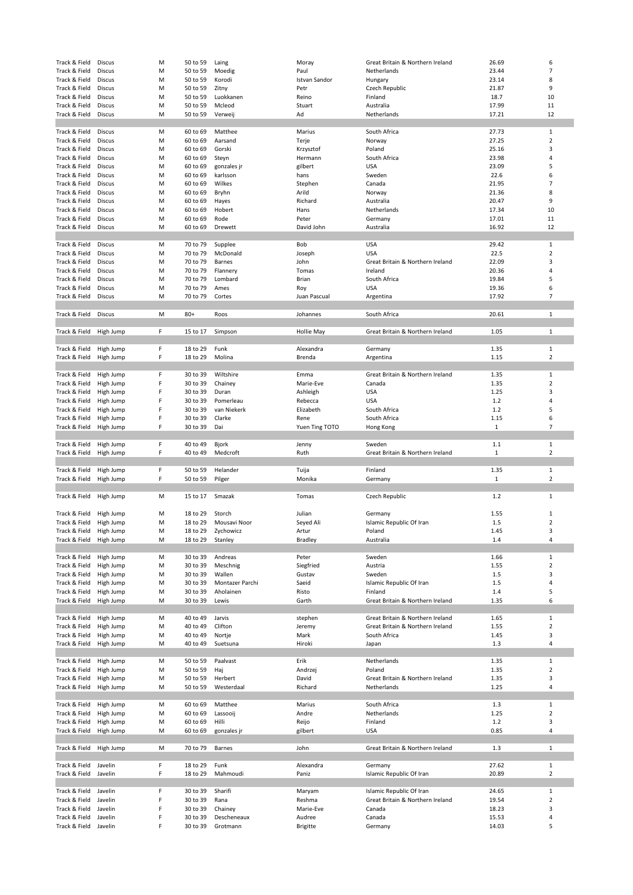| Track & Field                  | Discus             | М      | 50 to 59             | Laing                   | Moray                     | Great Britain & Northern Ireland | 26.69          | 6                       |
|--------------------------------|--------------------|--------|----------------------|-------------------------|---------------------------|----------------------------------|----------------|-------------------------|
| Track & Field                  | Discus             | M      | 50 to 59             | Moedig                  | Paul                      | Netherlands                      | 23.44          | $\overline{7}$          |
|                                |                    |        |                      |                         |                           |                                  |                |                         |
| Track & Field                  | Discus             | M      | 50 to 59             | Korodi                  | Istvan Sandor             | Hungary                          | 23.14          | 8                       |
| Track & Field                  | Discus             | M      | 50 to 59             | Zitny                   | Petr                      | Czech Republic                   | 21.87          | 9                       |
| Track & Field                  | Discus             | М      | 50 to 59             | Luokkanen               | Reino                     | Finland                          | 18.7           | 10                      |
| Track & Field                  | Discus             | M      | 50 to 59             | Mcleod                  | Stuart                    | Australia                        | 17.99          | 11                      |
|                                |                    |        |                      |                         |                           |                                  |                |                         |
| Track & Field                  | Discus             | M      | 50 to 59             | Verweij                 | Ad                        | Netherlands                      | 17.21          | 12                      |
|                                |                    |        |                      |                         |                           |                                  |                |                         |
| Track & Field                  | Discus             | м      | 60 to 69             | Matthee                 | Marius                    | South Africa                     | 27.73          | $\mathbf{1}$            |
| Track & Field                  | Discus             | М      | 60 to 69             | Aarsand                 | Terje                     | Norway                           | 27.25          | $\overline{2}$          |
|                                |                    |        |                      |                         |                           |                                  |                |                         |
| Track & Field                  | Discus             | M      | 60 to 69             | Gorski                  | Krzysztof                 | Poland                           | 25.16          | 3                       |
| Track & Field                  | Discus             | М      | 60 to 69             | Steyn                   | Hermann                   | South Africa                     | 23.98          | 4                       |
| Track & Field                  | Discus             | M      | 60 to 69             | gonzales jr             | gilbert                   | <b>USA</b>                       | 23.09          | 5                       |
|                                |                    |        |                      |                         |                           |                                  |                |                         |
| Track & Field                  | Discus             | M      | 60 to 69             | karlsson                | hans                      | Sweden                           | 22.6           | 6                       |
| Track & Field                  | Discus             | М      | 60 to 69             | Wilkes                  | Stephen                   | Canada                           | 21.95          | 7                       |
| Track & Field                  | Discus             | М      | 60 to 69             | Bryhn                   | Arild                     | Norway                           | 21.36          | 8                       |
|                                |                    |        |                      |                         |                           |                                  |                |                         |
| Track & Field                  | Discus             | M      | 60 to 69             | Hayes                   | Richard                   | Australia                        | 20.47          | 9                       |
| Track & Field                  | Discus             | M      | 60 to 69             | Hobert                  | Hans                      | Netherlands                      | 17.34          | 10                      |
| Track & Field                  | Discus             | М      | 60 to 69             | Rode                    | Peter                     | Germany                          | 17.01          | 11                      |
| Track & Field                  | Discus             | M      | 60 to 69             | Drewett                 | David John                | Australia                        | 16.92          | 12                      |
|                                |                    |        |                      |                         |                           |                                  |                |                         |
|                                |                    |        |                      |                         |                           |                                  |                |                         |
| Track & Field                  | Discus             | М      | 70 to 79             | Supplee                 | Bob                       | <b>USA</b>                       | 29.42          | $\mathbf{1}$            |
| Track & Field                  | Discus             | М      | 70 to 79             | McDonald                | Joseph                    | <b>USA</b>                       | 22.5           | $\overline{2}$          |
| Track & Field                  |                    | М      | 70 to 79             | Barnes                  | John                      | Great Britain & Northern Ireland | 22.09          | 3                       |
|                                | Discus             |        |                      |                         |                           |                                  |                |                         |
| Track & Field                  | Discus             | M      | 70 to 79             | Flannery                | Tomas                     | Ireland                          | 20.36          | 4                       |
| Track & Field                  | Discus             | M      | 70 to 79             | Lombard                 | Brian                     | South Africa                     | 19.84          | 5                       |
| Track & Field                  | Discus             | M      | 70 to 79             | Ames                    | Roy                       | <b>USA</b>                       | 19.36          | 6                       |
|                                |                    |        |                      |                         |                           |                                  |                |                         |
| Track & Field                  | Discus             | M      | 70 to 79             | Cortes                  | Juan Pascual              | Argentina                        | 17.92          | $\overline{7}$          |
|                                |                    |        |                      |                         |                           |                                  |                |                         |
| Track & Field                  | Discus             | М      | $80+$                | Roos                    | Johannes                  | South Africa                     | 20.61          | $\mathbf{1}$            |
|                                |                    |        |                      |                         |                           |                                  |                |                         |
|                                |                    |        |                      |                         |                           | Great Britain & Northern Ireland |                |                         |
| Track & Field                  | High Jump          | F      | 15 to 17             | Simpson                 | <b>Hollie May</b>         |                                  | 1.05           | 1                       |
|                                |                    |        |                      |                         |                           |                                  |                |                         |
| Track & Field                  | High Jump          | F      | 18 to 29             | Funk                    | Alexandra                 | Germany                          | 1.35           | $\,1\,$                 |
| Track & Field                  | High Jump          | F      | 18 to 29             | Molina                  | Brenda                    | Argentina                        | 1.15           | $\overline{2}$          |
|                                |                    |        |                      |                         |                           |                                  |                |                         |
|                                |                    |        |                      |                         |                           |                                  |                |                         |
| Track & Field                  | High Jump          | F      | 30 to 39             | Wiltshire               | Emma                      | Great Britain & Northern Ireland | 1.35           | $\,1\,$                 |
| Track & Field                  | High Jump          | F      | 30 to 39             | Chainey                 | Marie-Eve                 | Canada                           | 1.35           | $\overline{\mathbf{c}}$ |
| Track & Field                  | High Jump          | F      | 30 to 39             | Duran                   | Ashleigh                  | <b>USA</b>                       | 1.25           | 3                       |
|                                |                    |        |                      |                         |                           |                                  |                |                         |
| Track & Field                  | High Jump          | F      | 30 to 39             | Pomerleau               | Rebecca                   | <b>USA</b>                       | 1.2            | 4                       |
| Track & Field                  | High Jump          | F      | 30 to 39             | van Niekerk             | Elizabeth                 | South Africa                     | 1.2            | 5                       |
| Track & Field                  | High Jump          | F      | 30 to 39             | Clarke                  | Rene                      | South Africa                     | 1.15           | 6                       |
|                                |                    | F      |                      |                         |                           |                                  | $\mathbf{1}$   | $\overline{7}$          |
| Track & Field                  | High Jump          |        | 30 to 39             | Dai                     | Yuen Ting TOTO            | Hong Kong                        |                |                         |
|                                |                    |        |                      |                         |                           |                                  |                |                         |
|                                |                    |        |                      |                         |                           |                                  |                |                         |
| Track & Field                  |                    | F      | 40 to 49             | Bjork                   | Jenny                     | Sweden                           | 1.1            | $\mathbf{1}$            |
|                                | High Jump          |        |                      |                         |                           |                                  |                |                         |
| Track & Field                  | High Jump          | F      | 40 to 49             | Medcroft                | Ruth                      | Great Britain & Northern Ireland | $\mathbf{1}$   | $\overline{2}$          |
|                                |                    |        |                      |                         |                           |                                  |                |                         |
| Track & Field                  | High Jump          | F      | 50 to 59             | Helander                | Tuija                     | Finland                          | 1.35           | $\mathbf{1}$            |
|                                |                    |        | 50 to 59             |                         |                           |                                  | $\mathbf{1}$   | $\overline{2}$          |
| Track & Field                  | High Jump          | F      |                      | Pilger                  | Monika                    | Germany                          |                |                         |
|                                |                    |        |                      |                         |                           |                                  |                |                         |
| Track & Field                  | High Jump          | м      | 15 to 17             | Smazak                  | Tomas                     | Czech Republic                   | 1.2            | 1                       |
|                                |                    |        |                      |                         |                           |                                  |                |                         |
|                                |                    | М      | 18 to 29             | Storch                  | Julian                    |                                  |                | $\mathbf{1}$            |
| Track & Field                  | High Jump          |        |                      |                         |                           | Germany                          | 1.55           |                         |
| Track & Field                  | High Jump          | M      | 18 to 29             | Mousavi Noor            | Seyed Ali                 | Islamic Republic Of Iran         | 1.5            | $\overline{2}$          |
| Track & Field                  | High Jump          | М      | 18 to 29             | Zychowicz               | Artur                     | Poland                           | 1.45           | 3                       |
| Track & Field                  | High Jump          | М      |                      |                         |                           | Australia                        | 1.4            | 4                       |
|                                |                    |        | 18 to 29             | Stanley                 | Bradley                   |                                  |                |                         |
|                                |                    |        |                      |                         |                           |                                  |                |                         |
| Track & Field                  | High Jump          | м      | 30 to 39             | Andreas                 | Peter                     | Sweden                           | 1.66           | $\mathbf{1}$            |
| Track & Field                  | High Jump          | м      | 30 to 39             | Meschnig                | Siegfried                 | Austria                          | 1.55           | $\overline{2}$          |
| Track & Field                  | High Jump          | М      | 30 to 39             | Wallen                  | Gustav                    | Sweden                           | $1.5\,$        | 3                       |
|                                |                    |        |                      |                         |                           |                                  |                |                         |
| Track & Field                  | High Jump          | М      | 30 to 39             | Montazer Parchi         | Saeid                     | Islamic Republic Of Iran         | 1.5            | 4                       |
| Track & Field                  | High Jump          | М      | 30 to 39             | Aholainen               | Risto                     | Finland                          | 1.4            | 5                       |
| Track & Field                  | High Jump          | M      | 30 to 39             | Lewis                   | Garth                     | Great Britain & Northern Ireland | 1.35           | 6                       |
|                                |                    |        |                      |                         |                           |                                  |                |                         |
|                                |                    |        |                      |                         |                           |                                  |                |                         |
| Track & Field                  | High Jump          | М      | 40 to 49             | Jarvis                  | stephen                   | Great Britain & Northern Ireland | 1.65           | $\mathbf{1}$            |
| Track & Field                  | High Jump          | м      | 40 to 49             | Clifton                 | Jeremy                    | Great Britain & Northern Ireland | 1.55           | $\overline{\mathbf{c}}$ |
| Track & Field                  | High Jump          | М      | 40 to 49             | Nortje                  | Mark                      | South Africa                     | 1.45           | 3                       |
| Track & Field                  |                    | M      | 40 to 49             | Suetsuna                | Hiroki                    | Japan                            | 1.3            | 4                       |
|                                | High Jump          |        |                      |                         |                           |                                  |                |                         |
|                                |                    |        |                      |                         |                           |                                  |                |                         |
| Track & Field                  | High Jump          | М      | 50 to 59             | Paalvast                | Erik                      | Netherlands                      | 1.35           | $\mathbf{1}$            |
| Track & Field                  | High Jump          | М      | 50 to 59             | Haj                     | Andrzej                   | Poland                           | 1.35           | $\overline{\mathbf{c}}$ |
|                                |                    |        |                      |                         |                           |                                  |                | 3                       |
| Track & Field                  | High Jump          | M      | 50 to 59             | Herbert                 | David                     | Great Britain & Northern Ireland | 1.35           |                         |
| Track & Field                  | High Jump          | М      | 50 to 59             | Westerdaal              | Richard                   | Netherlands                      | 1.25           | 4                       |
|                                |                    |        |                      |                         |                           |                                  |                |                         |
| Track & Field                  | High Jump          | м      | 60 to 69             | Matthee                 | Marius                    | South Africa                     | 1.3            | 1                       |
|                                |                    |        |                      |                         |                           |                                  |                |                         |
| Track & Field                  | High Jump          | М      | 60 to 69             | Lassooij                | Andre                     | Netherlands                      | 1.25           | $\overline{\mathbf{c}}$ |
| Track & Field                  | High Jump          | М      | 60 to 69             | Hilli                   | Reijo                     | Finland                          | $1.2$          | 3                       |
| Track & Field                  | High Jump          | М      | 60 to 69             | gonzales jr             | gilbert                   | <b>USA</b>                       | 0.85           | 4                       |
|                                |                    |        |                      |                         |                           |                                  |                |                         |
|                                |                    | м      |                      |                         | John                      | Great Britain & Northern Ireland | 1.3            | $\mathbf{1}$            |
| Track & Field                  | High Jump          |        | 70 to 79             | Barnes                  |                           |                                  |                |                         |
|                                |                    |        |                      |                         |                           |                                  |                |                         |
| Track & Field                  | Javelin            | F      | 18 to 29             | Funk                    | Alexandra                 | Germany                          | 27.62          | $\mathbf 1$             |
| Track & Field                  | Javelin            | F      | 18 to 29             | Mahmoudi                | Paniz                     | Islamic Republic Of Iran         | 20.89          | $\overline{2}$          |
|                                |                    |        |                      |                         |                           |                                  |                |                         |
|                                |                    |        |                      |                         |                           |                                  |                |                         |
| Track & Field                  | Javelin            | F      | 30 to 39             | Sharifi                 | Maryam                    | Islamic Republic Of Iran         | 24.65          | $\mathbf 1$             |
| Track & Field                  | Javelin            | F      | 30 to 39             | Rana                    | Reshma                    | Great Britain & Northern Ireland | 19.54          | $\overline{2}$          |
| Track & Field                  | Javelin            | F      | 30 to 39             | Chainey                 | Marie-Eve                 | Canada                           | 18.23          | 3                       |
|                                |                    |        |                      |                         |                           |                                  |                |                         |
| Track & Field<br>Track & Field | Javelin<br>Javelin | F<br>F | 30 to 39<br>30 to 39 | Descheneaux<br>Grotmann | Audree<br><b>Brigitte</b> | Canada<br>Germany                | 15.53<br>14.03 | 4<br>5                  |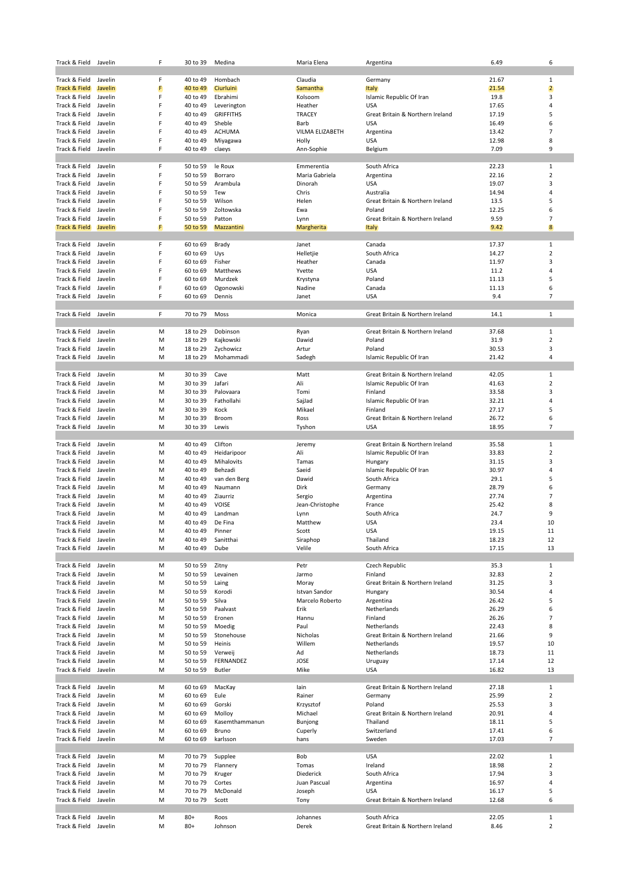| Track & Field                  | Javelin            | F      | 30 to 39             | Medina                     | Maria Elena                   | Argentina                                      | 6.49           | 6                              |
|--------------------------------|--------------------|--------|----------------------|----------------------------|-------------------------------|------------------------------------------------|----------------|--------------------------------|
|                                |                    |        |                      |                            |                               |                                                |                |                                |
| Track & Field                  | Javelin            | F      | 40 to 49             | Hombach                    | Claudia                       | Germany                                        | 21.67          | 1                              |
| Track & Field                  | Javelin            | F      | 40 to 49             | Ciurluini                  | Samantha                      | <b>Italy</b>                                   | 21.54          | $\overline{2}$                 |
| Track & Field                  | Javelin            | F      | 40 to 49             | Ebrahimi                   | Kolsoom                       | Islamic Republic Of Iran                       | 19.8           | 3                              |
| Track & Field                  | Javelin            | F<br>F | 40 to 49<br>40 to 49 | Leverington                | Heather                       | <b>USA</b>                                     | 17.65          | 4<br>5                         |
| Track & Field<br>Track & Field | Javelin<br>Javelin | F      | 40 to 49             | <b>GRIFFITHS</b><br>Sheble | <b>TRACEY</b><br>Barb         | Great Britain & Northern Ireland<br><b>USA</b> | 17.19<br>16.49 | 6                              |
| Track & Field                  | Javelin            | F      | 40 to 49             | <b>ACHUMA</b>              | VILMA ELIZABETH               | Argentina                                      | 13.42          | $\overline{7}$                 |
| Track & Field                  | Javelin            | F      | 40 to 49             | Miyagawa                   | Holly                         | <b>USA</b>                                     | 12.98          | 8                              |
| Track & Field                  | Javelin            | F      | 40 to 49             | claeys                     | Ann-Sophie                    | Belgium                                        | 7.09           | 9                              |
|                                |                    |        |                      |                            |                               |                                                |                |                                |
| Track & Field                  | Javelin            | F      | 50 to 59             | le Roux                    | Emmerentia                    | South Africa                                   | 22.23          | $\mathbf{1}$                   |
| Track & Field                  | Javelin            | F      | 50 to 59             | Borraro                    | Maria Gabriela                | Argentina                                      | 22.16          | $\overline{2}$                 |
| Track & Field                  | Javelin            | F      | 50 to 59             | Arambula                   | Dinorah                       | USA                                            | 19.07          | 3                              |
| Track & Field                  | Javelin            | F      | 50 to 59             | Tew                        | Chris                         | Australia                                      | 14.94          | 4                              |
| Track & Field                  | Javelin            | F      | 50 to 59             | Wilson                     | Helen                         | Great Britain & Northern Ireland               | 13.5           | 5                              |
| Track & Field                  | Javelin            | F      | 50 to 59             | Zoltowska                  | Ewa                           | Poland                                         | 12.25          | 6                              |
| Track & Field                  | Javelin            | F      | 50 to 59             | Patton                     | Lynn                          | Great Britain & Northern Ireland               | 9.59           | $\overline{7}$                 |
| Track & Field                  | Javelin            | F      | 50 to 59             | Mazzantini                 | Margherita                    | Italy                                          | 9.42           | $\boldsymbol{8}$               |
|                                |                    |        |                      |                            |                               |                                                |                |                                |
| Track & Field                  | Javelin            | F      | 60 to 69             | Brady                      | Janet                         | Canada                                         | 17.37          | $\mathbf{1}$                   |
| Track & Field                  | Javelin            | F      | 60 to 69             | Uys                        | Helletjie                     | South Africa                                   | 14.27          | $\overline{2}$                 |
| Track & Field                  | Javelin            | F<br>F | 60 to 69             | Fisher                     | Heather                       | Canada                                         | 11.97          | 3<br>$\overline{4}$            |
| Track & Field<br>Track & Field | Javelin<br>Javelin | F      | 60 to 69<br>60 to 69 | Matthews<br>Murdzek        | Yvette<br>Krystyna            | <b>USA</b><br>Poland                           | 11.2<br>11.13  | 5                              |
| Track & Field                  | Javelin            | F      | 60 to 69             | Ogonowski                  | Nadine                        | Canada                                         | 11.13          | 6                              |
| Track & Field                  | Javelin            | F      | 60 to 69             | Dennis                     | Janet                         | <b>USA</b>                                     | 9.4            | $\overline{7}$                 |
|                                |                    |        |                      |                            |                               |                                                |                |                                |
| Track & Field                  | Javelin            | F      | 70 to 79             | Moss                       | Monica                        | Great Britain & Northern Ireland               | 14.1           | $\mathbf{1}$                   |
|                                |                    |        |                      |                            |                               |                                                |                |                                |
| Track & Field                  | Javelin            | M      | 18 to 29             | Dobinson                   | Ryan                          | Great Britain & Northern Ireland               | 37.68          | $\mathbf{1}$                   |
| Track & Field                  | Javelin            | M      | 18 to 29             | Kajkowski                  | Dawid                         | Poland                                         | 31.9           | $\overline{2}$                 |
| Track & Field                  | Javelin            | M      | 18 to 29             | Zychowicz                  | Artur                         | Poland                                         | 30.53          | 3                              |
| Track & Field                  | Javelin            | M      | 18 to 29             | Mohammadi                  | Sadegh                        | Islamic Republic Of Iran                       | 21.42          | 4                              |
|                                |                    |        |                      |                            |                               |                                                |                |                                |
| Track & Field                  | Javelin            | M      | 30 to 39             | Cave                       | Matt                          | Great Britain & Northern Ireland               | 42.05          | 1                              |
| Track & Field                  | Javelin            | M      | 30 to 39             | Jafari                     | Ali                           | Islamic Republic Of Iran                       | 41.63          | $\overline{2}$                 |
| Track & Field                  | Javelin            | M      | 30 to 39             | Palovaara                  | Tomi                          | Finland                                        | 33.58          | 3                              |
| Track & Field                  | Javelin            | M      | 30 to 39             | Fathollahi                 | SajJad                        | Islamic Republic Of Iran                       | 32.21          | 4                              |
| Track & Field                  | Javelin            | M      | 30 to 39             | Kock                       | Mikael                        | Finland                                        | 27.17          | 5                              |
| Track & Field<br>Track & Field | Javelin<br>Javelin | M<br>M | 30 to 39<br>30 to 39 | Broom<br>Lewis             | Ross                          | Great Britain & Northern Ireland<br><b>USA</b> | 26.72<br>18.95 | 6<br>$\overline{7}$            |
|                                |                    |        |                      |                            | Tyshon                        |                                                |                |                                |
| Track & Field                  | Javelin            | М      | 40 to 49             | Clifton                    | Jeremy                        | Great Britain & Northern Ireland               | 35.58          | $\mathbf{1}$                   |
| Track & Field                  | Javelin            | M      | 40 to 49             | Heidaripoor                | Ali                           | Islamic Republic Of Iran                       | 33.83          | $\overline{2}$                 |
| Track & Field                  | Javelin            | M      | 40 to 49             | Mihalovits                 | Tamas                         | Hungary                                        | 31.15          | 3                              |
| Track & Field                  | Javelin            | M      | 40 to 49             | Behzadi                    | Saeid                         | Islamic Republic Of Iran                       | 30.97          | 4                              |
| Track & Field                  | Javelin            | M      | 40 to 49             | van den Berg               | Dawid                         | South Africa                                   | 29.1           | 5                              |
| Track & Field                  | Javelin            | M      | 40 to 49             | Naumann                    | Dirk                          | Germany                                        | 28.79          | 6                              |
| Track & Field                  | Javelin            | M      | 40 to 49             | Ziaurriz                   | Sergio                        | Argentina                                      | 27.74          | $\overline{7}$                 |
| Track & Field                  | Javelin            | M      | 40 to 49             | <b>VOISE</b>               | Jean-Christophe               | France                                         | 25.42          | 8                              |
| Track & Field                  | Javelin            | M      | 40 to 49             | Landman                    | Lynn                          | South Africa                                   | 24.7           | 9                              |
| Track & Field                  | Javelin            | M      | 40 to 49             | De Fina                    | Matthew                       | <b>USA</b>                                     | 23.4           | 10                             |
| Track & Field                  | Javelin            | M      | 40 to 49             | Pinner                     | Scott                         | <b>USA</b>                                     | 19.15          | 11                             |
| Track & Field                  | Javelin            | M      | 40 to 49             | Sanitthai                  | Siraphop                      | Thailand                                       | 18.23          | 12                             |
| Track & Field                  | Javelin            | M      | 40 to 49             | Dube                       | Velile                        | South Africa                                   | 17.15          | 13                             |
|                                |                    |        |                      |                            |                               |                                                |                |                                |
| Track & Field                  | Javelin            | М      | 50 to 59             | Zitny                      | Petr                          | Czech Republic<br>Finland                      | 35.3           | $\mathbf{1}$<br>$\overline{2}$ |
| Track & Field                  | Javelin            | M      | 50 to 59             | Levainen                   | Jarmo                         |                                                | 32.83          |                                |
| Track & Field<br>Track & Field | Javelin<br>Javelin | M<br>M | 50 to 59<br>50 to 59 | Laing<br>Korodi            | Moray<br><b>Istvan Sandor</b> | Great Britain & Northern Ireland<br>Hungary    | 31.25<br>30.54 | 3<br>$\overline{4}$            |
| Track & Field                  | Javelin            | M      | 50 to 59             | Silva                      | Marcelo Roberto               | Argentina                                      | 26.42          | 5                              |
| Track & Field                  | Javelin            | M      | 50 to 59             | Paalvast                   | Erik                          | Netherlands                                    | 26.29          | 6                              |
| Track & Field                  | Javelin            | M      | 50 to 59             | Eronen                     | Hannu                         | Finland                                        | 26.26          | $\overline{7}$                 |
| Track & Field                  | Javelin            | M      | 50 to 59             | Moedig                     | Paul                          | Netherlands                                    | 22.43          | 8                              |
| Track & Field                  | Javelin            | M      | 50 to 59             | Stonehouse                 | Nicholas                      | Great Britain & Northern Ireland               | 21.66          | 9                              |
| Track & Field                  | Javelin            | M      | 50 to 59             | Heinis                     | Willem                        | Netherlands                                    | 19.57          | 10                             |
| Track & Field                  | Javelin            | M      | 50 to 59             | Verweij                    | Ad                            | Netherlands                                    | 18.73          | 11                             |
| Track & Field                  | Javelin            | M      | 50 to 59             | FERNANDEZ                  | JOSE                          | Uruguay                                        | 17.14          | 12                             |
| Track & Field                  | Javelin            | M      | 50 to 59             | Butler                     | Mike                          | <b>USA</b>                                     | 16.82          | 13                             |
|                                |                    |        |                      |                            |                               |                                                |                |                                |
| Track & Field                  | Javelin            | M      | 60 to 69             | MacKay                     | lain                          | Great Britain & Northern Ireland               | 27.18          | $\mathbf{1}$                   |
| Track & Field                  | Javelin            | M      | 60 to 69             | Eule                       | Rainer                        | Germany                                        | 25.99          | $\overline{2}$                 |
| Track & Field                  | Javelin            | M      | 60 to 69             | Gorski                     | Krzysztof                     | Poland                                         | 25.53          | 3                              |
| Track & Field                  | Javelin            | M      | 60 to 69             | Molloy                     | Michael                       | Great Britain & Northern Ireland               | 20.91          | $\overline{4}$                 |
| Track & Field                  | Javelin            | M      | 60 to 69             | Kasemthammanun             | Bunjong                       | Thailand                                       | 18.11          | 5<br>6                         |
| Track & Field                  | Javelin            | M      | 60 to 69             | Bruno                      | Cuperly                       | Switzerland                                    | 17.41          |                                |
| Track & Field                  | Javelin            | М      | 60 to 69             | karlsson                   | hans                          | Sweden                                         | 17.03          | $\overline{7}$                 |
| Track & Field                  | Javelin            | М      | 70 to 79             | Supplee                    | Bob                           | <b>USA</b>                                     | 22.02          | 1                              |
| Track & Field                  | Javelin            | M      | 70 to 79             | Flannery                   | Tomas                         | Ireland                                        | 18.98          | $\overline{2}$                 |
| Track & Field                  | Javelin            | M      | 70 to 79             | Kruger                     | Diederick                     | South Africa                                   | 17.94          | 3                              |
| Track & Field                  | Javelin            | M      | 70 to 79             | Cortes                     | Juan Pascual                  | Argentina                                      | 16.97          | 4                              |
| Track & Field                  | Javelin            | M      | 70 to 79             | McDonald                   | Joseph                        | <b>USA</b>                                     | 16.17          | 5                              |
| Track & Field                  | Javelin            | M      | 70 to 79             | Scott                      | Tony                          | Great Britain & Northern Ireland               | 12.68          | 6                              |
|                                |                    |        |                      |                            |                               |                                                |                |                                |
| Track & Field                  | Javelin            | М      | $80+$                | Roos                       | Johannes                      | South Africa                                   | 22.05          | $\mathbf 1$                    |
| Track & Field                  | Javelin            | M      | $80+$                | Johnson                    | Derek                         | Great Britain & Northern Ireland               | 8.46           | $\overline{2}$                 |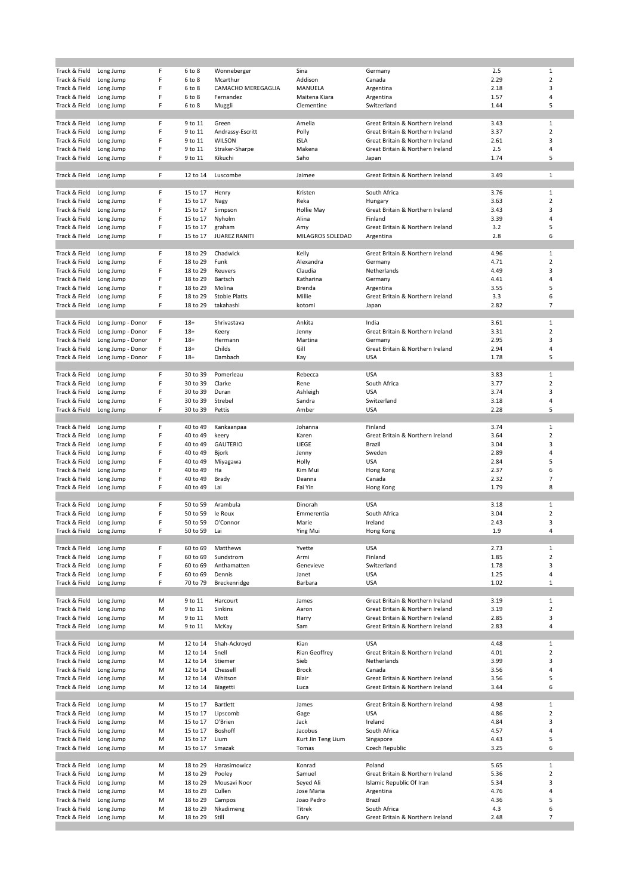| Track & Field | Long Jump         | F | 6 to 8   | Wonneberger          | Sina               | Germany                          | 2.5  | 1                       |
|---------------|-------------------|---|----------|----------------------|--------------------|----------------------------------|------|-------------------------|
| Track & Field | Long Jump         | F | 6 to 8   | Mcarthur             | Addison            | Canada                           | 2.29 | $\overline{2}$          |
| Track & Field | Long Jump         | F | 6 to 8   | CAMACHO MEREGAGLIA   | MANUELA            | Argentina                        | 2.18 | 3                       |
| Track & Field | Long Jump         | F | 6 to 8   | Fernandez            | Maitena Kiara      | Argentina                        | 1.57 | 4                       |
| Track & Field | Long Jump         | F | 6 to 8   | Muggli               | Clementine         | Switzerland                      | 1.44 | 5                       |
|               |                   |   |          |                      |                    |                                  |      |                         |
|               |                   |   |          |                      |                    |                                  |      |                         |
| Track & Field | Long Jump         | F | 9 to 11  | Green                | Amelia             | Great Britain & Northern Ireland | 3.43 | $1\,$                   |
| Track & Field | Long Jump         | F | 9 to 11  | Andrassy-Escritt     | Polly              | Great Britain & Northern Ireland | 3.37 | $\overline{2}$          |
| Track & Field | Long Jump         | F | 9 to 11  | WILSON               | <b>ISLA</b>        | Great Britain & Northern Ireland | 2.61 | 3                       |
| Track & Field | Long Jump         | F | 9 to 11  | Straker-Sharpe       | Makena             | Great Britain & Northern Ireland | 2.5  | 4                       |
| Track & Field | Long Jump         | F | 9 to 11  | Kikuchi              | Saho               | Japan                            | 1.74 | 5                       |
|               |                   |   |          |                      |                    |                                  |      |                         |
| Track & Field | Long Jump         | F | 12 to 14 | Luscombe             | Jaimee             | Great Britain & Northern Ireland | 3.49 | $\mathbf{1}$            |
|               |                   |   |          |                      |                    |                                  |      |                         |
| Track & Field |                   | F | 15 to 17 | Henry                | Kristen            | South Africa                     | 3.76 | $\mathbf{1}$            |
|               | Long Jump         |   |          |                      |                    |                                  |      | $\overline{2}$          |
| Track & Field | Long Jump         | F | 15 to 17 | Nagy                 | Reka               | Hungary                          | 3.63 |                         |
| Track & Field | Long Jump         | F | 15 to 17 | Simpson              | Hollie May         | Great Britain & Northern Ireland | 3.43 | 3                       |
| Track & Field | Long Jump         | F | 15 to 17 | Nyholm               | Alina              | Finland                          | 3.39 | 4                       |
| Track & Field | Long Jump         | F | 15 to 17 | graham               | Amy                | Great Britain & Northern Ireland | 3.2  | 5                       |
| Track & Field | Long Jump         | F | 15 to 17 | <b>JUAREZ RANITI</b> | MILAGROS SOLEDAD   | Argentina                        | 2.8  | 6                       |
|               |                   |   |          |                      |                    |                                  |      |                         |
| Track & Field | Long Jump         | F | 18 to 29 | Chadwick             | Kelly              | Great Britain & Northern Ireland | 4.96 | $\mathbf{1}$            |
| Track & Field | Long Jump         | F | 18 to 29 | Funk                 | Alexandra          | Germany                          | 4.71 | $\overline{2}$          |
| Track & Field | Long Jump         | F | 18 to 29 | Reuvers              | Claudia            | Netherlands                      | 4.49 | 3                       |
|               |                   | F | 18 to 29 |                      | Katharina          | Germany                          |      | 4                       |
| Track & Field | Long Jump         |   |          | Bartsch              |                    |                                  | 4.41 |                         |
| Track & Field | Long Jump         | F | 18 to 29 | Molina               | Brenda             | Argentina                        | 3.55 | 5                       |
| Track & Field | Long Jump         | F | 18 to 29 | <b>Stobie Platts</b> | Millie             | Great Britain & Northern Ireland | 3.3  | 6                       |
| Track & Field | Long Jump         | F | 18 to 29 | takahashi            | kotomi             | Japan                            | 2.82 | $\overline{7}$          |
|               |                   |   |          |                      |                    |                                  |      |                         |
| Track & Field | Long Jump - Donor | F | $18+$    | Shrivastava          | Ankita             | India                            | 3.61 | $\mathbf{1}$            |
| Track & Field | Long Jump - Donor | F | $18+$    | Keery                | Jenny              | Great Britain & Northern Ireland | 3.31 | $\overline{\mathbf{c}}$ |
| Track & Field | Long Jump - Donor | F | $18+$    | Hermann              | Martina            | Germany                          | 2.95 | 3                       |
| Track & Field | Long Jump - Donor | F | $18+$    | Childs               | Gill               | Great Britain & Northern Ireland | 2.94 | 4                       |
| Track & Field |                   | F | $18+$    | Dambach              | Kay                | <b>USA</b>                       | 1.78 | 5                       |
|               | Long Jump - Donor |   |          |                      |                    |                                  |      |                         |
|               |                   |   |          |                      |                    |                                  |      |                         |
| Track & Field | Long Jump         | F | 30 to 39 | Pomerleau            | Rebecca            | <b>USA</b>                       | 3.83 | $\mathbf 1$             |
| Track & Field | Long Jump         | F | 30 to 39 | Clarke               | Rene               | South Africa                     | 3.77 | $\overline{2}$          |
| Track & Field | Long Jump         | F | 30 to 39 | Duran                | Ashleigh           | <b>USA</b>                       | 3.74 | 3                       |
| Track & Field | Long Jump         | F | 30 to 39 | Strebel              | Sandra             | Switzerland                      | 3.18 | 4                       |
| Track & Field | Long Jump         | F | 30 to 39 | Pettis               | Amber              | <b>USA</b>                       | 2.28 | 5                       |
|               |                   |   |          |                      |                    |                                  |      |                         |
| Track & Field | Long Jump         | F | 40 to 49 | Kankaanpaa           | Johanna            | Finland                          | 3.74 | $\mathbf{1}$            |
| Track & Field | Long Jump         | F | 40 to 49 | keery                | Karen              | Great Britain & Northern Ireland | 3.64 | $\overline{2}$          |
|               |                   | F |          | <b>GAUTERIO</b>      |                    | <b>Brazil</b>                    | 3.04 | 3                       |
| Track & Field | Long Jump         |   | 40 to 49 |                      | LIEGE              |                                  |      |                         |
| Track & Field | Long Jump         | F | 40 to 49 | Bjork                | Jenny              | Sweden                           | 2.89 | 4                       |
| Track & Field | Long Jump         | F | 40 to 49 | Miyagawa             | Holly              | <b>USA</b>                       | 2.84 | 5                       |
| Track & Field | Long Jump         | F | 40 to 49 | Ha                   | Kim Mui            | Hong Kong                        | 2.37 | 6                       |
| Track & Field | Long Jump         | F | 40 to 49 | Brady                | Deanna             | Canada                           | 2.32 | $\overline{7}$          |
| Track & Field | Long Jump         | F | 40 to 49 | Lai                  | Fai Yin            | Hong Kong                        | 1.79 | 8                       |
|               |                   |   |          |                      |                    |                                  |      |                         |
| Track & Field | Long Jump         | F | 50 to 59 | Arambula             | Dinorah            | <b>USA</b>                       | 3.18 | $\mathbf{1}$            |
| Track & Field | Long Jump         | F | 50 to 59 | le Roux              | Emmerentia         | South Africa                     | 3.04 | $\overline{2}$          |
|               |                   | F | 50 to 59 | O'Connor             | Marie              | Ireland                          | 2.43 | 3                       |
| Track & Field | Long Jump         |   |          |                      |                    |                                  |      |                         |
| Track & Field | Long Jump         | F | 50 to 59 | Lai                  | Ying Mui           | Hong Kong                        | 1.9  | 4                       |
|               |                   |   |          |                      |                    |                                  |      |                         |
| Track & Field | Long Jump         | F | 60 to 69 | Matthews             | Yvette             | <b>USA</b>                       | 2.73 | $\,1$                   |
| Track & Field | Long Jump         | F | 60 to 69 | Sundstrom            | Armi               | Finland                          | 1.85 | $\overline{2}$          |
| Track & Field | Long Jump         | F | 60 to 69 | Anthamatten          | Genevieve          | Switzerland                      | 1.78 | 3                       |
| Track & Field | Long Jump         | F | 60 to 69 | Dennis               | Janet              | <b>USA</b>                       | 1.25 | 4                       |
| Track & Field | Long Jump         | F | 70 to 79 | Breckenridge         | Barbara            | <b>USA</b>                       | 1.02 | $\mathbf{1}$            |
|               |                   |   |          |                      |                    |                                  |      |                         |
| Track & Field | Long Jump         | M | 9 to 11  | Harcourt             | James              | Great Britain & Northern Ireland | 3.19 | $\mathbf{1}$            |
| Track & Field | Long Jump         | M | 9 to 11  | Sinkins              | Aaron              | Great Britain & Northern Ireland | 3.19 | 2                       |
| Track & Field | Long Jump         | M | 9 to 11  | Mott                 | Harry              | Great Britain & Northern Ireland | 2.85 | 3                       |
|               |                   |   |          |                      |                    |                                  |      |                         |
| Track & Field | Long Jump         | M | 9 to 11  | McKay                | Sam                | Great Britain & Northern Ireland | 2.83 | 4                       |
|               |                   |   |          |                      |                    |                                  |      |                         |
| Track & Field | Long Jump         | M | 12 to 14 | Shah-Ackroyd         | Kian               | <b>USA</b>                       | 4.48 | $\mathbf{1}$            |
| Track & Field | Long Jump         | M | 12 to 14 | Snell                | Rian Geoffrey      | Great Britain & Northern Ireland | 4.01 | $\overline{2}$          |
| Track & Field | Long Jump         | M | 12 to 14 | Stiemer              | Sieb               | Netherlands                      | 3.99 | 3                       |
| Track & Field | Long Jump         | M | 12 to 14 | Chessell             | Brock              | Canada                           | 3.56 | 4                       |
| Track & Field | Long Jump         | M | 12 to 14 | Whitson              | Blair              | Great Britain & Northern Ireland | 3.56 | 5                       |
| Track & Field | Long Jump         | M | 12 to 14 | Biagetti             | Luca               | Great Britain & Northern Ireland | 3.44 | 6                       |
|               |                   |   |          |                      |                    |                                  |      |                         |
| Track & Field | Long Jump         | M | 15 to 17 | Bartlett             | James              | Great Britain & Northern Ireland | 4.98 | $\mathbf{1}$            |
|               |                   | M |          |                      |                    | <b>USA</b>                       |      | $\overline{2}$          |
| Track & Field | Long Jump         |   | 15 to 17 | Lipscomb             | Gage               |                                  | 4.86 |                         |
| Track & Field | Long Jump         | M | 15 to 17 | O'Brien              | Jack               | Ireland                          | 4.84 | 3                       |
| Track & Field | Long Jump         | M | 15 to 17 | Boshoff              | Jacobus            | South Africa                     | 4.57 | 4                       |
| Track & Field | Long Jump         | M | 15 to 17 | Lium                 | Kurt Jin Teng Lium | Singapore                        | 4.43 | 5                       |
| Track & Field | Long Jump         | M | 15 to 17 | Smazak               | Tomas              | Czech Republic                   | 3.25 | 6                       |
|               |                   |   |          |                      |                    |                                  |      |                         |
| Track & Field | Long Jump         | M | 18 to 29 | Harasimowicz         | Konrad             | Poland                           | 5.65 | $\mathbf{1}$            |
| Track & Field | Long Jump         | M | 18 to 29 | Pooley               | Samuel             | Great Britain & Northern Ireland | 5.36 | $\overline{2}$          |
| Track & Field | Long Jump         | M | 18 to 29 | Mousavi Noor         | Seyed Ali          | Islamic Republic Of Iran         | 5.34 | 3                       |
|               |                   |   |          | Cullen               |                    |                                  |      | 4                       |
| Track & Field | Long Jump         | M | 18 to 29 |                      | Jose Maria         | Argentina                        | 4.76 |                         |
| Track & Field | Long Jump         | M | 18 to 29 | Campos               | Joao Pedro         | Brazil                           | 4.36 | 5                       |
| Track & Field | Long Jump         | M | 18 to 29 | Nkadimeng            | Titrek             | South Africa                     | 4.3  | 6                       |
| Track & Field | Long Jump         | M | 18 to 29 | Still                | Gary               | Great Britain & Northern Ireland | 2.48 | $\overline{7}$          |
|               |                   |   |          |                      |                    |                                  |      |                         |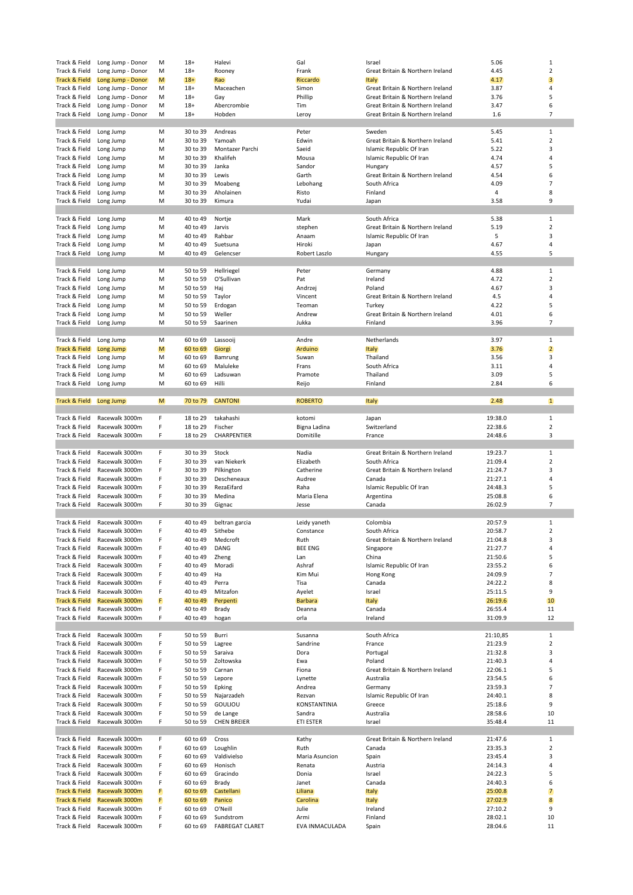| Track & Field                  | Long Jump - Donor                | M      | $18+$                | Halevi                              | Gal                    | Israel                                        | 5.06               | 1              |
|--------------------------------|----------------------------------|--------|----------------------|-------------------------------------|------------------------|-----------------------------------------------|--------------------|----------------|
| Track & Field                  | Long Jump - Donor                | М      | $18+$                | Rooney                              | Frank                  | Great Britain & Northern Ireland              | 4.45               | $\overline{2}$ |
| <b>Track &amp; Field</b>       | Long Jump - Donor                | M      | $18+$                | Rao                                 | Riccardo               | <b>Italy</b>                                  | 4.17               | 3              |
| Track & Field                  | Long Jump - Donor                | м      | $18+$                | Maceachen                           | Simon                  | Great Britain & Northern Ireland              | 3.87               | $\overline{4}$ |
| Track & Field                  | Long Jump - Donor                | М      | $18+$                | Gay                                 | Phillip                | Great Britain & Northern Ireland              | 3.76               | 5              |
| Track & Field                  | Long Jump - Donor                | М      | $18+$                | Abercrombie                         | Tim                    | Great Britain & Northern Ireland              | 3.47               | 6              |
| Track & Field                  | Long Jump - Donor                | М      | $18+$                | Hobden                              | Leroy                  | Great Britain & Northern Ireland              | 1.6                | $\overline{7}$ |
|                                |                                  |        |                      |                                     |                        |                                               |                    |                |
| Track & Field                  | Long Jump                        | М      | 30 to 39             | Andreas                             | Peter                  | Sweden                                        | 5.45               | $\mathbf{1}$   |
| Track & Field                  | Long Jump                        | М      | 30 to 39             | Yamoah                              | Edwin                  | Great Britain & Northern Ireland              | 5.41               | $\overline{2}$ |
| Track & Field                  | Long Jump                        | M      | 30 to 39             | Montazer Parchi                     | Saeid                  | Islamic Republic Of Iran                      | 5.22               | 3              |
| Track & Field                  | Long Jump                        | М      | 30 to 39             | Khalifeh                            | Mousa                  | Islamic Republic Of Iran                      | 4.74               | 4              |
| Track & Field                  | Long Jump                        | М      | 30 to 39             | Janka                               | Sandor                 | Hungary                                       | 4.57               | 5              |
| Track & Field                  | Long Jump                        | М      | 30 to 39             | Lewis                               | Garth                  | Great Britain & Northern Ireland              | 4.54               | 6              |
| Track & Field                  | Long Jump                        | м      | 30 to 39             | Moabeng                             | Lebohang               | South Africa                                  | 4.09               | $\overline{7}$ |
| Track & Field                  | Long Jump                        | М      | 30 to 39             | Aholainen                           | Risto                  | Finland                                       | 4                  | 8              |
| Track & Field                  | Long Jump                        | М      | 30 to 39             | Kimura                              | Yudai                  | Japan                                         | 3.58               | 9              |
|                                |                                  |        |                      |                                     |                        |                                               |                    |                |
| Track & Field                  | Long Jump                        | M      | 40 to 49             | Nortje                              | Mark                   | South Africa                                  | 5.38               | $\mathbf{1}$   |
| Track & Field                  | Long Jump                        | М      | 40 to 49             | Jarvis                              | stephen                | Great Britain & Northern Ireland              | 5.19               | $\overline{2}$ |
| Track & Field                  | Long Jump                        | М      | 40 to 49             | Rahbar                              | Anaam                  | Islamic Republic Of Iran                      | 5                  | 3              |
| Track & Field                  | Long Jump                        | М      | 40 to 49             | Suetsuna                            | Hiroki                 | Japan                                         | 4.67               | 4              |
| Track & Field                  | Long Jump                        | M      | 40 to 49             | Gelencser                           | Robert Laszlo          | Hungary                                       | 4.55               | 5              |
|                                |                                  |        |                      |                                     |                        |                                               |                    |                |
| Track & Field                  | Long Jump                        | М      | 50 to 59             | Hellriegel                          | Peter                  | Germany                                       | 4.88               | $\mathbf{1}$   |
| Track & Field                  | Long Jump                        | М      | 50 to 59             | O'Sullivan                          | Pat                    | Ireland                                       | 4.72               | $\overline{2}$ |
| Track & Field                  | Long Jump                        | М      | 50 to 59             | Haj                                 | Andrzej                | Poland                                        | 4.67               | 3              |
| Track & Field                  | Long Jump                        | М      | 50 to 59             | Taylor                              | Vincent                | Great Britain & Northern Ireland              | 4.5                | $\overline{4}$ |
| Track & Field                  | Long Jump                        | м      | 50 to 59             | Erdogan                             | Teoman                 | Turkey                                        | 4.22               | 5              |
| Track & Field                  | Long Jump                        | М      | 50 to 59             | Weller                              | Andrew                 | Great Britain & Northern Ireland              | 4.01               | 6              |
| Track & Field                  | Long Jump                        | М      | 50 to 59             | Saarinen                            | Jukka                  | Finland                                       | 3.96               | $\overline{7}$ |
|                                |                                  |        |                      |                                     |                        |                                               |                    |                |
| Track & Field                  | Long Jump                        | М      | 60 to 69             | Lassooij                            | Andre                  | Netherlands                                   | 3.97               | $\mathbf{1}$   |
| <b>Track &amp; Field</b>       | Long Jump                        | M      | 60 to 69             | Giorgi                              | Arduino                | <b>Italy</b>                                  | 3.76               | $\overline{2}$ |
| Track & Field                  | Long Jump                        | М      | 60 to 69             | Bamrung                             | Suwan                  | Thailand                                      | 3.56               | 3              |
| Track & Field                  | Long Jump                        | M      | 60 to 69             | Maluleke                            | Frans                  | South Africa                                  | 3.11               | 4              |
| Track & Field                  |                                  | M      | 60 to 69             | Ladsuwan                            | Pramote                | Thailand                                      | 3.09               | 5              |
|                                | Long Jump                        | M      |                      | Hilli                               |                        | Finland                                       | 2.84               | 6              |
| Track & Field                  | Long Jump                        |        | 60 to 69             |                                     | Reijo                  |                                               |                    |                |
|                                |                                  |        | 70 to 79             | <b>CANTONI</b>                      |                        |                                               |                    | $\mathbf{1}$   |
| <b>Track &amp; Field</b>       | Long Jump                        | M      |                      |                                     | <b>ROBERTO</b>         | Italy                                         | 2.48               |                |
|                                |                                  |        |                      |                                     |                        |                                               |                    |                |
| Track & Field                  | Racewalk 3000m                   | F      | 18 to 29             | takahashi                           | kotomi                 | Japan                                         | 19:38.0            | $\mathbf{1}$   |
| Track & Field                  | Racewalk 3000m                   | F      | 18 to 29             | Fischer                             | Bigna Ladina           | Switzerland                                   | 22:38.6            | $\overline{2}$ |
| Track & Field                  | Racewalk 3000m                   | F      | 18 to 29             | CHARPENTIER                         | Domitille              | France                                        | 24:48.6            | 3              |
|                                |                                  |        |                      |                                     |                        |                                               |                    |                |
|                                |                                  |        |                      |                                     |                        |                                               |                    |                |
| Track & Field                  | Racewalk 3000m                   | F.     | 30 to 39             | Stock                               | Nadia                  | Great Britain & Northern Ireland              | 19:23.7            | $\mathbf{1}$   |
| Track & Field                  | Racewalk 3000m                   | F      | 30 to 39             | van Niekerk                         | Elizabeth              | South Africa                                  | 21:09.4            | $\overline{2}$ |
| Track & Field                  | Racewalk 3000m                   | F      | 30 to 39             | Pilkington                          | Catherine              | Great Britain & Northern Ireland              | 21:24.7            | 3              |
| Track & Field                  | Racewalk 3000m                   | F      | 30 to 39             | Descheneaux                         | Audree                 | Canada                                        | 21:27.1            | 4              |
| Track & Field                  | Racewalk 3000m                   | F      | 30 to 39             | RezaEifard                          | Raha                   | Islamic Republic Of Iran                      | 24:48.3            | 5              |
| Track & Field                  | Racewalk 3000m                   | F      | 30 to 39             | Medina                              | Maria Elena            | Argentina                                     | 25:08.8            | 6              |
| Track & Field                  | Racewalk 3000m                   | F      | 30 to 39             | Gignac                              | Jesse                  | Canada                                        | 26:02.9            | $\overline{7}$ |
|                                |                                  |        |                      |                                     |                        |                                               |                    |                |
| Track & Field                  | Racewalk 3000m                   | F      | 40 to 49             | beltran garcia                      | Leidy yaneth           | Colombia                                      | 20:57.9            | $\mathbf{1}$   |
| Track & Field                  | Racewalk 3000m                   | F      | 40 to 49             | Sithebe                             | Constance              | South Africa                                  | 20:58.7            | $\overline{2}$ |
| Track & Field                  | Racewalk 3000m                   | F      | 40 to 49             | Medcroft                            | Ruth                   | Great Britain & Northern Ireland              | 21:04.8            | 3              |
| Track & Field                  | Racewalk 3000m                   | F      | 40 to 49             | DANG                                | <b>BEE ENG</b>         | Singapore                                     | 21:27.7            | 4              |
| Track & Field                  | Racewalk 3000m                   | F      | 40 to 49             | Zheng                               | Lan                    | China                                         | 21:50.6            | 5              |
| Track & Field                  | Racewalk 3000m                   | F      | 40 to 49             | Moradi                              | Ashraf                 | Islamic Republic Of Iran                      | 23:55.2            | 6              |
| Track & Field                  | Racewalk 3000m                   | F      | 40 to 49             | Ha                                  | Kim Mui                | Hong Kong                                     | 24:09.9            | $\overline{7}$ |
| Track & Field                  | Racewalk 3000m                   | F      | 40 to 49             | Perra                               | Tisa                   | Canada                                        | 24:22.2            | 8              |
| Track & Field                  | Racewalk 3000m                   | F      | 40 to 49             | Mitzafon                            | Ayelet                 | Israel                                        | 25:11.5            | 9              |
| <b>Track &amp; Field</b>       | Racewalk 3000m                   | F      | 40 to 49             | Perpenti                            | <b>Barbara</b>         | Italy                                         | 26:19.6            | 10             |
| Track & Field                  | Racewalk 3000m                   | F      | 40 to 49             | Brady                               | Deanna                 | Canada                                        | 26:55.4            | 11             |
| Track & Field                  | Racewalk 3000m                   | F      | 40 to 49             | hogan                               | orla                   | Ireland                                       | 31:09.9            | 12             |
|                                |                                  |        |                      |                                     |                        |                                               |                    |                |
| Track & Field                  | Racewalk 3000m                   | F      | 50 to 59             | Burri                               | Susanna                | South Africa                                  | 21:10,85           | $\mathbf 1$    |
| Track & Field                  | Racewalk 3000m                   | F      | 50 to 59             | Lagree                              | Sandrine               | France                                        | 21:23.9            | $\overline{2}$ |
| Track & Field                  | Racewalk 3000m                   | F      | 50 to 59             | Saraiva                             | Dora                   | Portugal                                      | 21:32.8            | 3              |
| Track & Field                  | Racewalk 3000m                   | F      | 50 to 59             | Zoltowska                           | Ewa                    | Poland                                        | 21:40.3            | 4              |
|                                | Racewalk 3000m                   | F      |                      | Carnan                              |                        |                                               |                    |                |
| Track & Field<br>Track & Field | Racewalk 3000m                   | F      | 50 to 59<br>50 to 59 | Lepore                              | Fiona<br>Lynette       | Great Britain & Northern Ireland<br>Australia | 22:06.1<br>23:54.5 | 5<br>6         |
| Track & Field                  | Racewalk 3000m                   | F      | 50 to 59             |                                     | Andrea                 | Germany                                       |                    | $\overline{7}$ |
| Track & Field                  | Racewalk 3000m                   | F      | 50 to 59             | Epking<br>Najarzadeh                | Rezvan                 | Islamic Republic Of Iran                      | 23:59.3            | 8              |
| Track & Field                  | Racewalk 3000m                   | F      | 50 to 59             | GOULIOU                             | KONSTANTINIA           | Greece                                        | 24:40.1<br>25:18.6 | 9              |
|                                |                                  |        |                      |                                     |                        |                                               |                    |                |
| Track & Field                  | Racewalk 3000m                   | F<br>F | 50 to 59             | de Lange                            | Sandra                 | Australia<br>Israel                           | 28:58.6            | 10<br>11       |
| Track & Field                  | Racewalk 3000m                   |        | 50 to 59             | <b>CHEN BREIER</b>                  | ETI ESTER              |                                               | 35:48.4            |                |
|                                |                                  |        |                      |                                     |                        |                                               |                    |                |
| Track & Field                  | Racewalk 3000m                   | F      | 60 to 69             | Cross                               | Kathy                  | Great Britain & Northern Ireland              | 21:47.6            | $\mathbf{1}$   |
| Track & Field                  | Racewalk 3000m                   | F      | 60 to 69             | Loughlin                            | Ruth                   | Canada                                        | 23:35.3            | $\overline{2}$ |
| Track & Field                  | Racewalk 3000m                   | F      | 60 to 69             | Valdivielso                         | Maria Asuncion         | Spain                                         | 23:45.4            | 3              |
| Track & Field                  | Racewalk 3000m                   | F      | 60 to 69             | Honisch                             | Renata                 | Austria                                       | 24:14.3            | 4              |
| Track & Field                  | Racewalk 3000m                   | F      | 60 to 69             | Gracindo                            | Donia                  | Israel                                        | 24:22.3            | 5              |
| Track & Field                  | Racewalk 3000m                   | F      | 60 to 69             | Brady                               | Janet                  | Canada                                        | 24:40.3            | 6              |
| <b>Track &amp; Field</b>       | Racewalk 3000m                   | F      | 60 to 69             | Castellani                          | Liliana                | Italy                                         | 25:00.8            | $\overline{7}$ |
| <b>Track &amp; Field</b>       | Racewalk 3000m                   | F      | 60 to 69             | Panico                              | Carolina               | Italy                                         | 27:02.9            | $8\phantom{1}$ |
| Track & Field                  | Racewalk 3000m                   | F      | 60 to 69             | O'Neill                             | Julie                  | Ireland                                       | 27:10.2            | 9              |
| Track & Field<br>Track & Field | Racewalk 3000m<br>Racewalk 3000m | F<br>F | 60 to 69<br>60 to 69 | Sundstrom<br><b>FABREGAT CLARET</b> | Armi<br>EVA INMACULADA | Finland<br>Spain                              | 28:02.1<br>28:04.6 | 10<br>11       |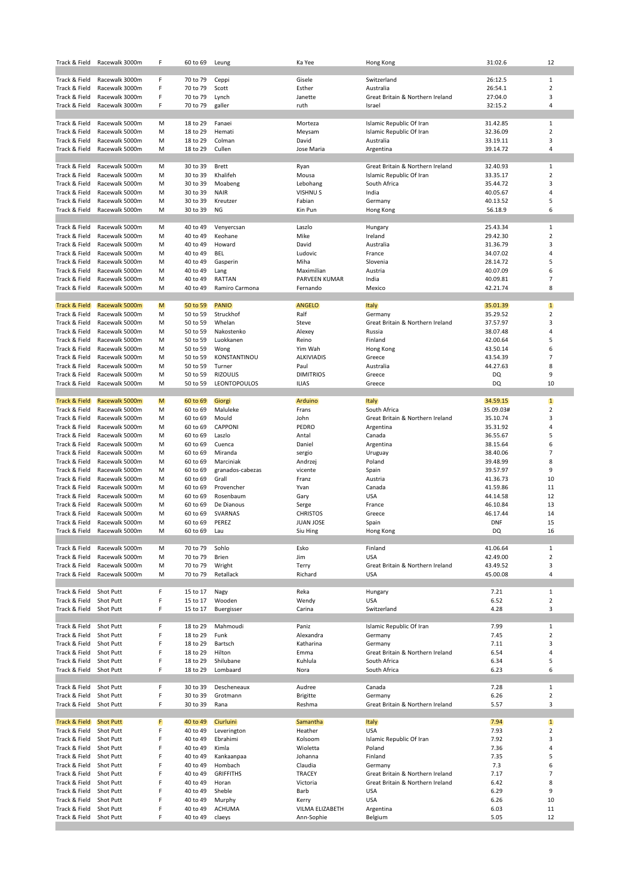| Track & Field                  | Racewalk 3000m                   | F      | 60 to 69             | Leung                    | Ka Yee              | Hong Kong                                                    | 31:02.6              | 12                      |
|--------------------------------|----------------------------------|--------|----------------------|--------------------------|---------------------|--------------------------------------------------------------|----------------------|-------------------------|
|                                |                                  |        |                      |                          |                     |                                                              |                      |                         |
| Track & Field                  | Racewalk 3000m                   | F      | 70 to 79             | Ceppi                    | Gisele              | Switzerland                                                  | 26:12.5              | 1                       |
| Track & Field                  | Racewalk 3000m                   | F<br>F | 70 to 79             | Scott                    | Esther              | Australia                                                    | 26:54.1              | $\overline{2}$<br>3     |
| Track & Field<br>Track & Field | Racewalk 3000m<br>Racewalk 3000m | F      | 70 to 79<br>70 to 79 | Lynch<br>galler          | Janette<br>ruth     | Great Britain & Northern Ireland<br>Israel                   | 27:04.0<br>32:15.2   | 4                       |
|                                |                                  |        |                      |                          |                     |                                                              |                      |                         |
| Track & Field                  | Racewalk 5000m                   | М      | 18 to 29             | Fanaei                   | Morteza             | Islamic Republic Of Iran                                     | 31.42.85             | $\mathbf{1}$            |
| Track & Field                  | Racewalk 5000m                   | М      | 18 to 29             | Hemati                   | Meysam              | Islamic Republic Of Iran                                     | 32.36.09             | $\overline{2}$          |
| Track & Field                  | Racewalk 5000m                   | М      | 18 to 29             | Colman                   | David               | Australia                                                    | 33.19.11             | 3                       |
| Track & Field                  | Racewalk 5000m                   | М      | 18 to 29             | Cullen                   | Jose Maria          | Argentina                                                    | 39.14.72             | 4                       |
|                                |                                  | M      |                      |                          |                     |                                                              |                      |                         |
| Track & Field<br>Track & Field | Racewalk 5000m<br>Racewalk 5000m | М      | 30 to 39<br>30 to 39 | <b>Brett</b><br>Khalifeh | Ryan<br>Mousa       | Great Britain & Northern Ireland<br>Islamic Republic Of Iran | 32.40.93<br>33.35.17 | 1<br>$\overline{2}$     |
| Track & Field                  | Racewalk 5000m                   | M      | 30 to 39             | Moabeng                  | Lebohang            | South Africa                                                 | 35.44.72             | 3                       |
| Track & Field                  | Racewalk 5000m                   | M      | 30 to 39             | <b>NAIR</b>              | VISHNU S            | India                                                        | 40.05.67             | 4                       |
| Track & Field                  | Racewalk 5000m                   | М      | 30 to 39             | Kreutzer                 | Fabian              | Germany                                                      | 40.13.52             | 5                       |
| Track & Field                  | Racewalk 5000m                   | М      | 30 to 39             | <b>NG</b>                | Kin Pun             | Hong Kong                                                    | 56.18.9              | 6                       |
|                                |                                  |        |                      |                          |                     |                                                              |                      |                         |
| Track & Field                  | Racewalk 5000m                   | М      | 40 to 49             | Venyercsan               | Laszlo              | Hungary                                                      | 25.43.34             | $\mathbf{1}$            |
| Track & Field                  | Racewalk 5000m                   | М      | 40 to 49             | Keohane                  | Mike                | Ireland                                                      | 29.42.30             | $\overline{2}$          |
| Track & Field                  | Racewalk 5000m                   | M      | 40 to 49             | Howard                   | David               | Australia                                                    | 31.36.79             | 3                       |
| Track & Field<br>Track & Field | Racewalk 5000m<br>Racewalk 5000m | М<br>M | 40 to 49<br>40 to 49 | <b>BEL</b><br>Gasperin   | Ludovic<br>Miha     | France<br>Slovenia                                           | 34.07.02<br>28.14.72 | 4<br>5                  |
| Track & Field                  | Racewalk 5000m                   | М      | 40 to 49             | Lang                     | Maximilian          | Austria                                                      | 40.07.09             | 6                       |
| Track & Field                  | Racewalk 5000m                   | М      | 40 to 49             | RATTAN                   | PARVEEN KUMAR       | India                                                        | 40.09.81             | $\overline{7}$          |
| Track & Field                  | Racewalk 5000m                   | М      | 40 to 49             | Ramiro Carmona           | Fernando            | Mexico                                                       | 42.21.74             | 8                       |
|                                |                                  |        |                      |                          |                     |                                                              |                      |                         |
| <b>Track &amp; Field</b>       | Racewalk 5000m                   | M      | 50 to 59             | <b>PANIO</b>             | <b>ANGELO</b>       | Italy                                                        | 35.01.39             | $\mathbf{1}$            |
| Track & Field                  | Racewalk 5000m                   | М      | 50 to 59             | Struckhof                | Ralf                | Germany                                                      | 35.29.52             | $\overline{\mathbf{c}}$ |
| Track & Field                  | Racewalk 5000m                   | М      | 50 to 59             | Whelan                   | Steve               | Great Britain & Northern Ireland                             | 37.57.97             | 3                       |
| Track & Field                  | Racewalk 5000m                   | М      | 50 to 59             | Nakostenko               | Alexey              | Russia                                                       | 38.07.48             | 4                       |
| Track & Field<br>Track & Field | Racewalk 5000m<br>Racewalk 5000m | M<br>М | 50 to 59<br>50 to 59 | Luokkanen                | Reino<br>Yim Wah    | Finland                                                      | 42.00.64<br>43.50.14 | 5<br>6                  |
| Track & Field                  | Racewalk 5000m                   | М      | 50 to 59             | Wong<br>KONSTANTINOU     | <b>ALKIVIADIS</b>   | Hong Kong<br>Greece                                          | 43.54.39             | $\overline{7}$          |
| Track & Field                  | Racewalk 5000m                   | М      | 50 to 59             | Turner                   | Paul                | Australia                                                    | 44.27.63             | 8                       |
| Track & Field                  | Racewalk 5000m                   | М      | 50 to 59             | <b>RIZOULIS</b>          | <b>DIMITRIOS</b>    | Greece                                                       | DQ                   | 9                       |
| Track & Field                  | Racewalk 5000m                   | M      | 50 to 59             | LEONTOPOULOS             | <b>ILIAS</b>        | Greece                                                       | DQ                   | 10                      |
|                                |                                  |        |                      |                          |                     |                                                              |                      |                         |
| Track & Field                  | Racewalk 5000m                   | M      | 60 to 69             | Giorgi                   | Arduino             | <b>Italy</b>                                                 | 34.59.15             | $\mathbf{1}$            |
| Track & Field                  | Racewalk 5000m                   | М      | 60 to 69             | Maluleke                 | Frans               | South Africa                                                 | 35.09.03#            | $\overline{2}$          |
| Track & Field                  | Racewalk 5000m                   | М      | 60 to 69             | Mould                    | John                | Great Britain & Northern Ireland                             | 35.10.74             | 3                       |
| Track & Field                  | Racewalk 5000m                   | М      | 60 to 69             | CAPPONI                  | PEDRO               | Argentina                                                    | 35.31.92             | 4<br>5                  |
| Track & Field<br>Track & Field | Racewalk 5000m<br>Racewalk 5000m | М<br>М | 60 to 69<br>60 to 69 | Laszlo<br>Cuenca         | Antal<br>Daniel     | Canada<br>Argentina                                          | 36.55.67<br>38.15.64 | 6                       |
| Track & Field                  | Racewalk 5000m                   | М      | 60 to 69             | Miranda                  | sergio              | Uruguay                                                      | 38.40.06             | $\overline{7}$          |
| Track & Field                  | Racewalk 5000m                   | М      | 60 to 69             | Marciniak                | Andrzej             | Poland                                                       | 39.48.99             | 8                       |
| Track & Field                  | Racewalk 5000m                   | М      | 60 to 69             | granados-cabezas         | vicente             | Spain                                                        | 39.57.97             | 9                       |
| Track & Field                  | Racewalk 5000m                   | M      | 60 to 69             | Grall                    | Franz               | Austria                                                      | 41.36.73             | 10                      |
| Track & Field                  | Racewalk 5000m                   | М      | 60 to 69             | Provencher               | Yvan                | Canada                                                       | 41.59.86             | 11                      |
| Track & Field                  | Racewalk 5000m                   | М      | 60 to 69             | Rosenbaum                | Gary                | <b>USA</b>                                                   | 44.14.58             | 12                      |
| Track & Field                  | Racewalk 5000m                   | М      | 60 to 69             | De Dianous               | Serge               | France                                                       | 46.10.84             | 13                      |
| Track & Field                  | Racewalk 5000m                   | М      | 60 to 69             | <b>SVARNAS</b>           | <b>CHRISTOS</b>     | Greece                                                       | 46.17.44             | 14                      |
| Track & Field                  | Racewalk 5000m                   | М      | 60 to 69             | PEREZ                    | <b>JUAN JOSE</b>    | Spain                                                        | <b>DNF</b>           | 15                      |
| Track & Field                  | Racewalk 5000m                   | M      | 60 to 69             | Lau                      | Siu Hing            | Hong Kong                                                    | DQ                   | 16                      |
| Track & Field                  | Racewalk 5000m                   | М      | 70 to 79             | Sohlo                    | Esko                | Finland                                                      | 41.06.64             | 1                       |
| Track & Field                  | Racewalk 5000m                   | M      | 70 to 79             | <b>Brien</b>             | Jim                 | <b>USA</b>                                                   | 42.49.00             | $\overline{2}$          |
| Track & Field                  | Racewalk 5000m                   | M      | 70 to 79             | Wright                   | Terry               | Great Britain & Northern Ireland                             | 43.49.52             | 3                       |
| Track & Field                  | Racewalk 5000m                   | M      | 70 to 79             | Retallack                | Richard             | <b>USA</b>                                                   | 45.00.08             | 4                       |
|                                |                                  |        |                      |                          |                     |                                                              |                      |                         |
| Track & Field                  | Shot Putt                        | F      | 15 to 17             | Nagy                     | Reka                | Hungary                                                      | 7.21                 | 1                       |
| Track & Field<br>Track & Field | Shot Putt<br>Shot Putt           | F<br>F | 15 to 17<br>15 to 17 | Wooden<br>Buergisser     | Wendy<br>Carina     | <b>USA</b><br>Switzerland                                    | 6.52<br>4.28         | 2<br>3                  |
|                                |                                  |        |                      |                          |                     |                                                              |                      |                         |
| Track & Field                  | Shot Putt                        | F      | 18 to 29             | Mahmoudi                 | Paniz               | Islamic Republic Of Iran                                     | 7.99                 | $\mathbf{1}$            |
| Track & Field                  | Shot Putt                        | F      | 18 to 29             | Funk                     | Alexandra           | Germany                                                      | 7.45                 | $\overline{2}$          |
| Track & Field                  | Shot Putt                        | F      | 18 to 29             | Bartsch                  | Katharina           | Germany                                                      | 7.11                 | 3                       |
| Track & Field                  | Shot Putt                        | F      | 18 to 29             | Hilton                   | Emma                | Great Britain & Northern Ireland                             | 6.54                 | 4                       |
| Track & Field                  | Shot Putt                        | F      | 18 to 29             | Shilubane                | Kuhlula             | South Africa                                                 | 6.34                 | 5                       |
| Track & Field                  | Shot Putt                        | F      | 18 to 29             | Lombaard                 | Nora                | South Africa                                                 | 6.23                 | 6                       |
| Track & Field                  | Shot Putt                        | F      | 30 to 39             | Descheneaux              | Audree              | Canada                                                       | 7.28                 | 1                       |
| Track & Field                  | Shot Putt                        | F      | 30 to 39             | Grotmann                 | <b>Brigitte</b>     | Germany                                                      | 6.26                 | 2                       |
| Track & Field                  | Shot Putt                        | F      | 30 to 39             | Rana                     | Reshma              | Great Britain & Northern Ireland                             | 5.57                 | 3                       |
|                                |                                  |        |                      |                          |                     |                                                              |                      |                         |
| <b>Track &amp; Field</b>       | <b>Shot Putt</b>                 | F      | 40 to 49             | Ciurluini                | Samantha            | <b>Italy</b>                                                 | 7.94                 | $\mathbf{1}$            |
| Track & Field                  | Shot Putt                        | F      | 40 to 49             | Leverington              | Heather             | <b>USA</b>                                                   | 7.93                 | $\overline{2}$          |
| Track & Field                  | Shot Putt                        | F      | 40 to 49             | Ebrahimi                 | Kolsoom             | Islamic Republic Of Iran                                     | 7.92                 | 3                       |
| Track & Field<br>Track & Field | Shot Putt<br>Shot Putt           | F<br>F | 40 to 49<br>40 to 49 | Kimla                    | Wioletta<br>Johanna | Poland<br>Finland                                            | 7.36<br>7.35         | 4<br>5                  |
| Track & Field                  | Shot Putt                        | F      | 40 to 49             | Kankaanpaa<br>Hombach    | Claudia             | Germany                                                      | 7.3                  | 6                       |
| Track & Field                  | Shot Putt                        | F      | 40 to 49             | <b>GRIFFITHS</b>         | <b>TRACEY</b>       | Great Britain & Northern Ireland                             | 7.17                 | 7                       |
| Track & Field                  | Shot Putt                        | F      | 40 to 49             | Horan                    | Victoria            | Great Britain & Northern Ireland                             | 6.42                 | 8                       |
| Track & Field                  | Shot Putt                        | F      | 40 to 49             | Sheble                   | Barb                | <b>USA</b>                                                   | 6.29                 | 9                       |
| Track & Field                  | Shot Putt                        | F      | 40 to 49             | Murphy                   | Kerry               | <b>USA</b>                                                   | 6.26                 | 10                      |
| Track & Field                  | Shot Putt                        | F      | 40 to 49             | ACHUMA                   | VILMA ELIZABETH     | Argentina                                                    | 6.03                 | 11                      |
| Track & Field                  | Shot Putt                        | F      | 40 to 49             | claeys                   | Ann-Sophie          | Belgium                                                      | 5.05                 | 12                      |
|                                |                                  |        |                      |                          |                     |                                                              |                      |                         |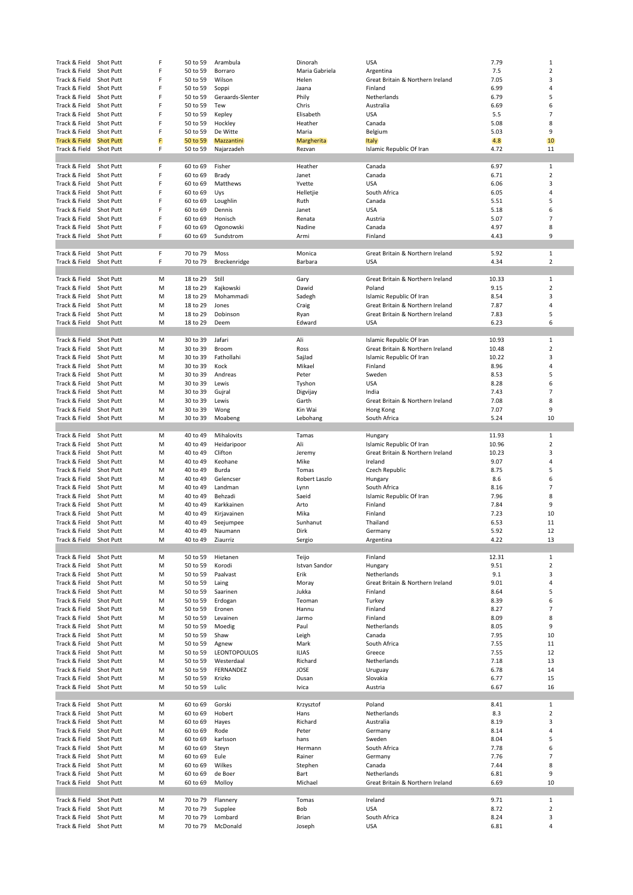| Track & Field                  | Shot Putt              | F      | 50 to 59             | Arambula            | Dinorah         | <b>USA</b>                       | 7.79         | 1              |
|--------------------------------|------------------------|--------|----------------------|---------------------|-----------------|----------------------------------|--------------|----------------|
| Track & Field                  | Shot Putt              | F      | 50 to 59             | Borraro             | Maria Gabriela  |                                  | 7.5          | $\overline{2}$ |
|                                |                        |        |                      |                     |                 | Argentina                        |              |                |
| Track & Field                  | Shot Putt              | F      | 50 to 59             | Wilson              | Helen           | Great Britain & Northern Ireland | 7.05         | 3              |
| Track & Field                  | Shot Putt              | F      | 50 to 59             | Soppi               | Jaana           | Finland                          | 6.99         | 4              |
| Track & Field                  | Shot Putt              | F      | 50 to 59             | Geraards-Slenter    | Phily           | Netherlands                      | 6.79         | 5              |
| Track & Field                  | Shot Putt              | F      | 50 to 59             | Tew                 | Chris           | Australia                        | 6.69         | 6              |
| Track & Field                  | Shot Putt              | F      | 50 to 59             | Kepley              | Elisabeth       | <b>USA</b>                       | 5.5          | $\overline{7}$ |
| Track & Field                  | Shot Putt              | F      | 50 to 59             | Hockley             | Heather         | Canada                           | 5.08         | 8              |
| Track & Field                  | Shot Putt              | F      | 50 to 59             | De Witte            | Maria           |                                  | 5.03         | 9              |
|                                |                        |        |                      |                     |                 | Belgium                          |              |                |
| <b>Track &amp; Field</b>       | <b>Shot Putt</b>       | F      | 50 to 59             | Mazzantini          | Margherita      | Italy                            | 4.8          | 10             |
| Track & Field                  | Shot Putt              | F      | 50 to 59             | Najarzadeh          | Rezvan          | Islamic Republic Of Iran         | 4.72         | 11             |
|                                |                        |        |                      |                     |                 |                                  |              |                |
| Track & Field                  | Shot Putt              | F      | 60 to 69             | Fisher              | Heather         | Canada                           | 6.97         | $\mathbf{1}$   |
| Track & Field                  | Shot Putt              | F      | 60 to 69             | Brady               | Janet           | Canada                           | 6.71         | 2              |
| Track & Field                  | Shot Putt              | F      | 60 to 69             | Matthews            | Yvette          | USA                              | 6.06         | 3              |
|                                | Shot Putt              | F      |                      |                     |                 |                                  |              | 4              |
| Track & Field                  |                        |        | 60 to 69             | Uys                 | Helletjie       | South Africa                     | 6.05         |                |
| Track & Field                  | Shot Putt              | F      | 60 to 69             | Loughlin            | Ruth            | Canada                           | 5.51         | 5              |
| Track & Field                  | Shot Putt              | F      | 60 to 69             | Dennis              | Janet           | <b>USA</b>                       | 5.18         | 6              |
| Track & Field                  | Shot Putt              | F      | 60 to 69             | Honisch             | Renata          | Austria                          | 5.07         | 7              |
| Track & Field                  | Shot Putt              | F      | 60 to 69             | Ogonowski           | Nadine          | Canada                           | 4.97         | 8              |
| Track & Field                  | Shot Putt              | F      | 60 to 69             | Sundstrom           | Armi            | Finland                          | 4.43         | 9              |
|                                |                        |        |                      |                     |                 |                                  |              |                |
|                                |                        |        |                      |                     |                 |                                  |              |                |
| Track & Field                  | Shot Putt              | F      | 70 to 79             | Moss                | Monica          | Great Britain & Northern Ireland | 5.92         | $\mathbf{1}$   |
| Track & Field                  | Shot Putt              | F      | 70 to 79             | Breckenridge        | Barbara         | <b>USA</b>                       | 4.34         | $\overline{2}$ |
|                                |                        |        |                      |                     |                 |                                  |              |                |
| Track & Field                  | <b>Shot Putt</b>       | М      | 18 to 29             | Still               | Gary            | Great Britain & Northern Ireland | 10.33        | $\mathbf{1}$   |
| Track & Field                  | Shot Putt              | М      | 18 to 29             | Kajkowski           | Dawid           | Poland                           | 9.15         | 2              |
| Track & Field                  | <b>Shot Putt</b>       | M      | 18 to 29             | Mohammadi           | Sadegh          | Islamic Republic Of Iran         | 8.54         | 3              |
|                                |                        |        |                      |                     |                 |                                  |              |                |
| Track & Field                  | Shot Putt              | M      | 18 to 29             | Jones               | Craig           | Great Britain & Northern Ireland | 7.87         | 4              |
| Track & Field                  | Shot Putt              | M      | 18 to 29             | Dobinson            | Ryan            | Great Britain & Northern Ireland | 7.83         | 5              |
| Track & Field                  | Shot Putt              | M      | 18 to 29             | Deem                | Edward          | <b>USA</b>                       | 6.23         | 6              |
|                                |                        |        |                      |                     |                 |                                  |              |                |
| Track & Field                  | Shot Putt              | М      | 30 to 39             | Jafari              | Ali             | Islamic Republic Of Iran         | 10.93        | 1              |
| Track & Field                  | Shot Putt              | M      | 30 to 39             | Broom               | Ross            | Great Britain & Northern Ireland | 10.48        | $\overline{2}$ |
|                                |                        |        |                      |                     |                 |                                  |              |                |
| Track & Field                  | Shot Putt              | M      | 30 to 39             | Fathollahi          | SajJad          | Islamic Republic Of Iran         | 10.22        | 3              |
| Track & Field                  | Shot Putt              | M      | 30 to 39             | Kock                | Mikael          | Finland                          | 8.96         | 4              |
| Track & Field                  | Shot Putt              | M      | 30 to 39             | Andreas             | Peter           | Sweden                           | 8.53         | 5              |
| Track & Field                  | Shot Putt              | М      | 30 to 39             | Lewis               | Tyshon          | USA                              | 8.28         | 6              |
| Track & Field                  | Shot Putt              | M      | 30 to 39             | Gujral              | Digvijay        | India                            | 7.43         | $\overline{7}$ |
| Track & Field                  | Shot Putt              | M      | 30 to 39             | Lewis               | Garth           | Great Britain & Northern Ireland | 7.08         | 8              |
|                                |                        |        |                      |                     |                 |                                  |              |                |
| Track & Field                  | Shot Putt              | М      | 30 to 39             | Wong                | Kin Wai         | Hong Kong                        | 7.07         | 9              |
| Track & Field                  | Shot Putt              | M      | 30 to 39             | Moabeng             | Lebohang        | South Africa                     | 5.24         | 10             |
|                                |                        |        |                      |                     |                 |                                  |              |                |
| Track & Field                  | Shot Putt              | М      | 40 to 49             | Mihalovits          | Tamas           | Hungary                          | 11.93        | 1              |
| Track & Field                  |                        |        |                      |                     |                 |                                  |              |                |
|                                |                        |        |                      |                     |                 |                                  |              |                |
|                                | Shot Putt              | M      | 40 to 49             | Heidaripoor         | Ali             | Islamic Republic Of Iran         | 10.96        | $\overline{2}$ |
| Track & Field                  | Shot Putt              | M      | 40 to 49             | Clifton             | Jeremy          | Great Britain & Northern Ireland | 10.23        | 3              |
| Track & Field                  | Shot Putt              | M      | 40 to 49             | Keohane             | Mike            | Ireland                          | 9.07         | 4              |
| Track & Field                  | Shot Putt              | М      | 40 to 49             | Burda               | Tomas           | Czech Republic                   | 8.75         | 5              |
| Track & Field                  | Shot Putt              | М      | 40 to 49             | Gelencser           | Robert Laszlo   | Hungary                          | 8.6          | 6              |
| Track & Field                  | Shot Putt              | M      | 40 to 49             | Landman             | Lynn            | South Africa                     | 8.16         | $\overline{7}$ |
|                                | Shot Putt              | М      |                      |                     | Saeid           |                                  |              | 8              |
| Track & Field                  |                        |        | 40 to 49             | Behzadi             |                 | Islamic Republic Of Iran         | 7.96         |                |
| Track & Field                  | Shot Putt              | M      | 40 to 49             | Karkkainen          | Arto            | Finland                          | 7.84         | 9              |
| Track & Field                  | Shot Putt              | M      | 40 to 49             | Kirjavainen         | Mika            | Finland                          | 7.23         | 10             |
| Track & Field                  | Shot Putt              | M      | 40 to 49             | Seejumpee           | Sunhanut        | Thailand                         | 6.53         | 11             |
| Track & Field Shot Putt        |                        | M      | 40 to 49             | Naumann             | Dirk            | Germany                          | 5.92         | 12             |
| Track & Field                  | Shot Putt              | М      | 40 to 49             | Ziaurriz            | Sergio          | Argentina                        | 4.22         | 13             |
|                                |                        |        |                      |                     |                 |                                  |              |                |
| Track & Field                  | Shot Putt              | М      | 50 to 59             | Hietanen            | Teijo           | Finland                          | 12.31        | 1              |
|                                |                        |        |                      |                     |                 |                                  |              |                |
| Track & Field                  | Shot Putt              | М      | 50 to 59             | Korodi              | Istvan Sandor   | Hungary                          | 9.51         | 2              |
| Track & Field                  | Shot Putt              | М      | 50 to 59             | Paalvast            | Erik            | Netherlands                      | 9.1          | 3              |
| Track & Field                  | Shot Putt              | M      | 50 to 59             | Laing               | Moray           | Great Britain & Northern Ireland | 9.01         | 4              |
| Track & Field                  | Shot Putt              | М      | 50 to 59             | Saarinen            | Jukka           | Finland                          | 8.64         | 5              |
| Track & Field                  | Shot Putt              | M      | 50 to 59             | Erdogan             | Teoman          | Turkey                           | 8.39         | 6              |
| Track & Field                  | Shot Putt              | М      | 50 to 59             | Eronen              | Hannu           | Finland                          | 8.27         | 7              |
| Track & Field                  | Shot Putt              | М      | 50 to 59             | Levainen            | Jarmo           | Finland                          | 8.09         | 8              |
|                                |                        |        |                      | Moedig              |                 |                                  |              | 9              |
| Track & Field                  | Shot Putt              | М      | 50 to 59             |                     | Paul            | Netherlands                      | 8.05         |                |
| Track & Field                  | Shot Putt              | М      | 50 to 59             | Shaw                | Leigh           | Canada                           | 7.95         | 10             |
| Track & Field                  | Shot Putt              | М      | 50 to 59             | Agnew               | Mark            | South Africa                     | 7.55         | 11             |
| Track & Field                  | Shot Putt              | M      | 50 to 59             | LEONTOPOULOS        | <b>ILIAS</b>    | Greece                           | 7.55         | 12             |
| Track & Field                  | Shot Putt              | M      | 50 to 59             | Westerdaal          | Richard         | Netherlands                      | 7.18         | 13             |
| Track & Field                  | Shot Putt              | М      | 50 to 59             | FERNANDEZ           | JOSE            | Uruguay                          | 6.78         | 14             |
| Track & Field                  | Shot Putt              | M      | 50 to 59             | Krizko              | Dusan           | Slovakia                         | 6.77         | 15             |
|                                |                        |        |                      |                     |                 |                                  |              |                |
| Track & Field                  | Shot Putt              | М      | 50 to 59             | Lulic               | Ivica           | Austria                          | 6.67         | 16             |
|                                |                        |        |                      |                     |                 |                                  |              |                |
| Track & Field                  | Shot Putt              | М      | 60 to 69             | Gorski              | Krzysztof       | Poland                           | 8.41         | $\mathbf{1}$   |
| Track & Field                  | Shot Putt              | М      | 60 to 69             | Hobert              | Hans            | Netherlands                      | 8.3          | $\overline{2}$ |
| Track & Field                  | Shot Putt              | М      | 60 to 69             | Hayes               | Richard         | Australia                        | 8.19         | 3              |
| Track & Field                  | Shot Putt              | M      | 60 to 69             | Rode                | Peter           | Germany                          | 8.14         | 4              |
| Track & Field                  | Shot Putt              | М      | 60 to 69             | karlsson            | hans            | Sweden                           | 8.04         | 5              |
|                                |                        |        |                      |                     |                 |                                  |              |                |
| Track & Field                  | Shot Putt              | M      | 60 to 69             | Steyn               | Hermann         | South Africa                     | 7.78         | 6              |
| Track & Field                  | Shot Putt              | М      | 60 to 69             | Eule                | Rainer          | Germany                          | 7.76         | $\overline{7}$ |
| Track & Field                  | Shot Putt              | М      | 60 to 69             | Wilkes              | Stephen         | Canada                           | 7.44         | 8              |
| Track & Field                  | Shot Putt              | М      | 60 to 69             | de Boer             | Bart            | Netherlands                      | 6.81         | 9              |
| Track & Field                  | Shot Putt              | М      | 60 to 69             | Molloy              | Michael         | Great Britain & Northern Ireland | 6.69         | 10             |
|                                |                        |        |                      |                     |                 |                                  |              |                |
|                                |                        | М      |                      |                     |                 | Ireland                          |              | 1              |
| Track & Field                  | Shot Putt              |        | 70 to 79             | Flannery            | Tomas           |                                  | 9.71         |                |
| Track & Field                  | Shot Putt              | M      | 70 to 79             | Supplee             | Bob             | <b>USA</b>                       | 8.72         | $\overline{2}$ |
| Track & Field<br>Track & Field | Shot Putt<br>Shot Putt | М<br>М | 70 to 79<br>70 to 79 | Lombard<br>McDonald | Brian<br>Joseph | South Africa<br><b>USA</b>       | 8.24<br>6.81 | 3<br>4         |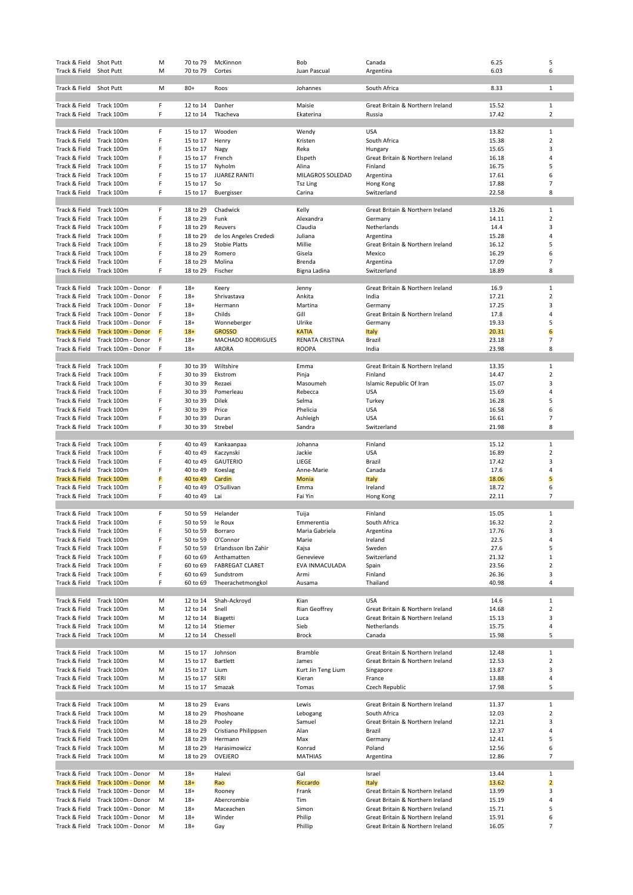| Track & Field            | Shot Putt          | M | 70 to 79 | McKinnon                 | Bob                | Canada                           | 6.25  | 5              |
|--------------------------|--------------------|---|----------|--------------------------|--------------------|----------------------------------|-------|----------------|
| Track & Field            | Shot Putt          | M | 70 to 79 | Cortes                   | Juan Pascual       | Argentina                        | 6.03  | 6              |
|                          |                    |   |          |                          |                    |                                  |       |                |
|                          |                    |   |          |                          |                    |                                  |       |                |
| Track & Field            | Shot Putt          | M | $80+$    | Roos                     | Johannes           | South Africa                     | 8.33  | $\mathbf{1}$   |
|                          |                    |   |          |                          |                    |                                  |       |                |
| Track & Field            | Track 100m         | F | 12 to 14 | Danher                   | Maisie             | Great Britain & Northern Ireland | 15.52 | $\mathbf{1}$   |
| Track & Field            | Track 100m         | F | 12 to 14 | Tkacheva                 | Ekaterina          | Russia                           | 17.42 | $\overline{2}$ |
|                          |                    |   |          |                          |                    |                                  |       |                |
| Track & Field            | Track 100m         | F | 15 to 17 | Wooden                   | Wendy              | <b>USA</b>                       | 13.82 | 1              |
| Track & Field            | Track 100m         | F | 15 to 17 | Henry                    | Kristen            | South Africa                     | 15.38 | $\mathbf 2$    |
|                          |                    | F |          |                          |                    |                                  |       | 3              |
| Track & Field            | Track 100m         |   | 15 to 17 | Nagy                     | Reka               | Hungary                          | 15.65 |                |
| Track & Field            | Track 100m         | F | 15 to 17 | French                   | Elspeth            | Great Britain & Northern Ireland | 16.18 | 4              |
| Track & Field            | Track 100m         | F | 15 to 17 | Nyholm                   | Alina              | Finland                          | 16.75 | 5              |
| Track & Field            | Track 100m         | F | 15 to 17 | <b>JUAREZ RANITI</b>     | MILAGROS SOLEDAD   | Argentina                        | 17.61 | 6              |
| Track & Field            | Track 100m         | F | 15 to 17 | So                       | Tsz Ling           | Hong Kong                        | 17.88 | $\overline{7}$ |
| Track & Field            | Track 100m         | F | 15 to 17 | Buergisser               | Carina             | Switzerland                      | 22.58 | 8              |
|                          |                    |   |          |                          |                    |                                  |       |                |
| Track & Field            |                    | F | 18 to 29 | Chadwick                 |                    |                                  | 13.26 | 1              |
|                          | Track 100m         |   |          |                          | Kelly              | Great Britain & Northern Ireland |       |                |
| Track & Field            | Track 100m         | F | 18 to 29 | Funk                     | Alexandra          | Germany                          | 14.11 | $\overline{2}$ |
| Track & Field            | Track 100m         | F | 18 to 29 | Reuvers                  | Claudia            | Netherlands                      | 14.4  | 3              |
| Track & Field            | Track 100m         | F | 18 to 29 | de los Angeles Crededi   | Juliana            | Argentina                        | 15.28 | 4              |
| Track & Field            | Track 100m         | F | 18 to 29 | <b>Stobie Platts</b>     | Millie             | Great Britain & Northern Ireland | 16.12 | 5              |
| Track & Field            | Track 100m         | F | 18 to 29 | Romero                   | Gisela             | Mexico                           | 16.29 | 6              |
|                          |                    |   |          |                          |                    |                                  |       |                |
| Track & Field            | Track 100m         | F | 18 to 29 | Molina                   | Brenda             | Argentina                        | 17.09 | $\overline{7}$ |
| Track & Field            | Track 100m         | F | 18 to 29 | Fischer                  | Bigna Ladina       | Switzerland                      | 18.89 | 8              |
|                          |                    |   |          |                          |                    |                                  |       |                |
| Track & Field            | Track 100m - Donor | F | $18+$    | Keery                    | Jenny              | Great Britain & Northern Ireland | 16.9  | $\mathbf{1}$   |
| Track & Field            | Track 100m - Donor | F | $18+$    | Shrivastava              | Ankita             | India                            | 17.21 | $\overline{2}$ |
|                          |                    |   |          |                          |                    |                                  |       |                |
| Track & Field            | Track 100m - Donor | F | $18+$    | Hermann                  | Martina            | Germany                          | 17.25 | 3              |
| Track & Field            | Track 100m - Donor | F | $18+$    | Childs                   | Gill               | Great Britain & Northern Ireland | 17.8  | 4              |
| Track & Field            | Track 100m - Donor | F | $18+$    | Wonneberger              | Ulrike             | Germany                          | 19.33 | 5              |
| <b>Track &amp; Field</b> | Track 100m - Donor | F | $18+$    | <b>GROSSO</b>            | <b>KATIA</b>       | <b>Italy</b>                     | 20.31 | 6              |
| Track & Field            | Track 100m - Donor | F | $18+$    | <b>MACHADO RODRIGUES</b> | RENATA CRISTINA    | Brazil                           | 23.18 | $\overline{7}$ |
|                          |                    |   |          |                          |                    |                                  |       |                |
| Track & Field            | Track 100m - Donor | F | $18+$    | ARORA                    | <b>ROOPA</b>       | India                            | 23.98 | 8              |
|                          |                    |   |          |                          |                    |                                  |       |                |
| Track & Field            | Track 100m         | F | 30 to 39 | Wiltshire                | Emma               | Great Britain & Northern Ireland | 13.35 | $\mathbf{1}$   |
| Track & Field            | Track 100m         | F | 30 to 39 | Ekstrom                  | Pinja              | Finland                          | 14.47 | $\overline{2}$ |
| Track & Field            | Track 100m         | F | 30 to 39 | Rezaei                   | Masoumeh           | Islamic Republic Of Iran         | 15.07 | 3              |
|                          |                    |   |          |                          |                    |                                  |       |                |
| Track & Field            | Track 100m         | F | 30 to 39 | Pomerleau                | Rebecca            | <b>USA</b>                       | 15.69 | 4              |
| Track & Field            | Track 100m         | F | 30 to 39 | Dilek                    | Selma              | Turkey                           | 16.28 | 5              |
| Track & Field            | Track 100m         | F | 30 to 39 | Price                    | Phelicia           | <b>USA</b>                       | 16.58 | 6              |
| Track & Field            | Track 100m         | F | 30 to 39 | Duran                    | Ashleigh           | <b>USA</b>                       | 16.61 | $\overline{7}$ |
| Track & Field            | Track 100m         | F | 30 to 39 | Strebel                  | Sandra             | Switzerland                      | 21.98 | 8              |
|                          |                    |   |          |                          |                    |                                  |       |                |
|                          |                    |   |          |                          |                    |                                  |       |                |
| Track & Field            | Track 100m         | F | 40 to 49 | Kankaanpaa               | Johanna            | Finland                          | 15.12 | 1              |
| Track & Field            | Track 100m         | F | 40 to 49 | Kaczynski                | Jackie             | <b>USA</b>                       | 16.89 | $\overline{2}$ |
| Track & Field            | Track 100m         | F | 40 to 49 | <b>GAUTERIO</b>          | LIEGE              | Brazil                           | 17.42 | 3              |
| Track & Field            | Track 100m         | F | 40 to 49 | Koeslag                  | Anne-Marie         | Canada                           | 17.6  | 4              |
|                          |                    | F | 40 to 49 |                          |                    |                                  | 18.06 | 5              |
| <b>Track &amp; Field</b> | Track 100m         |   |          | Cardin                   | <b>Monia</b>       | <b>Italy</b>                     |       |                |
| Track & Field            | Track 100m         | F | 40 to 49 | O'Sullivan               | Emma               | Ireland                          | 18.72 | 6              |
| Track & Field            | Track 100m         | F | 40 to 49 | Lai                      | Fai Yin            | Hong Kong                        | 22.11 | $\overline{7}$ |
|                          |                    |   |          |                          |                    |                                  |       |                |
| Track & Field            | Track 100m         | F | 50 to 59 | Helander                 | Tuija              | Finland                          | 15.05 | $\mathbf{1}$   |
| Track & Field            | Track 100m         | F | 50 to 59 | le Roux                  | Emmerentia         | South Africa                     | 16.32 | $\overline{2}$ |
|                          |                    | F |          |                          |                    |                                  |       |                |
| Track & Field            | Track 100m         |   | 50 to 59 | Borraro                  | Maria Gabriela     | Argentina                        | 17.76 | 3              |
| Track & Field            | Track 100m         | F | 50 to 59 | O'Connor                 | Marie              | Ireland                          | 22.5  | 4              |
| Track & Field            | Track 100m         | F | 50 to 59 | Erlandsson Ibn Zahir     | Kajsa              | Sweden                           | 27.6  | 5              |
| Track & Field            | Track 100m         | F | 60 to 69 | Anthamatten              | Genevieve          | Switzerland                      | 21.32 | $\mathbf{1}$   |
| Track & Field            | Track 100m         | F | 60 to 69 | <b>FABREGAT CLARET</b>   | EVA INMACULADA     | Spain                            | 23.56 | $\overline{2}$ |
|                          |                    | F |          |                          |                    | Finland                          | 26.36 | 3              |
| Track & Field            | Track 100m         |   | 60 to 69 | Sundstrom                | Armi               |                                  |       |                |
| Track & Field            | Track 100m         | F | 60 to 69 | Theerachetmongkol        | Ausama             | Thailand                         | 40.98 | 4              |
|                          |                    |   |          |                          |                    |                                  |       |                |
| Track & Field            | Track 100m         | M | 12 to 14 | Shah-Ackroyd             | Kian               | <b>USA</b>                       | 14.6  | 1              |
| Track & Field            | Track 100m         | M | 12 to 14 | Snell                    | Rian Geoffrey      | Great Britain & Northern Ireland | 14.68 | $\overline{2}$ |
| Track & Field            | Track 100m         | M | 12 to 14 | Biagetti                 | Luca               | Great Britain & Northern Ireland | 15.13 | 3              |
| Track & Field            | Track 100m         | M | 12 to 14 | Stiemer                  | Sieb               | Netherlands                      | 15.75 | 4              |
|                          |                    |   |          |                          |                    |                                  |       |                |
| Track & Field            | Track 100m         | M | 12 to 14 | Chessell                 | <b>Brock</b>       | Canada                           | 15.98 | 5              |
|                          |                    |   |          |                          |                    |                                  |       |                |
| Track & Field            | Track 100m         | M | 15 to 17 | Johnson                  | Bramble            | Great Britain & Northern Ireland | 12.48 | $\mathbf{1}$   |
| Track & Field            | Track 100m         | M | 15 to 17 | Bartlett                 | James              | Great Britain & Northern Ireland | 12.53 | $\overline{2}$ |
| Track & Field            | Track 100m         | M | 15 to 17 | Lium                     | Kurt Jin Teng Lium | Singapore                        | 13.87 | 3              |
|                          |                    |   |          |                          |                    |                                  |       |                |
| Track & Field            | Track 100m         | M | 15 to 17 | <b>SERI</b>              | Kieran             | France                           | 13.88 | 4              |
| Track & Field            | Track 100m         | M | 15 to 17 | Smazak                   | Tomas              | Czech Republic                   | 17.98 | 5              |
|                          |                    |   |          |                          |                    |                                  |       |                |
| Track & Field            | Track 100m         | M | 18 to 29 | Evans                    | Lewis              | Great Britain & Northern Ireland | 11.37 | 1              |
| Track & Field            | Track 100m         | M | 18 to 29 | Phoshoane                | Lebogang           | South Africa                     | 12.03 | $\mathbf 2$    |
| Track & Field            | Track 100m         | M | 18 to 29 | Pooley                   | Samuel             | Great Britain & Northern Ireland | 12.21 | 3              |
|                          |                    |   |          |                          |                    |                                  |       |                |
| Track & Field            | Track 100m         | M | 18 to 29 | Cristiano Philippsen     | Alan               | Brazil                           | 12.37 | 4              |
| Track & Field            | Track 100m         | M | 18 to 29 | Hermann                  | Max                | Germany                          | 12.41 | 5              |
| Track & Field            | Track 100m         | M | 18 to 29 | Harasimowicz             | Konrad             | Poland                           | 12.56 | 6              |
| Track & Field            | Track 100m         | M | 18 to 29 | OVEJERO                  | <b>MATHIAS</b>     | Argentina                        | 12.86 | $\overline{7}$ |
|                          |                    |   |          |                          |                    |                                  |       |                |
|                          |                    |   |          |                          |                    |                                  |       | $\mathbf{1}$   |
| Track & Field            | Track 100m - Donor | M | $18+$    | Halevi                   | Gal                | Israel                           | 13.44 |                |
| <b>Track &amp; Field</b> | Track 100m - Donor | M | $18+$    | Rao                      | Riccardo           | <b>Italy</b>                     | 13.62 | $\overline{2}$ |
| Track & Field            | Track 100m - Donor | м | $18+$    | Rooney                   | Frank              | Great Britain & Northern Ireland | 13.99 | 3              |
| Track & Field            | Track 100m - Donor | м | $18+$    | Abercrombie              | Tim                | Great Britain & Northern Ireland | 15.19 | 4              |
| Track & Field            | Track 100m - Donor | м | $18+$    | Maceachen                | Simon              | Great Britain & Northern Ireland | 15.71 | 5              |
| Track & Field            | Track 100m - Donor | м | $18+$    | Winder                   | Philip             | Great Britain & Northern Ireland | 15.91 | 6              |
|                          |                    |   |          |                          |                    |                                  |       |                |
| Track & Field            | Track 100m - Donor | M | $18+$    | Gay                      | Phillip            | Great Britain & Northern Ireland | 16.05 | 7              |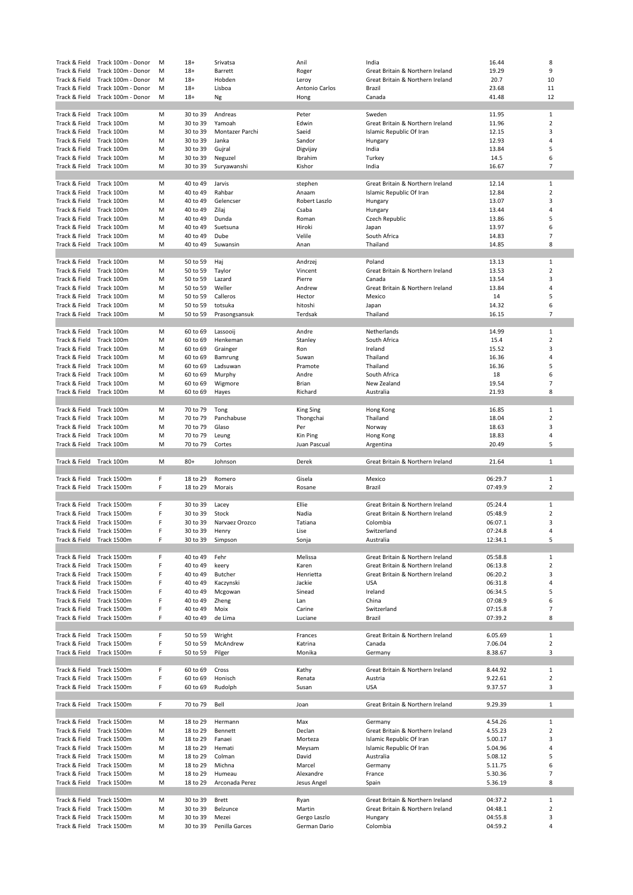| Track & Field                  | Track 100m - Donor         | M      | $18+$                | Srivatsa                | Anil                         | India                            | 16.44              | 8                   |
|--------------------------------|----------------------------|--------|----------------------|-------------------------|------------------------------|----------------------------------|--------------------|---------------------|
| Track & Field                  | Track 100m - Donor         | м      | $18+$                | Barrett                 | Roger                        | Great Britain & Northern Ireland | 19.29              | 9                   |
| Track & Field                  | Track 100m - Donor         | M      | $18+$                | Hobden                  | Leroy                        | Great Britain & Northern Ireland | 20.7               | 10                  |
| Track & Field                  | Track 100m - Donor         | м      | $18+$                | Lisboa                  | Antonio Carlos               | Brazil                           | 23.68              | 11                  |
| Track & Field                  | Track 100m - Donor         | M      | $18+$                | Ng                      | Hong                         | Canada                           | 41.48              | 12                  |
|                                |                            |        |                      |                         |                              |                                  |                    |                     |
| Track & Field                  | Track 100m                 | м      | 30 to 39             | Andreas                 | Peter                        | Sweden                           | 11.95              | 1                   |
| Track & Field                  | Track 100m                 | M      | 30 to 39             | Yamoah                  | Edwin                        | Great Britain & Northern Ireland | 11.96              | $\overline{2}$      |
| Track & Field                  | Track 100m                 | M      | 30 to 39             | Montazer Parchi         | Saeid                        | Islamic Republic Of Iran         | 12.15              | 3                   |
| Track & Field                  | Track 100m                 | M      | 30 to 39             | Janka                   | Sandor                       | Hungary                          | 12.93              | 4                   |
| Track & Field                  | Track 100m                 | M      | 30 to 39             | Gujral                  | Digvijay                     | India                            | 13.84              | 5                   |
| Track & Field                  | Track 100m                 | M      | 30 to 39             | Neguzel                 | Ibrahim                      | Turkey                           | 14.5               | 6                   |
| Track & Field                  | Track 100m                 | M      | 30 to 39             | Suryawanshi             | Kishor                       | India                            | 16.67              | $\overline{7}$      |
|                                |                            |        |                      |                         |                              |                                  |                    |                     |
| Track & Field                  | Track 100m                 | M      | 40 to 49             | Jarvis                  |                              | Great Britain & Northern Ireland | 12.14              | 1                   |
|                                |                            |        |                      | Rahbar                  | stephen                      |                                  |                    | $\overline{2}$      |
| Track & Field                  | Track 100m                 | M      | 40 to 49             |                         | Anaam                        | Islamic Republic Of Iran         | 12.84              |                     |
| Track & Field                  | Track 100m                 | M      | 40 to 49             | Gelencser               | Robert Laszlo                | Hungary                          | 13.07              | 3                   |
| Track & Field                  | Track 100m                 | м      | 40 to 49             | Zilaj                   | Csaba                        | Hungary                          | 13.44              | 4                   |
| Track & Field                  | Track 100m                 | M      | 40 to 49             | Dunda                   | Roman                        | Czech Republic                   | 13.86              | 5                   |
| Track & Field                  | Track 100m                 | M      | 40 to 49             | Suetsuna                | Hiroki                       | Japan                            | 13.97              | 6                   |
| Track & Field                  | Track 100m                 | M      | 40 to 49             | Dube                    | Velile                       | South Africa                     | 14.83              | $\overline{7}$      |
| Track & Field                  | Track 100m                 | M      | 40 to 49             | Suwansin                | Anan                         | Thailand                         | 14.85              | 8                   |
|                                |                            |        |                      |                         |                              |                                  |                    |                     |
| Track & Field                  | Track 100m                 | M      | 50 to 59             | Haj                     | Andrzej                      | Poland                           | 13.13              | 1                   |
| Track & Field                  | Track 100m                 | M      | 50 to 59             | Taylor                  | Vincent                      | Great Britain & Northern Ireland | 13.53              | $\overline{2}$      |
| Track & Field                  | Track 100m                 | M      | 50 to 59             | Lazard                  | Pierre                       | Canada                           | 13.54              | 3                   |
| Track & Field                  | Track 100m                 | M      | 50 to 59             | Weller                  | Andrew                       | Great Britain & Northern Ireland | 13.84              | 4                   |
| Track & Field                  | Track 100m                 | M      | 50 to 59             | Calleros                | Hector                       | Mexico                           | 14                 | 5                   |
|                                |                            |        |                      |                         |                              |                                  |                    |                     |
| Track & Field                  | Track 100m                 | м      | 50 to 59             | totsuka                 | hitoshi                      | Japan                            | 14.32              | 6                   |
| Track & Field                  | Track 100m                 | M      | 50 to 59             | Prasongsansuk           | Terdsak                      | Thailand                         | 16.15              | $\overline{7}$      |
|                                |                            |        |                      |                         |                              |                                  |                    |                     |
| Track & Field                  | Track 100m                 | м      | 60 to 69             | Lassooij                | Andre                        | Netherlands                      | 14.99              | 1                   |
| Track & Field                  | Track 100m                 | M      | 60 to 69             | Henkeman                | Stanley                      | South Africa                     | 15.4               | 2                   |
| Track & Field                  | Track 100m                 | M      | 60 to 69             | Grainger                | Ron                          | Ireland                          | 15.52              | 3                   |
| Track & Field                  | Track 100m                 | M      | 60 to 69             | Bamrung                 | Suwan                        | Thailand                         | 16.36              | 4                   |
| Track & Field                  | Track 100m                 | M      | 60 to 69             | Ladsuwan                | Pramote                      | Thailand                         | 16.36              | 5                   |
| Track & Field                  | Track 100m                 | M      | 60 to 69             | Murphy                  | Andre                        | South Africa                     | 18                 | 6                   |
| Track & Field                  | Track 100m                 | M      | 60 to 69             | Wigmore                 | Brian                        | New Zealand                      | 19.54              | $\overline{7}$      |
| Track & Field                  | Track 100m                 | M      | 60 to 69             | Hayes                   | Richard                      | Australia                        | 21.93              | 8                   |
|                                |                            |        |                      |                         |                              |                                  |                    |                     |
| Track & Field                  | Track 100m                 | M      | 70 to 79             | Tong                    |                              |                                  | 16.85              | $\mathbf{1}$        |
|                                |                            |        |                      |                         | <b>King Sing</b>             | Hong Kong                        |                    |                     |
| Track & Field                  | Track 100m                 | M      | 70 to 79             | Panchabuse              | Thongchai                    | Thailand                         | 18.04              | $\overline{2}$      |
| Track & Field                  | Track 100m                 | м      | 70 to 79             | Glaso                   | Per                          | Norway                           | 18.63              | 3                   |
| Track & Field                  | Track 100m                 | M      | 70 to 79             | Leung                   | Kin Ping                     | Hong Kong                        | 18.83              | 4                   |
| Track & Field                  | Track 100m                 | M      | 70 to 79             | Cortes                  | Juan Pascual                 |                                  | 20.49              | 5                   |
|                                |                            |        |                      |                         |                              | Argentina                        |                    |                     |
|                                |                            |        |                      |                         |                              |                                  |                    |                     |
| Track & Field                  | Track 100m                 | M      | $80+$                | Johnson                 | Derek                        | Great Britain & Northern Ireland | 21.64              | 1                   |
|                                |                            |        |                      |                         |                              |                                  |                    |                     |
| Track & Field                  | Track 1500m                | F      | 18 to 29             | Romero                  | Gisela                       | Mexico                           | 06:29.7            | 1                   |
| Track & Field                  | Track 1500m                | F      | 18 to 29             | Morais                  | Rosane                       | Brazil                           | 07:49.9            | $\overline{2}$      |
|                                |                            |        |                      |                         |                              |                                  |                    |                     |
| Track & Field                  | Track 1500m                | F      | 30 to 39             | Lacey                   | Ellie                        | Great Britain & Northern Ireland | 05:24.4            | $\mathbf 1$         |
| Track & Field                  | Track 1500m                | F      | 30 to 39             | Stock                   | Nadia                        | Great Britain & Northern Ireland | 05:48.9            | $\overline{2}$      |
|                                |                            |        |                      |                         |                              |                                  |                    |                     |
| Track & Field                  | Track 1500m                | F      | 30 to 39             | Narvaez Orozco          | Tatiana                      | Colombia                         | 06:07.1            | 3<br>4              |
| Track & Field                  | Track 1500m                | F      | 30 to 39             | Henry                   | Lise                         | Switzerland                      | 07:24.8            |                     |
| Track & Field Track 1500m      |                            | F      | 30 to 39             | Simpson                 | Sonja                        | Australia                        | 12:34.1            | 5                   |
|                                |                            |        |                      |                         |                              |                                  |                    |                     |
| Track & Field                  | Track 1500m                | F      | 40 to 49             | Fehr                    | Melissa                      | Great Britain & Northern Ireland | 05:58.8            | $\mathbf{1}$        |
| Track & Field                  | Track 1500m                | F      | 40 to 49             | keery                   | Karen                        | Great Britain & Northern Ireland | 06:13.8            | $\overline{2}$      |
| Track & Field                  | Track 1500m                | F      | 40 to 49             | <b>Butcher</b>          | Henrietta                    | Great Britain & Northern Ireland | 06:20.2            | 3                   |
| Track & Field                  | Track 1500m                | F      | 40 to 49             | Kaczynski               | Jackie                       | <b>USA</b>                       | 06:31.8            | 4                   |
| Track & Field                  | Track 1500m                | F      | 40 to 49             | Mcgowan                 | Sinead                       | Ireland                          | 06:34.5            | 5                   |
| Track & Field                  | Track 1500m                | F      | 40 to 49             | Zheng                   | Lan                          | China                            | 07:08.9            | 6                   |
| Track & Field                  | Track 1500m                | F      | 40 to 49             | Moix                    | Carine                       | Switzerland                      | 07:15.8            | $\overline{7}$      |
| Track & Field                  | Track 1500m                | F      | 40 to 49             | de Lima                 | Luciane                      | Brazil                           | 07:39.2            | 8                   |
|                                |                            |        |                      |                         |                              |                                  |                    |                     |
| Track & Field                  | Track 1500m                | F      | 50 to 59             | Wright                  | Frances                      | Great Britain & Northern Ireland | 6.05.69            | 1                   |
|                                |                            |        |                      |                         |                              | Canada                           |                    |                     |
| Track & Field                  | Track 1500m                | F<br>F | 50 to 59             | McAndrew                | Katrina<br>Monika            |                                  | 7.06.04            | $\overline{2}$<br>3 |
| Track & Field                  | Track 1500m                |        | 50 to 59             | Pilger                  |                              | Germany                          | 8.38.67            |                     |
|                                |                            | F      |                      |                         |                              | Great Britain & Northern Ireland |                    |                     |
| Track & Field                  | Track 1500m                |        | 60 to 69             | Cross                   | Kathy                        |                                  | 8.44.92            | $\mathbf{1}$        |
| Track & Field                  | Track 1500m                | F      | 60 to 69             | Honisch                 | Renata                       | Austria                          | 9.22.61            | $\overline{2}$      |
| Track & Field                  | Track 1500m                | F      | 60 to 69             | Rudolph                 | Susan                        | <b>USA</b>                       | 9.37.57            | 3                   |
|                                |                            |        |                      |                         |                              |                                  |                    |                     |
| Track & Field                  | Track 1500m                | F      | 70 to 79             | Bell                    | Joan                         | Great Britain & Northern Ireland | 9.29.39            | 1                   |
|                                |                            |        |                      |                         |                              |                                  |                    |                     |
| Track & Field                  | Track 1500m                | M      | 18 to 29             | Hermann                 | Max                          | Germany                          | 4.54.26            | $\mathbf{1}$        |
| Track & Field                  | Track 1500m                | M      | 18 to 29             | Bennett                 | Declan                       | Great Britain & Northern Ireland | 4.55.23            | $\overline{2}$      |
| Track & Field                  | Track 1500m                | M      | 18 to 29             | Fanaei                  | Morteza                      | Islamic Republic Of Iran         | 5.00.17            | 3                   |
| Track & Field                  | Track 1500m                | M      | 18 to 29             | Hemati                  | Meysam                       | Islamic Republic Of Iran         | 5.04.96            | 4                   |
| Track & Field                  | Track 1500m                | M      | 18 to 29             | Colman                  | David                        | Australia                        | 5.08.12            | 5                   |
| Track & Field                  | Track 1500m                | M      | 18 to 29             | Michna                  | Marcel                       | Germany                          | 5.11.75            | 6                   |
| Track & Field                  | Track 1500m                | M      | 18 to 29             | Humeau                  | Alexandre                    | France                           | 5.30.36            | $\overline{7}$      |
|                                |                            | M      |                      |                         |                              |                                  |                    | 8                   |
| Track & Field                  | Track 1500m                |        | 18 to 29             | Arconada Perez          | Jesus Angel                  | Spain                            | 5.36.19            |                     |
|                                |                            |        |                      |                         |                              |                                  |                    |                     |
| Track & Field                  | Track 1500m                | M      | 30 to 39             | <b>Brett</b>            | Ryan                         | Great Britain & Northern Ireland | 04:37.2            | $\mathbf{1}$        |
| Track & Field                  | Track 1500m                | M      | 30 to 39             | Belzunce                | Martin                       | Great Britain & Northern Ireland | 04:48.1            | $\overline{2}$      |
| Track & Field<br>Track & Field | Track 1500m<br>Track 1500m | M<br>M | 30 to 39<br>30 to 39 | Mezei<br>Penilla Garces | Gergo Laszlo<br>German Dario | Hungary<br>Colombia              | 04:55.8<br>04:59.2 | 3<br>4              |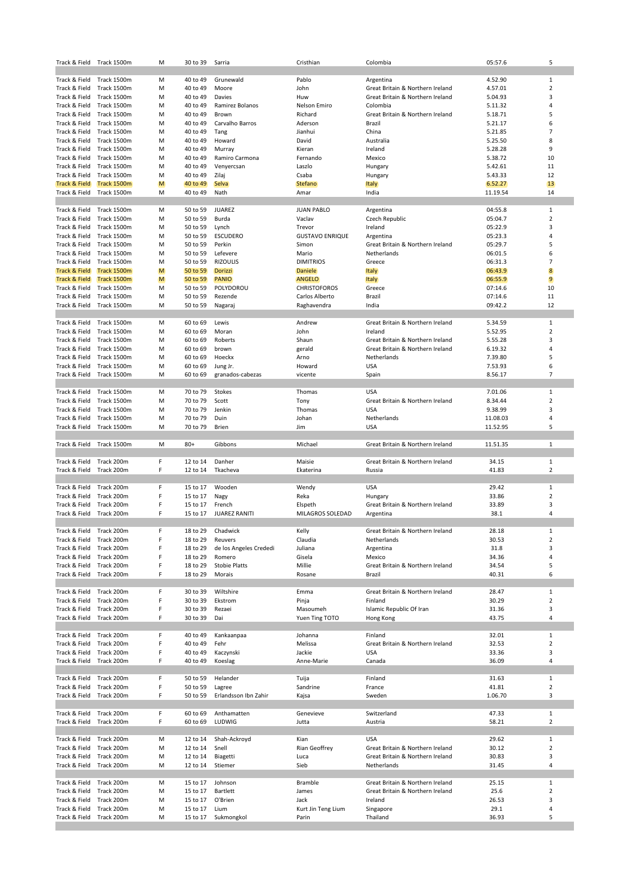| Track & Field                  | Track 1500m | м | 30 to 39             | Sarria                 | Cristhian              | Colombia                                    | 05:57.6        | 5              |
|--------------------------------|-------------|---|----------------------|------------------------|------------------------|---------------------------------------------|----------------|----------------|
|                                |             |   |                      |                        |                        |                                             |                |                |
| Track & Field                  | Track 1500m | M | 40 to 49             | Grunewald              | Pablo                  | Argentina                                   | 4.52.90        | $\mathbf{1}$   |
| Track & Field                  | Track 1500m | M | 40 to 49             | Moore                  | John                   | Great Britain & Northern Ireland            | 4.57.01        | $\overline{2}$ |
| Track & Field                  | Track 1500m | м | 40 to 49             | Davies                 | Huw                    | Great Britain & Northern Ireland            | 5.04.93        | 3              |
| Track & Field                  | Track 1500m | M | 40 to 49             | Ramirez Bolanos        | Nelson Emiro           | Colombia                                    | 5.11.32        | 4              |
| Track & Field                  | Track 1500m | M | 40 to 49             | Brown                  | Richard                | Great Britain & Northern Ireland            | 5.18.71        | 5              |
| Track & Field                  | Track 1500m | м | 40 to 49             | Carvalho Barros        | Aderson                | Brazil                                      | 5.21.17        | 6              |
| Track & Field                  | Track 1500m | M | 40 to 49             | Tang                   | Jianhui                | China                                       | 5.21.85        | $\overline{7}$ |
| Track & Field                  | Track 1500m | M | 40 to 49             | Howard                 | David                  | Australia                                   | 5.25.50        | 8              |
| Track & Field                  | Track 1500m | M | 40 to 49             | Murray                 | Kieran                 | Ireland                                     | 5.28.28        | 9              |
| Track & Field                  | Track 1500m | M | 40 to 49             | Ramiro Carmona         | Fernando               | Mexico                                      | 5.38.72        | 10             |
| Track & Field                  | Track 1500m | M | 40 to 49             | Venyercsan             | Laszlo                 | Hungary                                     | 5.42.61        | 11             |
| Track & Field                  | Track 1500m | M | 40 to 49             | Zilaj                  | Csaba                  | Hungary                                     | 5.43.33        | 12             |
| <b>Track &amp; Field</b>       | Track 1500m | M | 40 to 49             | <b>Selva</b>           | <b>Stefano</b>         | <b>Italy</b>                                | 6.52.27        | 13             |
| Track & Field                  | Track 1500m | M | 40 to 49             | Nath                   | Amar                   | India                                       | 11.19.54       | 14             |
|                                |             |   |                      |                        |                        |                                             |                |                |
| Track & Field                  | Track 1500m | M | 50 to 59             | <b>JUAREZ</b>          | <b>JUAN PABLO</b>      | Argentina                                   | 04:55.8        | $\mathbf{1}$   |
| Track & Field                  | Track 1500m | M | 50 to 59             | Burda                  | Vaclav                 | Czech Republic                              | 05:04.7        | $\overline{2}$ |
| Track & Field                  | Track 1500m | M | 50 to 59             | Lynch                  | Trevor                 | Ireland                                     | 05:22.9        | 3              |
| Track & Field                  | Track 1500m | M | 50 to 59             | <b>ESCUDERO</b>        | <b>GUSTAVO ENRIQUE</b> | Argentina                                   | 05:23.3        | 4              |
| Track & Field                  | Track 1500m | M | 50 to 59             | Perkin                 | Simon                  | Great Britain & Northern Ireland            | 05:29.7        | 5              |
| Track & Field                  | Track 1500m | M | 50 to 59             | Lefevere               | Mario                  | Netherlands                                 | 06:01.5        | 6              |
| Track & Field                  | Track 1500m | M | 50 to 59             | <b>RIZOULIS</b>        | <b>DIMITRIOS</b>       | Greece                                      | 06:31.3        | $\overline{7}$ |
| <b>Track &amp; Field</b>       | Track 1500m | M | 50 to 59             | <b>Dorizzi</b>         | <b>Daniele</b>         | <b>Italy</b>                                | 06:43.9        | 8              |
| Track & Field                  | Track 1500m | M | 50 to 59             | <b>PANIO</b>           | <b>ANGELO</b>          | <b>Italy</b>                                | 06:55.9        | $\overline{9}$ |
| Track & Field                  | Track 1500m | M | 50 to 59             | POLYDOROU              | <b>CHRISTOFOROS</b>    | Greece                                      | 07:14.6        | 10             |
| Track & Field                  | Track 1500m | M | 50 to 59             | Rezende                | Carlos Alberto         | Brazil                                      | 07:14.6        | 11             |
| Track & Field                  | Track 1500m | M | 50 to 59             | Nagaraj                | Raghavendra            | India                                       | 09:42.2        | 12             |
|                                |             |   |                      |                        |                        |                                             |                |                |
| Track & Field                  | Track 1500m | M | 60 to 69             | Lewis                  | Andrew                 | Great Britain & Northern Ireland            | 5.34.59        | $\mathbf{1}$   |
| Track & Field                  | Track 1500m | M | 60 to 69             | Moran                  | John                   | Ireland                                     | 5.52.95        | 2              |
| Track & Field                  | Track 1500m | M | 60 to 69             | Roberts                | Shaun                  | Great Britain & Northern Ireland            | 5.55.28        | 3              |
| Track & Field                  | Track 1500m | M | 60 to 69             | brown                  | gerald                 | Great Britain & Northern Ireland            | 6.19.32        | 4              |
| Track & Field                  | Track 1500m | M | 60 to 69             | Hoeckx                 | Arno                   | Netherlands                                 | 7.39.80        | 5              |
| Track & Field                  | Track 1500m | M | 60 to 69             | Jung Jr.               | Howard                 | <b>USA</b>                                  | 7.53.93        | 6              |
| Track & Field                  | Track 1500m | M | 60 to 69             | granados-cabezas       | vicente                | Spain                                       | 8.56.17        | $\overline{7}$ |
|                                |             |   |                      |                        |                        |                                             |                |                |
| Track & Field                  | Track 1500m | M | 70 to 79             | Stokes                 | Thomas                 | <b>USA</b>                                  | 7.01.06        | $\mathbf{1}$   |
| Track & Field                  | Track 1500m | M | 70 to 79             | Scott                  | Tony                   | Great Britain & Northern Ireland            | 8.34.44        | $\overline{2}$ |
| Track & Field                  | Track 1500m | м | 70 to 79             | Jenkin                 | Thomas                 | <b>USA</b>                                  | 9.38.99        | 3              |
| Track & Field                  | Track 1500m | M | 70 to 79             | Duin                   | Johan                  | Netherlands                                 | 11.08.03       | 4              |
| Track & Field                  | Track 1500m | M | 70 to 79             | <b>Brien</b>           | Jim                    | <b>USA</b>                                  | 11.52.95       | 5              |
|                                |             |   |                      |                        |                        |                                             |                |                |
|                                |             |   |                      |                        |                        |                                             |                |                |
| Track & Field                  | Track 1500m | M | $80+$                | Gibbons                | Michael                | Great Britain & Northern Ireland            | 11.51.35       | $\mathbf{1}$   |
|                                |             |   |                      |                        |                        |                                             |                |                |
| Track & Field                  | Track 200m  | F | 12 to 14             | Danher                 | Maisie                 | Great Britain & Northern Ireland            | 34.15          | 1              |
| Track & Field                  | Track 200m  | F | 12 to 14             | Tkacheva               | Ekaterina              | Russia                                      | 41.83          | 2              |
|                                |             |   |                      |                        |                        |                                             |                |                |
| Track & Field                  | Track 200m  | F | 15 to 17             | Wooden                 | Wendy                  | <b>USA</b>                                  | 29.42          | $\mathbf{1}$   |
| Track & Field                  | Track 200m  | F | 15 to 17             | Nagy                   | Reka                   | Hungary                                     | 33.86          | $\overline{2}$ |
| Track & Field                  | Track 200m  | F | 15 to 17             | French                 | Elspeth                | Great Britain & Northern Ireland            | 33.89          | 3              |
| Track & Field                  | Track 200m  | F | 15 to 17             | <b>JUAREZ RANITI</b>   | MILAGROS SOLEDAD       | Argentina                                   | 38.1           | 4              |
|                                |             |   |                      |                        |                        |                                             |                |                |
| Track & Field                  | Track 200m  | F | 18 to 29             | Chadwick               | Kelly                  | Great Britain & Northern Ireland            | 28.18          | $\mathbf{1}$   |
| Track & Field Track 200m       |             | F | 18 to 29             | Reuvers                | Claudia                | Netherlands                                 | 30.53          | 2              |
| Track & Field                  | Track 200m  | F | 18 to 29             | de los Angeles Crededi | Juliana                | Argentina                                   | 31.8           | 3<br>4         |
| Track & Field                  | Track 200m  | F | 18 to 29             | Romero                 | Gisela                 | Mexico                                      | 34.36          |                |
| Track & Field                  | Track 200m  | F | 18 to 29             | <b>Stobie Platts</b>   | Millie                 | Great Britain & Northern Ireland            | 34.54          | 5              |
| Track & Field                  | Track 200m  | F | 18 to 29             | Morais                 | Rosane                 | Brazil                                      | 40.31          | 6              |
|                                | Track 200m  | F |                      | Wiltshire              |                        |                                             |                | $\mathbf{1}$   |
| Track & Field<br>Track & Field | Track 200m  | F | 30 to 39<br>30 to 39 | Ekstrom                | Emma                   | Great Britain & Northern Ireland<br>Finland | 28.47          | $\overline{2}$ |
| Track & Field                  | Track 200m  | F | 30 to 39             | Rezaei                 | Pinja<br>Masoumeh      | Islamic Republic Of Iran                    | 30.29<br>31.36 | 3              |
| Track & Field                  | Track 200m  | F | 30 to 39             | Dai                    | Yuen Ting TOTO         | Hong Kong                                   | 43.75          | 4              |
|                                |             |   |                      |                        |                        |                                             |                |                |
| Track & Field                  | Track 200m  | F | 40 to 49             | Kankaanpaa             | Johanna                | Finland                                     | 32.01          | $\mathbf{1}$   |
| Track & Field                  | Track 200m  | F | 40 to 49             | Fehr                   | Melissa                | Great Britain & Northern Ireland            | 32.53          | $\overline{2}$ |
| Track & Field                  | Track 200m  | F | 40 to 49             | Kaczynski              | Jackie                 | <b>USA</b>                                  | 33.36          | 3              |
| Track & Field Track 200m       |             | F | 40 to 49             | Koeslag                | Anne-Marie             | Canada                                      | 36.09          | 4              |
|                                |             |   |                      |                        |                        |                                             |                |                |
| Track & Field                  | Track 200m  | F | 50 to 59             | Helander               | Tuija                  | Finland                                     | 31.63          | $\mathbf{1}$   |
| Track & Field                  | Track 200m  | F | 50 to 59             | Lagree                 | Sandrine               | France                                      | 41.81          | $\overline{2}$ |
| Track & Field                  | Track 200m  | F | 50 to 59             | Erlandsson Ibn Zahir   | Kajsa                  | Sweden                                      | 1.06.70        | 3              |
|                                |             |   |                      |                        |                        |                                             |                |                |
| Track & Field                  | Track 200m  | F | 60 to 69             | Anthamatten            | Genevieve              | Switzerland                                 | 47.33          | $\mathbf{1}$   |
| Track & Field                  | Track 200m  | F | 60 to 69             | LUDWIG                 | Jutta                  | Austria                                     | 58.21          | $\overline{2}$ |
|                                |             |   |                      |                        |                        |                                             |                |                |
| Track & Field                  | Track 200m  | M | 12 to 14             | Shah-Ackroyd           | Kian                   | <b>USA</b>                                  | 29.62          | 1              |
| Track & Field                  | Track 200m  | M | 12 to 14             | Snell                  | Rian Geoffrey          | Great Britain & Northern Ireland            | 30.12          | $\overline{2}$ |
| Track & Field                  | Track 200m  | M | 12 to 14             | Biagetti               | Luca                   | Great Britain & Northern Ireland            | 30.83          | 3              |
| Track & Field                  | Track 200m  | M | 12 to 14             | Stiemer                | Sieb                   | Netherlands                                 | 31.45          | 4              |
|                                |             |   |                      |                        |                        |                                             |                |                |
| Track & Field                  | Track 200m  | M | 15 to 17             | Johnson                | Bramble                | Great Britain & Northern Ireland            | 25.15          | $\mathbf{1}$   |
| Track & Field                  | Track 200m  | M | 15 to 17             | Bartlett               | James                  | Great Britain & Northern Ireland            | 25.6           | $\overline{2}$ |
| Track & Field                  | Track 200m  | M | 15 to 17             | O'Brien                | Jack                   | Ireland                                     | 26.53          | 3              |
| Track & Field                  | Track 200m  | M | 15 to 17             | Lium                   | Kurt Jin Teng Lium     | Singapore                                   | 29.1           | 4              |
| Track & Field                  | Track 200m  | M | 15 to 17             | Sukmongkol             | Parin                  | Thailand                                    | 36.93          | 5              |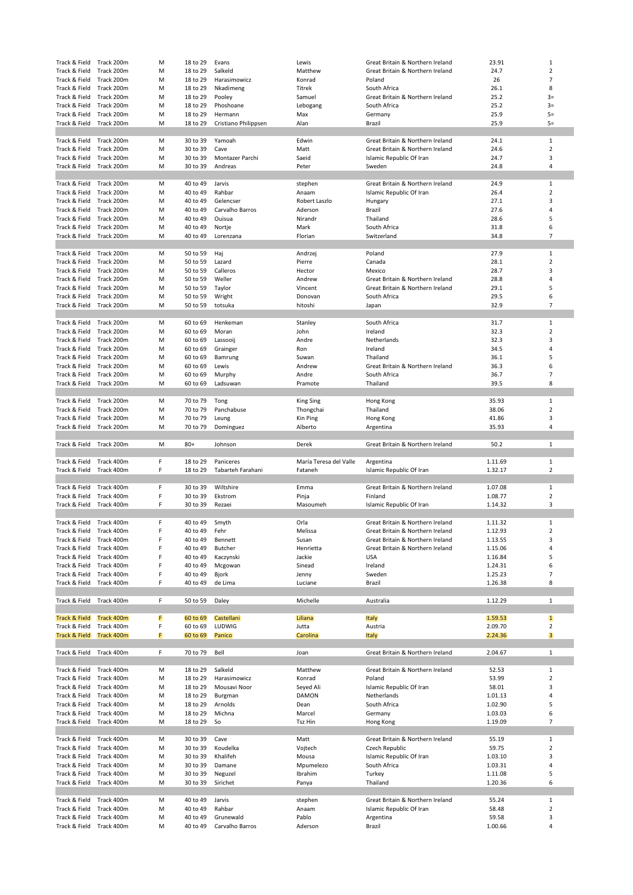| Track & Field                  | Track 200m | M | 18 to 29             | Evans                | Lewis                  | Great Britain & Northern Ireland | 23.91   | 1                       |
|--------------------------------|------------|---|----------------------|----------------------|------------------------|----------------------------------|---------|-------------------------|
| Track & Field                  | Track 200m | M | 18 to 29             | Salkeld              | Matthew                | Great Britain & Northern Ireland | 24.7    | 2                       |
| Track & Field                  | Track 200m | M | 18 to 29             | Harasimowicz         | Konrad                 | Poland                           | 26      | $\overline{7}$          |
| Track & Field                  | Track 200m | M | 18 to 29             | Nkadimeng            | Titrek                 | South Africa                     | 26.1    | 8                       |
| Track & Field                  | Track 200m | M | 18 to 29             | Pooley               | Samuel                 | Great Britain & Northern Ireland | 25.2    | $3=$                    |
| Track & Field                  | Track 200m | M | 18 to 29             | Phoshoane            | Lebogang               | South Africa                     | 25.2    | $3=$                    |
| Track & Field                  | Track 200m | м | 18 to 29             | Hermann              | Max                    | Germany                          | 25.9    | $5=$                    |
| Track & Field                  | Track 200m | M | 18 to 29             | Cristiano Philippsen | Alan                   | Brazil                           | 25.9    | $5=$                    |
|                                |            |   |                      |                      |                        |                                  |         |                         |
| Track & Field                  | Track 200m | M | 30 to 39             | Yamoah               | Edwin                  | Great Britain & Northern Ireland | 24.1    | 1                       |
| Track & Field                  | Track 200m | M | 30 to 39             | Cave                 | Matt                   | Great Britain & Northern Ireland | 24.6    | $\overline{2}$          |
| Track & Field                  | Track 200m | M | 30 to 39             | Montazer Parchi      | Saeid                  | Islamic Republic Of Iran         | 24.7    | 3                       |
| Track & Field                  | Track 200m | M | 30 to 39             | Andreas              | Peter                  | Sweden                           | 24.8    | 4                       |
|                                |            |   |                      |                      |                        |                                  |         |                         |
| Track & Field                  | Track 200m | M | 40 to 49             | Jarvis               | stephen                | Great Britain & Northern Ireland | 24.9    | 1                       |
|                                | Track 200m | M |                      | Rahbar               |                        | Islamic Republic Of Iran         | 26.4    | $\overline{2}$          |
| Track & Field<br>Track & Field | Track 200m | M | 40 to 49<br>40 to 49 | Gelencser            | Anaam<br>Robert Laszlo |                                  | 27.1    | 3                       |
|                                |            |   |                      |                      |                        | Hungary                          |         | 4                       |
| Track & Field                  | Track 200m | м | 40 to 49             | Carvalho Barros      | Aderson                | Brazil                           | 27.6    |                         |
| Track & Field                  | Track 200m | M | 40 to 49             | Ouisua               | Nirandr                | Thailand                         | 28.6    | 5                       |
| Track & Field                  | Track 200m | M | 40 to 49             | Nortje               | Mark                   | South Africa                     | 31.8    | 6                       |
| Track & Field                  | Track 200m | M | 40 to 49             | Lorenzana            | Florian                | Switzerland                      | 34.8    | 7                       |
|                                |            |   |                      |                      |                        |                                  |         |                         |
| Track & Field                  | Track 200m | M | 50 to 59             | Haj                  | Andrzej                | Poland                           | 27.9    | 1                       |
| Track & Field                  | Track 200m | M | 50 to 59             | Lazard               | Pierre                 | Canada                           | 28.1    | $\overline{2}$          |
| Track & Field                  | Track 200m | M | 50 to 59             | Calleros             | Hector                 | Mexico                           | 28.7    | 3                       |
| Track & Field                  | Track 200m | M | 50 to 59             | Weller               | Andrew                 | Great Britain & Northern Ireland | 28.8    | 4                       |
| Track & Field                  | Track 200m | M | 50 to 59             | Taylor               | Vincent                | Great Britain & Northern Ireland | 29.1    | 5                       |
| Track & Field                  | Track 200m | M | 50 to 59             | Wright               | Donovan                | South Africa                     | 29.5    | 6                       |
| Track & Field                  | Track 200m | M | 50 to 59             | totsuka              | hitoshi                | Japan                            | 32.9    | $\overline{7}$          |
|                                |            |   |                      |                      |                        |                                  |         |                         |
| Track & Field                  | Track 200m | M | 60 to 69             | Henkeman             | Stanley                | South Africa                     | 31.7    | 1                       |
| Track & Field                  | Track 200m | м | 60 to 69             | Moran                | John                   | Ireland                          | 32.3    | $\overline{2}$          |
| Track & Field                  | Track 200m | M | 60 to 69             | Lassooij             | Andre                  | Netherlands                      | 32.3    | 3                       |
| Track & Field                  | Track 200m | M | 60 to 69             | Grainger             | Ron                    | Ireland                          | 34.5    | 4                       |
| Track & Field                  | Track 200m | M | 60 to 69             | Bamrung              | Suwan                  | Thailand                         | 36.1    | 5                       |
| Track & Field                  | Track 200m | M | 60 to 69             | Lewis                | Andrew                 | Great Britain & Northern Ireland | 36.3    | 6                       |
| Track & Field                  | Track 200m | M | 60 to 69             | Murphy               | Andre                  | South Africa                     | 36.7    | $\overline{7}$          |
| Track & Field                  | Track 200m | M | 60 to 69             | Ladsuwan             | Pramote                | Thailand                         | 39.5    | 8                       |
|                                |            |   |                      |                      |                        |                                  |         |                         |
| Track & Field                  | Track 200m | M | 70 to 79             | Tong                 | <b>King Sing</b>       | Hong Kong                        | 35.93   | 1                       |
| Track & Field                  | Track 200m | M | 70 to 79             | Panchabuse           | Thongchai              | Thailand                         | 38.06   | $\mathbf 2$             |
| Track & Field                  | Track 200m | M | 70 to 79             | Leung                | Kin Ping               | Hong Kong                        | 41.86   | 3                       |
| Track & Field                  | Track 200m | M | 70 to 79             | Dominguez            | Alberto                | Argentina                        | 35.93   | 4                       |
|                                |            |   |                      |                      |                        |                                  |         |                         |
|                                |            |   |                      |                      |                        |                                  |         |                         |
|                                |            |   |                      |                      |                        |                                  |         |                         |
| Track & Field                  | Track 200m | M | $80+$                | Johnson              | Derek                  | Great Britain & Northern Ireland | 50.2    | 1                       |
|                                |            |   |                      |                      |                        |                                  |         |                         |
| Track & Field                  | Track 400m | F | 18 to 29             | Paniceres            | María Teresa del Valle | Argentina                        | 1.11.69 | $\mathbf{1}$            |
| Track & Field                  | Track 400m | F | 18 to 29             | Tabarteh Farahani    | Fataneh                | Islamic Republic Of Iran         | 1.32.17 | $\overline{2}$          |
|                                |            |   |                      |                      |                        |                                  |         |                         |
| Track & Field                  | Track 400m | F | 30 to 39             | Wiltshire            | Emma                   | Great Britain & Northern Ireland | 1.07.08 | 1                       |
| Track & Field                  | Track 400m | F | 30 to 39             | Ekstrom              | Pinja                  | Finland                          | 1.08.77 | $\mathbf 2$             |
| Track & Field                  | Track 400m | F | 30 to 39             | Rezaei               | Masoumeh               | Islamic Republic Of Iran         | 1.14.32 | 3                       |
|                                |            |   |                      |                      |                        |                                  |         |                         |
| Track & Field                  | Track 400m | F | 40 to 49             | Smyth                | Orla                   | Great Britain & Northern Ireland | 1.11.32 | $\mathbf{1}$            |
| Track & Field                  | Track 400m | F | 40 to 49             | Fehr                 | Melissa                | Great Britain & Northern Ireland | 1.12.93 | $\overline{2}$          |
| Track & Field                  | Track 400m | F | 40 to 49             | Bennett              | Susan                  | Great Britain & Northern Ireland | 1.13.55 | 3                       |
| Track & Field                  | Track 400m | F | 40 to 49             | Butcher              | Henrietta              | Great Britain & Northern Ireland | 1.15.06 | 4                       |
| Track & Field                  | Track 400m | F | 40 to 49             | Kaczynski            | Jackie                 | <b>USA</b>                       | 1.16.84 | 5                       |
| Track & Field                  | Track 400m | F | 40 to 49             | Mcgowan              | Sinead                 | Ireland                          | 1.24.31 | 6                       |
| Track & Field                  | Track 400m | F | 40 to 49             | Bjork                | Jenny                  | Sweden                           | 1.25.23 | 7                       |
| Track & Field                  | Track 400m | F | 40 to 49             | de Lima              | Luciane                | Brazil                           | 1.26.38 | 8                       |
|                                |            |   |                      |                      |                        |                                  |         |                         |
| Track & Field                  | Track 400m | F | 50 to 59             | Daley                | Michelle               | Australia                        | 1.12.29 | $\mathbf{1}$            |
|                                |            |   |                      |                      |                        |                                  |         |                         |
| <b>Track &amp; Field</b>       | Track 400m | F | 60 to 69             | Castellani           | Liliana                | Italy                            | 1.59.53 | $\mathbf{1}$            |
| Track & Field                  | Track 400m | F | 60 to 69             | LUDWIG               | Jutta                  | Austria                          | 2.09.70 | $\overline{2}$          |
|                                |            | F | 60 to 69             |                      |                        |                                  |         |                         |
| <b>Track &amp; Field</b>       | Track 400m |   |                      | Panico               | Carolina               | <b>Italy</b>                     | 2.24.36 | $\overline{\mathbf{3}}$ |
| Track & Field                  | Track 400m | F | 70 to 79             | Bell                 | Joan                   | Great Britain & Northern Ireland | 2.04.67 | $\mathbf{1}$            |
|                                |            |   |                      |                      |                        |                                  |         |                         |
|                                | Track 400m | M |                      | Salkeld              | Matthew                |                                  |         |                         |
| Track & Field                  |            |   | 18 to 29             |                      |                        | Great Britain & Northern Ireland | 52.53   | $\mathbf{1}$            |
| Track & Field                  | Track 400m | M | 18 to 29             | Harasimowicz         | Konrad                 | Poland                           | 53.99   | $\overline{2}$          |
| Track & Field                  | Track 400m | M | 18 to 29             | Mousavi Noor         | Seyed Ali              | Islamic Republic Of Iran         | 58.01   | 3                       |
| Track & Field                  | Track 400m | M | 18 to 29             | Burgman              | <b>DAMON</b>           | Netherlands                      | 1.01.13 | 4                       |
| Track & Field                  | Track 400m | M | 18 to 29             | Arnolds              | Dean                   | South Africa                     | 1.02.90 | 5                       |
| Track & Field                  | Track 400m | M | 18 to 29             | Michna               | Marcel                 | Germany                          | 1.03.03 | 6                       |
| Track & Field                  | Track 400m | M | 18 to 29             | So                   | Tsz Hin                | Hong Kong                        | 1.19.09 | $\overline{7}$          |
|                                |            |   |                      |                      |                        |                                  |         |                         |
| Track & Field                  | Track 400m | M | 30 to 39             | Cave                 | Matt                   | Great Britain & Northern Ireland | 55.19   | $\mathbf{1}$            |
| Track & Field                  | Track 400m | M | 30 to 39             | Koudelka             | Vojtech                | Czech Republic                   | 59.75   | $\overline{2}$          |
| Track & Field                  | Track 400m | M | 30 to 39             | Khalifeh             | Mousa                  | Islamic Republic Of Iran         | 1.03.10 | 3                       |
| Track & Field                  | Track 400m | M | 30 to 39             | Damane               | Mpumelezo              | South Africa                     | 1.03.31 | 4                       |
| Track & Field                  | Track 400m | M | 30 to 39             | Neguzel              | Ibrahim                | Turkey                           | 1.11.08 | 5                       |
| Track & Field                  | Track 400m | M | 30 to 39             | Sirichet             | Panya                  | Thailand                         | 1.20.36 | 6                       |
|                                |            |   |                      |                      |                        |                                  |         |                         |
| Track & Field                  | Track 400m | M | 40 to 49             | Jarvis               | stephen                | Great Britain & Northern Ireland | 55.24   | $\mathbf{1}$            |
| Track & Field                  | Track 400m | M | 40 to 49             | Rahbar               | Anaam                  | Islamic Republic Of Iran         | 58.48   | $\overline{2}$          |
| Track & Field                  | Track 400m | M | 40 to 49             | Grunewald            | Pablo                  | Argentina                        | 59.58   | 3                       |
| Track & Field                  | Track 400m | M | 40 to 49             | Carvalho Barros      | Aderson                | Brazil                           | 1.00.66 | 4                       |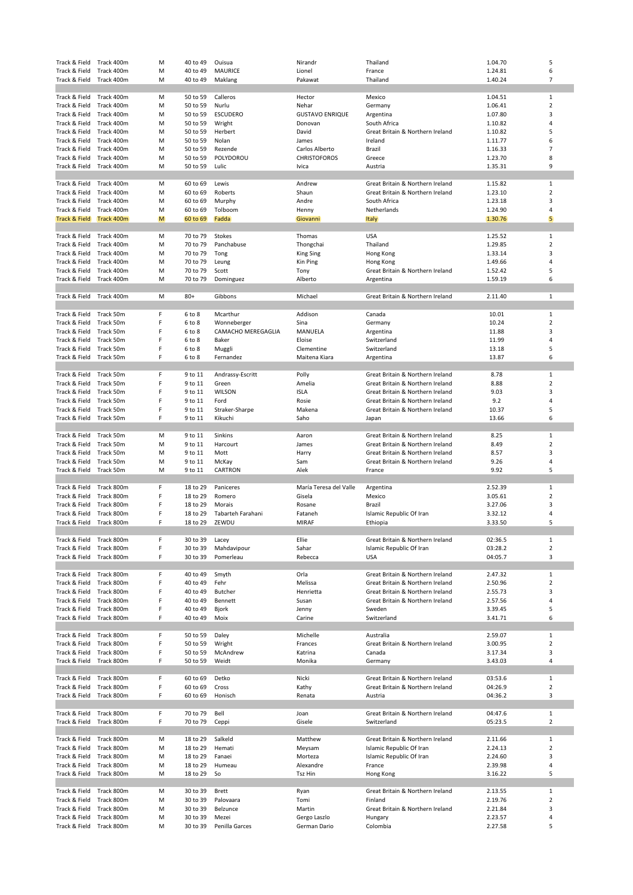| Track & Field                  | Track 400m               | M      | 40 to 49             | Ouisua             | Nirandr                | Thailand                                                             | 1.04.70            | 5                              |
|--------------------------------|--------------------------|--------|----------------------|--------------------|------------------------|----------------------------------------------------------------------|--------------------|--------------------------------|
| Track & Field                  | Track 400m               | M      | 40 to 49             | MAURICE            | Lionel                 | France                                                               | 1.24.81            | 6                              |
| Track & Field                  | Track 400m               | M      | 40 to 49             | Maklang            | Pakawat                | Thailand                                                             | 1.40.24            | $\overline{7}$                 |
|                                |                          |        |                      |                    |                        |                                                                      |                    | $\mathbf{1}$                   |
| Track & Field<br>Track & Field | Track 400m<br>Track 400m | M<br>M | 50 to 59<br>50 to 59 | Calleros<br>Nurlu  | Hector<br>Nehar        | Mexico<br>Germany                                                    | 1.04.51<br>1.06.41 | $\overline{2}$                 |
| Track & Field                  | Track 400m               | M      | 50 to 59             | <b>ESCUDERO</b>    | <b>GUSTAVO ENRIQUE</b> | Argentina                                                            | 1.07.80            | 3                              |
| Track & Field                  | Track 400m               | M      | 50 to 59             | Wright             | Donovan                | South Africa                                                         | 1.10.82            | 4                              |
| Track & Field                  | Track 400m               | M      | 50 to 59             | Herbert            | David                  | Great Britain & Northern Ireland                                     | 1.10.82            | 5                              |
| Track & Field                  | Track 400m               | M      | 50 to 59             | Nolan              | James                  | Ireland                                                              | 1.11.77            | 6                              |
| Track & Field                  | Track 400m               | M      | 50 to 59             | Rezende            | Carlos Alberto         | Brazil                                                               | 1.16.33            | $\overline{7}$                 |
| Track & Field                  | Track 400m               | M      | 50 to 59             | POLYDOROU          | <b>CHRISTOFOROS</b>    | Greece                                                               | 1.23.70            | 8                              |
| Track & Field                  | Track 400m               | M      | 50 to 59             | Lulic              | Ivica                  | Austria                                                              | 1.35.31            | 9                              |
|                                |                          |        |                      |                    |                        |                                                                      |                    |                                |
| Track & Field                  | Track 400m               | M      | 60 to 69             | Lewis              | Andrew                 | Great Britain & Northern Ireland                                     | 1.15.82            | $\mathbf{1}$                   |
| Track & Field<br>Track & Field | Track 400m<br>Track 400m | M<br>M | 60 to 69<br>60 to 69 | Roberts<br>Murphy  | Shaun<br>Andre         | Great Britain & Northern Ireland<br>South Africa                     | 1.23.10<br>1.23.18 | $\overline{2}$<br>3            |
| Track & Field                  | Track 400m               | M      | 60 to 69             | Tolboom            | Henny                  | Netherlands                                                          | 1.24.90            | 4                              |
| Track & Field Track 400m       |                          | M      | 60 to 69             | Fadda              | Giovanni               | Italy                                                                | 1.30.76            | 5                              |
|                                |                          |        |                      |                    |                        |                                                                      |                    |                                |
| Track & Field                  | Track 400m               | M      | 70 to 79             | Stokes             | Thomas                 | <b>USA</b>                                                           | 1.25.52            | 1                              |
| Track & Field                  | Track 400m               | M      | 70 to 79             | Panchabuse         | Thongchai              | Thailand                                                             | 1.29.85            | $\overline{2}$                 |
| Track & Field                  | Track 400m               | M      | 70 to 79             | Tong               | <b>King Sing</b>       | Hong Kong                                                            | 1.33.14            | 3                              |
| Track & Field                  | Track 400m               | M      | 70 to 79             | Leung              | Kin Ping               | Hong Kong                                                            | 1.49.66            | 4                              |
| Track & Field                  | Track 400m               | M      | 70 to 79             | Scott              | Tony                   | Great Britain & Northern Ireland                                     | 1.52.42            | 5                              |
| Track & Field                  | Track 400m               | M      | 70 to 79             | Dominguez          | Alberto                | Argentina                                                            | 1.59.19            | 6                              |
|                                | Track 400m               | M      | $80+$                | Gibbons            | Michael                | Great Britain & Northern Ireland                                     | 2.11.40            | 1                              |
| Track & Field                  |                          |        |                      |                    |                        |                                                                      |                    |                                |
| Track & Field                  | Track 50m                | F      | 6 to 8               | Mcarthur           | Addison                | Canada                                                               | 10.01              | 1                              |
| Track & Field                  | Track 50m                | F      | 6 to 8               | Wonneberger        | Sina                   | Germany                                                              | 10.24              | $\overline{2}$                 |
| Track & Field                  | Track 50m                | F      | 6 to 8               | CAMACHO MEREGAGLIA | MANUELA                | Argentina                                                            | 11.88              | 3                              |
| Track & Field                  | Track 50m                | F      | 6 to 8               | Baker              | Eloise                 | Switzerland                                                          | 11.99              | 4                              |
| Track & Field                  | Track 50m                | F      | 6 to 8               | Muggli             | Clementine             | Switzerland                                                          | 13.18              | 5                              |
| Track & Field                  | Track 50m                | F      | 6 to 8               | Fernandez          | Maitena Kiara          | Argentina                                                            | 13.87              | 6                              |
|                                |                          |        |                      |                    |                        |                                                                      |                    |                                |
| Track & Field                  | Track 50m                | F      | 9 to 11              | Andrassy-Escritt   | Polly                  | Great Britain & Northern Ireland                                     | 8.78               | 1                              |
| Track & Field<br>Track & Field | Track 50m<br>Track 50m   | F<br>F | 9 to 11<br>9 to 11   | Green<br>WILSON    | Amelia<br><b>ISLA</b>  | Great Britain & Northern Ireland<br>Great Britain & Northern Ireland | 8.88<br>9.03       | $\overline{2}$<br>3            |
| Track & Field                  | Track 50m                | F      | 9 to 11              | Ford               | Rosie                  | Great Britain & Northern Ireland                                     | 9.2                | 4                              |
| Track & Field                  | Track 50m                | F      | 9 to 11              | Straker-Sharpe     | Makena                 | Great Britain & Northern Ireland                                     | 10.37              | 5                              |
| Track & Field                  | Track 50m                | F      | 9 to 11              | Kikuchi            | Saho                   | Japan                                                                | 13.66              | 6                              |
|                                |                          |        |                      |                    |                        |                                                                      |                    |                                |
| Track & Field                  | Track 50m                | M      | 9 to 11              | Sinkins            | Aaron                  | Great Britain & Northern Ireland                                     | 8.25               | 1                              |
| Track & Field                  | Track 50m                | M      | 9 to 11              | Harcourt           | James                  | Great Britain & Northern Ireland                                     | 8.49               | $\overline{2}$                 |
|                                |                          |        |                      |                    |                        |                                                                      |                    |                                |
| Track & Field                  | Track 50m                | M      | 9 to 11              | Mott               | Harry                  | Great Britain & Northern Ireland                                     | 8.57               | 3                              |
| Track & Field                  | Track 50m                | M      | 9 to 11              | McKay              | Sam                    | Great Britain & Northern Ireland                                     | 9.26               | 4                              |
| Track & Field                  | Track 50m                | M      | 9 to 11              | CARTRON            | Alek                   | France                                                               | 9.92               | 5                              |
|                                |                          |        |                      |                    |                        |                                                                      |                    |                                |
| Track & Field                  | Track 800m               | F      | 18 to 29             | Paniceres          | María Teresa del Valle | Argentina                                                            | 2.52.39            | 1                              |
| Track & Field                  | Track 800m               | F      | 18 to 29             | Romero<br>Morais   | Gisela                 | Mexico                                                               | 3.05.61            | $\mathbf 2$                    |
| Track & Field<br>Track & Field | Track 800m<br>Track 800m | F<br>F | 18 to 29<br>18 to 29 | Tabarteh Farahani  | Rosane<br>Fataneh      | Brazil<br>Islamic Republic Of Iran                                   | 3.27.06<br>3.32.12 | 3<br>4                         |
| Track & Field                  | Track 800m               | F      | 18 to 29             | ZEWDU              | <b>MIRAF</b>           | Ethiopia                                                             | 3.33.50            | 5                              |
|                                |                          |        |                      |                    |                        |                                                                      |                    |                                |
| Track & Field                  | Track 800m               | F      | 30 to 39             | Lacey              | Ellie                  | Great Britain & Northern Ireland                                     | 02:36.5            | $\mathbf{1}$                   |
| Track & Field                  | Track 800m               | F      | 30 to 39             | Mahdavipour        | Sahar                  | Islamic Republic Of Iran                                             | 03:28.2            | $\overline{2}$                 |
| Track & Field                  | Track 800m               | F      | 30 to 39             | Pomerleau          | Rebecca                | <b>USA</b>                                                           | 04:05.7            | 3                              |
|                                |                          |        |                      |                    |                        |                                                                      |                    |                                |
| Track & Field                  | Track 800m               | F      | 40 to 49             | Smyth              | Orla                   | Great Britain & Northern Ireland                                     | 2.47.32            | 1                              |
| Track & Field                  | Track 800m               | F<br>F | 40 to 49             | Fehr               | Melissa                | Great Britain & Northern Ireland                                     | 2.50.96            | $\overline{2}$                 |
| Track & Field<br>Track & Field | Track 800m<br>Track 800m | F      | 40 to 49<br>40 to 49 | Butcher<br>Bennett | Henrietta<br>Susan     | Great Britain & Northern Ireland<br>Great Britain & Northern Ireland | 2.55.73<br>2.57.56 | 3<br>4                         |
| Track & Field                  | Track 800m               | F      | 40 to 49             | Bjork              | Jenny                  | Sweden                                                               | 3.39.45            | 5                              |
| Track & Field                  | Track 800m               | F      | 40 to 49             | Moix               | Carine                 | Switzerland                                                          | 3.41.71            | 6                              |
|                                |                          |        |                      |                    |                        |                                                                      |                    |                                |
| Track & Field                  | Track 800m               | F      | 50 to 59             | Daley              | Michelle               | Australia                                                            | 2.59.07            | $\mathbf{1}$                   |
| Track & Field                  | Track 800m               | F      | 50 to 59             | Wright             | Frances                | Great Britain & Northern Ireland                                     | 3.00.95            | $\overline{2}$                 |
| Track & Field                  | Track 800m               | F      | 50 to 59             | McAndrew           | Katrina                | Canada                                                               | 3.17.34            | 3                              |
| Track & Field                  | Track 800m               | F      | 50 to 59             | Weidt              | Monika                 | Germany                                                              | 3.43.03            | $\overline{4}$                 |
|                                |                          |        |                      |                    |                        |                                                                      |                    |                                |
| Track & Field                  | Track 800m               | F      | 60 to 69             | Detko              | Nicki                  | Great Britain & Northern Ireland                                     | 03:53.6            | $\mathbf{1}$                   |
| Track & Field<br>Track & Field | Track 800m<br>Track 800m | F<br>F | 60 to 69<br>60 to 69 | Cross<br>Honisch   | Kathy<br>Renata        | Great Britain & Northern Ireland<br>Austria                          | 04:26.9<br>04:36.2 | $\overline{2}$<br>3            |
|                                |                          |        |                      |                    |                        |                                                                      |                    |                                |
| Track & Field                  | Track 800m               | F      | 70 to 79             | Bell               | Joan                   | Great Britain & Northern Ireland                                     | 04:47.6            | $\mathbf{1}$                   |
| Track & Field                  | Track 800m               | F      | 70 to 79             | Ceppi              | Gisele                 | Switzerland                                                          | 05:23.5            | $\overline{2}$                 |
|                                |                          |        |                      |                    |                        |                                                                      |                    |                                |
| Track & Field                  | Track 800m               | M      | 18 to 29             | Salkeld            | Matthew                | Great Britain & Northern Ireland                                     | 2.11.66            | $\mathbf{1}$                   |
| Track & Field                  | Track 800m               | M      | 18 to 29             | Hemati             | Meysam                 | Islamic Republic Of Iran                                             | 2.24.13            | $\mathbf 2$                    |
| Track & Field                  | Track 800m               | M      | 18 to 29             | Fanaei             | Morteza                | Islamic Republic Of Iran                                             | 2.24.60            | 3                              |
| Track & Field                  | Track 800m               | M      | 18 to 29             | Humeau             | Alexandre              | France                                                               | 2.39.98            | 4                              |
| Track & Field                  | Track 800m               | M      | 18 to 29             | So                 | Tsz Hin                | Hong Kong                                                            | 3.16.22            | 5                              |
|                                |                          | M      |                      | <b>Brett</b>       |                        |                                                                      |                    |                                |
| Track & Field<br>Track & Field | Track 800m<br>Track 800m | M      | 30 to 39<br>30 to 39 | Palovaara          | Ryan<br>Tomi           | Great Britain & Northern Ireland<br>Finland                          | 2.13.55<br>2.19.76 | $\mathbf{1}$<br>$\overline{2}$ |
| Track & Field                  | Track 800m               | M      | 30 to 39             | Belzunce           | Martin                 | Great Britain & Northern Ireland                                     | 2.21.84            | 3                              |
| Track & Field                  | Track 800m               | M      | 30 to 39             | Mezei              | Gergo Laszlo           | Hungary                                                              | 2.23.57            | 4                              |
| Track & Field                  | Track 800m               | M      | 30 to 39             | Penilla Garces     | German Dario           | Colombia                                                             | 2.27.58            | 5                              |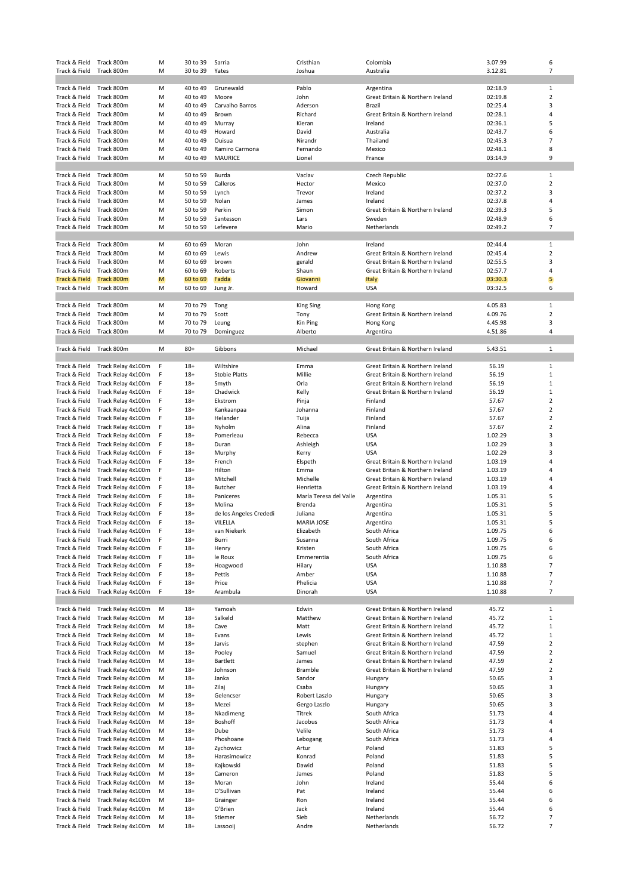| Track & Field Track 800m       |                                                        | M      | 30 to 39       | Sarria                 | Cristhian              | Colombia                         | 3.07.99            | 6              |
|--------------------------------|--------------------------------------------------------|--------|----------------|------------------------|------------------------|----------------------------------|--------------------|----------------|
| Track & Field                  | Track 800m                                             | M      | 30 to 39       | Yates                  | Joshua                 | Australia                        | 3.12.81            | $\overline{7}$ |
|                                |                                                        |        |                |                        |                        |                                  |                    |                |
| Track & Field                  | Track 800m                                             | M      | 40 to 49       | Grunewald              | Pablo                  | Argentina                        | 02:18.9            | $\mathbf{1}$   |
| Track & Field                  | Track 800m                                             | M      | 40 to 49       | Moore                  | John                   | Great Britain & Northern Ireland | 02:19.8            | $\overline{2}$ |
| Track & Field                  | Track 800m                                             | M      | 40 to 49       | Carvalho Barros        | Aderson                | Brazil                           | 02:25.4            | 3              |
| Track & Field                  | Track 800m                                             | M      | 40 to 49       | Brown                  | Richard                | Great Britain & Northern Ireland | 02:28.1            | 4              |
| Track & Field                  | Track 800m                                             | M      | 40 to 49       | Murray                 | Kieran                 | Ireland                          | 02:36.1            | 5              |
| Track & Field                  | Track 800m                                             | M      | 40 to 49       | Howard                 | David                  | Australia                        | 02:43.7            | 6              |
| Track & Field                  | Track 800m                                             | M      | 40 to 49       | Ouisua                 | Nirandr                | Thailand                         | 02:45.3            | $\overline{7}$ |
| Track & Field                  | Track 800m                                             | M      | 40 to 49       | Ramiro Carmona         | Fernando               | Mexico                           | 02:48.1            | 8              |
| Track & Field                  | Track 800m                                             | M      | 40 to 49       | <b>MAURICE</b>         | Lionel                 | France                           | 03:14.9            | 9              |
|                                |                                                        |        |                |                        |                        |                                  |                    |                |
| Track & Field                  | Track 800m                                             | M      | 50 to 59       | Burda                  | Vaclav                 | Czech Republic                   | 02:27.6            | 1              |
| Track & Field                  | Track 800m                                             | M      | 50 to 59       | Calleros               | Hector                 | Mexico                           | 02:37.0            | $\overline{2}$ |
| Track & Field                  | Track 800m                                             | M      | 50 to 59       | Lynch                  | Trevor                 | Ireland<br>Ireland               | 02:37.2            | 3              |
| Track & Field                  | Track 800m                                             | M      | 50 to 59       | Nolan                  | James                  | Great Britain & Northern Ireland | 02:37.8            | 4<br>5         |
| Track & Field                  | Track 800m                                             | м      | 50 to 59       | Perkin                 | Simon                  |                                  | 02:39.3            | 6              |
| Track & Field                  | Track 800m                                             | M      | 50 to 59       | Santesson              | Lars                   | Sweden                           | 02:48.9            | $\overline{7}$ |
| Track & Field                  | Track 800m                                             | M      | 50 to 59       | Lefevere               | Mario                  | Netherlands                      | 02:49.2            |                |
| Track & Field                  | Track 800m                                             | M      | 60 to 69       | Moran                  | John                   | Ireland                          | 02:44.4            | $\mathbf{1}$   |
| Track & Field                  | Track 800m                                             | M      | 60 to 69       | Lewis                  | Andrew                 | Great Britain & Northern Ireland | 02:45.4            | $\overline{2}$ |
| Track & Field                  | Track 800m                                             | M      | 60 to 69       | brown                  | gerald                 | Great Britain & Northern Ireland | 02:55.5            | 3              |
| Track & Field                  | Track 800m                                             | M      | 60 to 69       | Roberts                | Shaun                  | Great Britain & Northern Ireland | 02:57.7            | 4              |
| <b>Track &amp; Field</b>       | Track 800m                                             | M      | 60 to 69       | Fadda                  | Giovanni               | <b>Italy</b>                     | 03:30.3            | 5              |
| Track & Field                  | Track 800m                                             | M      | 60 to 69       | Jung Jr.               | Howard                 | <b>USA</b>                       | 03:32.5            | 6              |
|                                |                                                        |        |                |                        |                        |                                  |                    |                |
| Track & Field                  | Track 800m                                             | м      | 70 to 79       | Tong                   | <b>King Sing</b>       | Hong Kong                        | 4.05.83            | $\mathbf{1}$   |
| Track & Field                  | Track 800m                                             | M      | 70 to 79       | Scott                  | Tony                   | Great Britain & Northern Ireland | 4.09.76            | $\overline{2}$ |
| Track & Field                  | Track 800m                                             | M      | 70 to 79       | Leung                  | Kin Ping               | Hong Kong                        | 4.45.98            | 3              |
| Track & Field                  | Track 800m                                             | M      | 70 to 79       | Dominguez              | Alberto                | Argentina                        | 4.51.86            | 4              |
|                                |                                                        |        |                |                        |                        |                                  |                    |                |
| Track & Field                  | Track 800m                                             | M      | $80+$          | Gibbons                | Michael                | Great Britain & Northern Ireland | 5.43.51            | $\mathbf{1}$   |
|                                |                                                        |        |                |                        |                        |                                  |                    |                |
| Track & Field                  | Track Relay 4x100m                                     | F      | $18+$          | Wiltshire              | Emma                   | Great Britain & Northern Ireland | 56.19              | $\mathbf{1}$   |
| Track & Field                  | Track Relay 4x100m                                     | F      | $18+$          | <b>Stobie Platts</b>   | Millie                 | Great Britain & Northern Ireland | 56.19              | $\mathbf 1$    |
| Track & Field                  | Track Relay 4x100m                                     | F      | $18+$          | Smyth                  | Orla                   | Great Britain & Northern Ireland | 56.19              | $\mathbf 1$    |
| Track & Field                  | Track Relay 4x100m                                     | F      | $18+$          | Chadwick               | Kelly                  | Great Britain & Northern Ireland | 56.19              | $\mathbf 1$    |
| Track & Field                  | Track Relay 4x100m                                     | F      | $18+$          | Ekstrom                | Pinja                  | Finland                          | 57.67              | $\overline{2}$ |
| Track & Field                  | Track Relay 4x100m                                     | F      | $18+$          | Kankaanpaa             | Johanna                | Finland                          | 57.67              | $\overline{2}$ |
| Track & Field                  | Track Relay 4x100m                                     | F      | $18+$          | Helander               | Tuija                  | Finland                          | 57.67              | 2              |
| Track & Field                  | Track Relay 4x100m                                     | F      | $18+$          | Nyholm                 | Alina                  | Finland                          | 57.67              | $\overline{2}$ |
| Track & Field                  | Track Relay 4x100m                                     | F      | $18+$          | Pomerleau              | Rebecca                | <b>USA</b>                       | 1.02.29            | 3              |
| Track & Field                  | Track Relay 4x100m                                     | F      | $18+$          | Duran                  | Ashleigh               | <b>USA</b>                       | 1.02.29            | 3              |
| Track & Field                  | Track Relay 4x100m                                     | F      | $18+$          | Murphy                 | Kerry                  | <b>USA</b>                       | 1.02.29            | 3              |
| Track & Field                  | Track Relay 4x100m                                     | F      | $18+$          | French                 | Elspeth                | Great Britain & Northern Ireland | 1.03.19            | 4              |
| Track & Field                  | Track Relay 4x100m                                     | F      | $18+$          | Hilton                 | Emma                   | Great Britain & Northern Ireland | 1.03.19            | 4              |
| Track & Field                  | Track Relay 4x100m                                     | F      | $18+$          | Mitchell               | Michelle               | Great Britain & Northern Ireland | 1.03.19            | 4              |
| Track & Field                  | Track Relay 4x100m                                     | F      | $18+$          | Butcher                | Henrietta              | Great Britain & Northern Ireland | 1.03.19            | 4              |
| Track & Field                  | Track Relay 4x100m                                     | F      | $18+$          | Paniceres              | María Teresa del Valle | Argentina                        | 1.05.31            | 5              |
| Track & Field                  | Track Relay 4x100m                                     | F      | $18+$          | Molina                 | Brenda                 | Argentina                        | 1.05.31            | 5              |
| Track & Field                  | Track Relay 4x100m                                     | F      | $18+$          | de los Angeles Crededi | Juliana                | Argentina                        | 1.05.31            | 5              |
|                                | Track & Field Track Relay 4x100m<br>Track Relay 4x100m | F<br>F | $18+$          | VILELLA                | MARIA JOSE             | Argentina                        | 1.05.31            | 5<br>6         |
| Track & Field                  |                                                        |        | $18+$          | van Niekerk            | Elizabeth              | South Africa                     | 1.09.75            |                |
| Track & Field                  | Track Relay 4x100m<br>Track Relay 4x100m               | F<br>F | $18+$          | Burri                  | Susanna                | South Africa                     | 1.09.75            | 6<br>6         |
| Track & Field<br>Track & Field | Track Relay 4x100m                                     | F      | $18+$<br>$18+$ | Henry<br>le Roux       | Kristen<br>Emmerentia  | South Africa<br>South Africa     | 1.09.75<br>1.09.75 | 6              |
| Track & Field                  | Track Relay 4x100m                                     | F      | $18+$          | Hoagwood               | Hilary                 | <b>USA</b>                       | 1.10.88            | $\overline{7}$ |
| Track & Field                  | Track Relay 4x100m                                     | F      | $18+$          | Pettis                 | Amber                  | <b>USA</b>                       | 1.10.88            | 7              |
| Track & Field                  | Track Relay 4x100m                                     | F      | $18+$          | Price                  | Phelicia               | <b>USA</b>                       | 1.10.88            | $\overline{7}$ |
| Track & Field                  | Track Relay 4x100m                                     | F      | $18+$          | Arambula               | Dinorah                | <b>USA</b>                       | 1.10.88            | $\overline{7}$ |
|                                |                                                        |        |                |                        |                        |                                  |                    |                |
| Track & Field                  | Track Relay 4x100m                                     | M      | $18+$          | Yamoah                 | Edwin                  | Great Britain & Northern Ireland | 45.72              | 1              |
| Track & Field                  | Track Relay 4x100m                                     | M      | $18+$          | Salkeld                | Matthew                | Great Britain & Northern Ireland | 45.72              | $1\,$          |
| Track & Field                  | Track Relay 4x100m                                     | M      | $18+$          | Cave                   | Matt                   | Great Britain & Northern Ireland | 45.72              | $\mathbf 1$    |
| Track & Field                  | Track Relay 4x100m                                     | M      | $18+$          | Evans                  | Lewis                  | Great Britain & Northern Ireland | 45.72              | $\mathbf 1$    |
| Track & Field                  | Track Relay 4x100m                                     | м      | $18+$          | Jarvis                 | stephen                | Great Britain & Northern Ireland | 47.59              | $\overline{2}$ |
| Track & Field                  | Track Relay 4x100m                                     | M      | $18+$          | Pooley                 | Samuel                 | Great Britain & Northern Ireland | 47.59              | $\overline{2}$ |
| Track & Field                  | Track Relay 4x100m                                     | м      | $18+$          | Bartlett               | James                  | Great Britain & Northern Ireland | 47.59              | $\overline{2}$ |
| Track & Field                  | Track Relay 4x100m                                     | м      | $18+$          | Johnson                | Bramble                | Great Britain & Northern Ireland | 47.59              | $\overline{2}$ |
| Track & Field                  | Track Relay 4x100m                                     | M      | $18+$          | Janka                  | Sandor                 | Hungary                          | 50.65              | 3              |
| Track & Field                  | Track Relay 4x100m                                     | м      | $18+$          | Zilaj                  | Csaba                  | Hungary                          | 50.65              | 3              |
| Track & Field                  | Track Relay 4x100m                                     | м      | $18+$          | Gelencser              | Robert Laszlo          | Hungary                          | 50.65              | 3              |
| Track & Field                  | Track Relay 4x100m                                     | M      | $18+$          | Mezei                  | Gergo Laszlo           | Hungary                          | 50.65              | 3              |
| Track & Field                  | Track Relay 4x100m                                     | м      | $18+$          | Nkadimeng              | Titrek                 | South Africa                     | 51.73              | 4              |
| Track & Field                  | Track Relay 4x100m                                     | м      | $18+$          | Boshoff                | Jacobus                | South Africa                     | 51.73              | 4              |
| Track & Field                  | Track Relay 4x100m                                     | M      | $18+$          | Dube                   | Velile                 | South Africa                     | 51.73              | 4              |
| Track & Field                  | Track Relay 4x100m                                     | м      | $18+$          | Phoshoane              | Lebogang               | South Africa                     | 51.73              | 4              |
| Track & Field                  | Track Relay 4x100m                                     | M      | $18+$          | Zychowicz              | Artur                  | Poland                           | 51.83              | 5              |
| Track & Field                  | Track Relay 4x100m                                     | м      | $18+$          | Harasimowicz           | Konrad                 | Poland                           | 51.83              | 5              |
| Track & Field                  | Track Relay 4x100m                                     | м      | $18+$          | Kajkowski              | Dawid                  | Poland                           | 51.83              | 5              |
| Track & Field                  | Track Relay 4x100m                                     | м      | $18+$          | Cameron                | James                  | Poland                           | 51.83              | 5              |
| Track & Field                  | Track Relay 4x100m                                     | м      | $18+$          | Moran                  | John                   | Ireland                          | 55.44              | 6              |
| Track & Field                  | Track Relay 4x100m                                     | м      | $18+$          | O'Sullivan             | Pat                    | Ireland                          | 55.44              | 6              |
| Track & Field                  | Track Relay 4x100m                                     | м      | $18+$          | Grainger               | Ron                    | Ireland                          | 55.44              | 6              |
| Track & Field                  | Track Relay 4x100m                                     | м      | $18+$          | O'Brien                | Jack                   | Ireland                          | 55.44              | 6              |
| Track & Field                  | Track Relay 4x100m                                     | м      | $18+$          | Stiemer                | Sieb                   | Netherlands                      | 56.72              | 7              |
| Track & Field                  | Track Relay 4x100m                                     | M      | $18+$          | Lassooij               | Andre                  | Netherlands                      | 56.72              | $\overline{7}$ |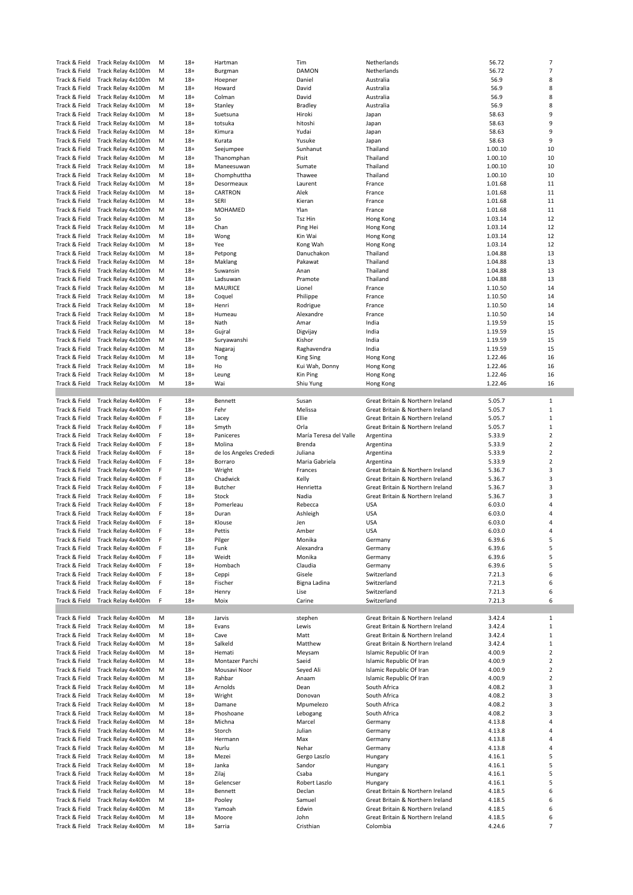| Track & Field                  | Track Relay 4x100m                       | M      | $18+$          | Hartman                | Tim                    | Netherlands                                  | 56.72            | $\overline{7}$      |
|--------------------------------|------------------------------------------|--------|----------------|------------------------|------------------------|----------------------------------------------|------------------|---------------------|
| Track & Field                  | Track Relay 4x100m                       | M      | $18+$          | Burgman                | DAMON                  | Netherlands                                  | 56.72            | $\overline{7}$      |
| Track & Field                  | Track Relay 4x100m                       | M      | $18+$          | Hoepner                | Daniel                 | Australia                                    | 56.9             | 8                   |
| Track & Field                  | Track Relay 4x100m                       | М      | $18+$          | Howard                 | David                  | Australia                                    | 56.9             | 8                   |
| Track & Field                  | Track Relay 4x100m                       | M      | $18+$          | Colman                 | David                  | Australia                                    | 56.9             | 8                   |
| Track & Field                  | Track Relay 4x100m                       | M      | $18+$          | Stanley                | <b>Bradley</b>         | Australia                                    | 56.9             | 8                   |
| Track & Field                  | Track Relay 4x100m                       | M      | $18+$          | Suetsuna               | Hiroki                 | Japan                                        | 58.63            | 9                   |
| Track & Field                  | Track Relay 4x100m                       | M      | $18+$          | totsuka                | hitoshi                | Japan                                        | 58.63            | 9                   |
| Track & Field                  | Track Relay 4x100m                       | M      | $18+$          | Kimura                 | Yudai                  | Japan                                        | 58.63            | 9                   |
|                                |                                          |        |                |                        |                        |                                              |                  | 9                   |
| Track & Field                  | Track Relay 4x100m                       | M      | $18+$          | Kurata                 | Yusuke                 | Japan                                        | 58.63            |                     |
| Track & Field                  | Track Relay 4x100m                       | M      | $18+$          | Seejumpee              | Sunhanut               | Thailand                                     | 1.00.10          | 10                  |
| Track & Field                  | Track Relay 4x100m                       | M      | $18+$          | Thanomphan             | Pisit                  | Thailand                                     | 1.00.10          | 10                  |
| Track & Field                  | Track Relay 4x100m                       | M      | $18+$          | Maneesuwan             | Sumate                 | Thailand                                     | 1.00.10          | 10                  |
| Track & Field                  | Track Relay 4x100m                       | M      | $18+$          | Chomphuttha            | Thawee                 | Thailand                                     | 1.00.10          | 10                  |
| Track & Field                  | Track Relay 4x100m                       | M      | $18+$          | Desormeaux             | Laurent                | France                                       | 1.01.68          | 11                  |
| Track & Field                  | Track Relay 4x100m                       | M      | $18+$          | CARTRON                | Alek                   | France                                       | 1.01.68          | 11                  |
| Track & Field                  | Track Relay 4x100m                       | M      | $18+$          | <b>SERI</b>            | Kieran                 | France                                       | 1.01.68          | 11                  |
| Track & Field                  | Track Relay 4x100m                       | M      | $18+$          | MOHAMED                | Ylan                   | France                                       | 1.01.68          | 11                  |
| Track & Field                  | Track Relay 4x100m                       | M      | $18+$          | So                     | Tsz Hin                | Hong Kong                                    | 1.03.14          | 12                  |
| Track & Field                  | Track Relay 4x100m                       | M      | $18+$          | Chan                   | Ping Hei               | Hong Kong                                    | 1.03.14          | 12                  |
| Track & Field                  | Track Relay 4x100m                       | M      | $18+$          | Wong                   | Kin Wai                |                                              | 1.03.14          | 12                  |
|                                |                                          |        |                |                        |                        | Hong Kong                                    |                  |                     |
| Track & Field                  | Track Relay 4x100m                       | M      | $18+$          | Yee                    | Kong Wah               | Hong Kong                                    | 1.03.14          | 12                  |
| Track & Field                  | Track Relay 4x100m                       | M      | $18+$          | Petpong                | Danuchakon             | Thailand                                     | 1.04.88          | 13                  |
| Track & Field                  | Track Relay 4x100m                       | M      | $18+$          | Maklang                | Pakawat                | Thailand                                     | 1.04.88          | 13                  |
| Track & Field                  | Track Relay 4x100m                       | M      | $18+$          | Suwansin               | Anan                   | Thailand                                     | 1.04.88          | 13                  |
| Track & Field                  | Track Relay 4x100m                       | M      | $18+$          | Ladsuwan               | Pramote                | Thailand                                     | 1.04.88          | 13                  |
| Track & Field                  | Track Relay 4x100m                       | M      | $18+$          | <b>MAURICE</b>         | Lionel                 | France                                       | 1.10.50          | 14                  |
| Track & Field                  | Track Relay 4x100m                       | M      | $18+$          | Coquel                 | Philippe               | France                                       | 1.10.50          | 14                  |
| Track & Field                  | Track Relay 4x100m                       | M      | $18+$          | Henri                  | Rodrigue               | France                                       | 1.10.50          | 14                  |
| Track & Field                  | Track Relay 4x100m                       | M      | $18+$          | Humeau                 | Alexandre              | France                                       | 1.10.50          | 14                  |
|                                |                                          |        |                |                        |                        |                                              |                  | 15                  |
| Track & Field                  | Track Relay 4x100m                       | M      | $18+$          | Nath                   | Amar                   | India                                        | 1.19.59          |                     |
| Track & Field                  | Track Relay 4x100m                       | M      | $18+$          | Gujral                 | Digvijay               | India                                        | 1.19.59          | 15                  |
| Track & Field                  | Track Relay 4x100m                       | M      | $18+$          | Suryawanshi            | Kishor                 | India                                        | 1.19.59          | 15                  |
| Track & Field                  | Track Relay 4x100m                       | M      | $18+$          | Nagaraj                | Raghavendra            | India                                        | 1.19.59          | 15                  |
| Track & Field                  | Track Relay 4x100m                       | M      | $18+$          | Tong                   | <b>King Sing</b>       | Hong Kong                                    | 1.22.46          | 16                  |
| Track & Field                  | Track Relay 4x100m                       | M      | $18+$          | Ho                     | Kui Wah, Donny         | Hong Kong                                    | 1.22.46          | 16                  |
| Track & Field                  | Track Relay 4x100m                       | M      | $18+$          | Leung                  | Kin Ping               | Hong Kong                                    | 1.22.46          | 16                  |
| Track & Field                  | Track Relay 4x100m                       | M      | $18+$          | Wai                    | Shiu Yung              | Hong Kong                                    | 1.22.46          | 16                  |
|                                |                                          |        |                |                        |                        |                                              |                  |                     |
| Track & Field                  | Track Relay 4x400m                       | F      | $18+$          | Bennett                | Susan                  | Great Britain & Northern Ireland             | 5.05.7           | 1                   |
| Track & Field                  | Track Relay 4x400m                       | F      | $18+$          | Fehr                   | Melissa                | Great Britain & Northern Ireland             | 5.05.7           | $\mathbf 1$         |
|                                |                                          | F      |                |                        | Ellie                  |                                              |                  | $\mathbf 1$         |
| Track & Field                  | Track Relay 4x400m                       |        | $18+$          | Lacey                  |                        | Great Britain & Northern Ireland             | 5.05.7           |                     |
| Track & Field                  | Track Relay 4x400m                       | F      | $18+$          | Smyth                  | Orla                   | Great Britain & Northern Ireland             | 5.05.7           | $\mathbf{1}$        |
| Track & Field                  | Track Relay 4x400m                       | F      | $18+$          | Paniceres              | María Teresa del Valle | Argentina                                    | 5.33.9           | $\overline{2}$      |
| Track & Field                  | Track Relay 4x400m                       | F      | $18+$          | Molina                 | Brenda                 | Argentina                                    | 5.33.9           | $\overline{2}$      |
| Track & Field                  | Track Relay 4x400m                       | F      | $18+$          | de los Angeles Crededi | Juliana                | Argentina                                    | 5.33.9           | $\overline{2}$      |
| Track & Field                  | Track Relay 4x400m                       | F      | $18+$          | Borraro                | Maria Gabriela         | Argentina                                    | 5.33.9           | $\overline{2}$      |
| Track & Field                  | Track Relay 4x400m                       | F      | $18+$          | Wright                 | Frances                | Great Britain & Northern Ireland             | 5.36.7           | 3                   |
| Track & Field                  | Track Relay 4x400m                       | F      | $18+$          | Chadwick               | Kelly                  | Great Britain & Northern Ireland             | 5.36.7           | 3                   |
|                                |                                          |        |                |                        |                        |                                              |                  |                     |
|                                |                                          |        |                |                        |                        |                                              |                  |                     |
| Track & Field                  | Track Relay 4x400m                       | F      | $18+$          | <b>Butcher</b>         | Henrietta              | Great Britain & Northern Ireland             | 5.36.7           | 3                   |
| Track & Field                  | Track Relay 4x400m                       | F      | $18+$          | Stock                  | Nadia                  | Great Britain & Northern Ireland             | 5.36.7           | 3                   |
| Track & Field                  | Track Relay 4x400m                       | F      | $18+$          | Pomerleau              | Rebecca                | <b>USA</b>                                   | 6.03.0           | 4                   |
| Track & Field                  | Track Relay 4x400m                       | F      | $18+$          | Duran                  | Ashleigh               | <b>USA</b>                                   | 6.03.0           | 4                   |
| Track & Field                  | Track Relay 4x400m                       | F      | $18+$          | Klouse                 | Jen                    | <b>USA</b>                                   | 6.03.0           | 4                   |
| Track & Field                  | Track Relay 4x400m                       | F      | $18+$          | Pettis                 | Amber                  | <b>USA</b>                                   | 6.03.0           | $\Delta$            |
| Track & Field                  | Track Relay 4x400m                       | F      | $18+$          | Pilger                 | Monika                 | Germany                                      | 6.39.6           | 5                   |
| Track & Field                  | Track Relay 4x400m                       | F      | $18+$          | Funk                   | Alexandra              | Germany                                      | 6.39.6           | 5                   |
| Track & Field                  | Track Relay 4x400m                       | F      | $18+$          | Weidt                  | Monika                 | Germany                                      | 6.39.6           | 5                   |
| Track & Field                  | Track Relay 4x400m                       | F      | $18+$          | Hombach                | Claudia                | Germany                                      | 6.39.6           | 5                   |
| Track & Field                  | Track Relay 4x400m                       | F      | $18+$          |                        |                        |                                              |                  | 6                   |
|                                |                                          |        |                | Ceppi                  | Gisele                 | Switzerland                                  | 7.21.3           |                     |
| Track & Field                  | Track Relay 4x400m                       | F      | $18+$          | Fischer                | Bigna Ladina           | Switzerland                                  | 7.21.3           | 6                   |
| Track & Field                  | Track Relay 4x400m                       | F      | $18+$          | Henry                  | Lise                   | Switzerland                                  | 7.21.3           | 6                   |
| Track & Field                  | Track Relay 4x400m                       | F      | $18+$          | Moix                   | Carine                 | Switzerland                                  | 7.21.3           | 6                   |
|                                |                                          |        |                |                        |                        |                                              |                  |                     |
| Track & Field                  | Track Relay 4x400m                       | М      | $18+$          | Jarvis                 | stephen                | Great Britain & Northern Ireland             | 3.42.4           | 1                   |
| Track & Field                  | Track Relay 4x400m                       | M      | $18+$          | Evans                  | Lewis                  | Great Britain & Northern Ireland             | 3.42.4           | $\,1\,$             |
| Track & Field                  | Track Relay 4x400m                       | M      | $18+$          | Cave                   | Matt                   | Great Britain & Northern Ireland             | 3.42.4           | $\mathbf 1$         |
| Track & Field                  | Track Relay 4x400m                       | M      | $18+$          | Salkeld                | Matthew                | Great Britain & Northern Ireland             | 3.42.4           | $\mathbf 1$         |
| Track & Field                  | Track Relay 4x400m                       | М      | $18+$          | Hemati                 | Meysam                 | Islamic Republic Of Iran                     | 4.00.9           | $\mathbf 2$         |
| Track & Field                  | Track Relay 4x400m                       | M      | $18+$          | Montazer Parchi        | Saeid                  | Islamic Republic Of Iran                     | 4.00.9           | $\mathbf 2$         |
| Track & Field                  | Track Relay 4x400m                       | M      | $18+$          | Mousavi Noor           | Seyed Ali              | Islamic Republic Of Iran                     | 4.00.9           | $\mathbf 2$         |
| Track & Field                  | Track Relay 4x400m                       | M      | $18+$          | Rahbar                 | Anaam                  | Islamic Republic Of Iran                     | 4.00.9           | $\overline{2}$      |
|                                |                                          | M      |                |                        |                        |                                              |                  |                     |
| Track & Field                  | Track Relay 4x400m                       |        | $18+$          | Arnolds                | Dean                   | South Africa                                 | 4.08.2           | 3                   |
| Track & Field                  | Track Relay 4x400m                       | М      | $18+$          | Wright                 | Donovan                | South Africa                                 | 4.08.2           | 3                   |
| Track & Field                  | Track Relay 4x400m                       | M      | $18+$          | Damane                 | Mpumelezo              | South Africa                                 | 4.08.2           | 3                   |
| Track & Field                  | Track Relay 4x400m                       | M      | $18+$          | Phoshoane              | Lebogang               | South Africa                                 | 4.08.2           | 3                   |
| Track & Field                  | Track Relay 4x400m                       | M      | $18+$          | Michna                 | Marcel                 | Germany                                      | 4.13.8           | 4                   |
| Track & Field                  | Track Relay 4x400m                       | M      | $18+$          | Storch                 | Julian                 | Germany                                      | 4.13.8           | 4                   |
| Track & Field                  | Track Relay 4x400m                       | M      | $18+$          | Hermann                | Max                    | Germany                                      | 4.13.8           | 4                   |
| Track & Field                  | Track Relay 4x400m                       | M      | $18+$          | Nurlu                  | Nehar                  | Germany                                      | 4.13.8           | 4                   |
| Track & Field                  | Track Relay 4x400m                       | M      | $18+$          | Mezei                  | Gergo Laszlo           | Hungary                                      | 4.16.1           | 5                   |
| Track & Field                  | Track Relay 4x400m                       | M      | $18+$          | Janka                  | Sandor                 | Hungary                                      | 4.16.1           | 5                   |
|                                |                                          | М      | $18+$          |                        | Csaba                  |                                              |                  | 5                   |
| Track & Field                  | Track Relay 4x400m                       |        |                | Zilaj                  |                        | Hungary                                      | 4.16.1           |                     |
| Track & Field                  | Track Relay 4x400m                       | M      | $18+$          | Gelencser              | Robert Laszlo          | Hungary                                      | 4.16.1           | 5                   |
| Track & Field                  | Track Relay 4x400m                       | M      | $18+$          | Bennett                | Declan                 | Great Britain & Northern Ireland             | 4.18.5           | 6                   |
| Track & Field                  | Track Relay 4x400m                       | M      | $18+$          | Pooley                 | Samuel                 | Great Britain & Northern Ireland             | 4.18.5           | 6                   |
| Track & Field                  | Track Relay 4x400m                       | М      | $18+$          | Yamoah                 | Edwin                  | Great Britain & Northern Ireland             | 4.18.5           | 6                   |
| Track & Field<br>Track & Field | Track Relay 4x400m<br>Track Relay 4x400m | M<br>M | $18+$<br>$18+$ | Moore<br>Sarria        | John<br>Cristhian      | Great Britain & Northern Ireland<br>Colombia | 4.18.5<br>4.24.6 | 6<br>$\overline{7}$ |